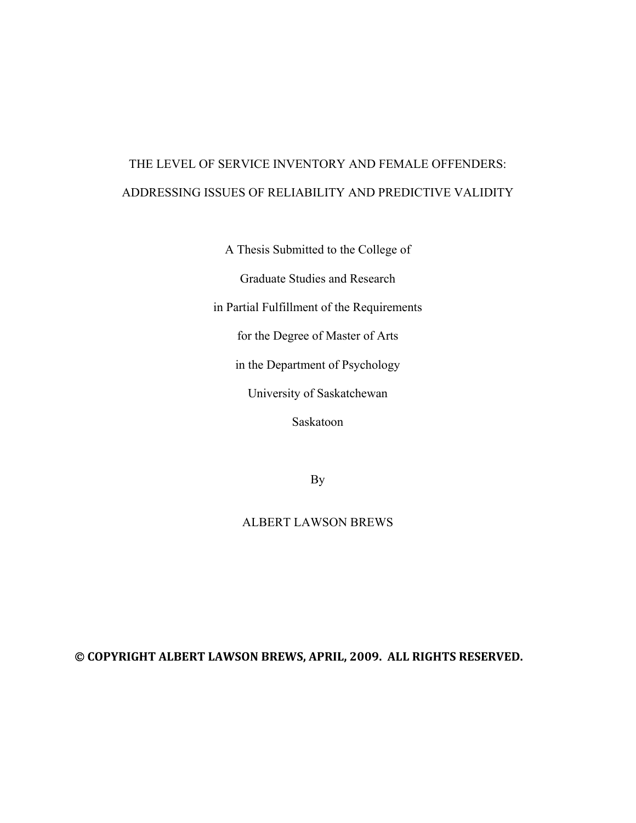# THE LEVEL OF SERVICE INVENTORY AND FEMALE OFFENDERS: ADDRESSING ISSUES OF RELIABILITY AND PREDICTIVE VALIDITY

A Thesis Submitted to the College of

Graduate Studies and Research

in Partial Fulfillment of the Requirements

for the Degree of Master of Arts

in the Department of Psychology

University of Saskatchewan

Saskatoon

By

# ALBERT LAWSON BREWS

#### © **COPYRIGHT ALBERT LAWSON BREWS, APRIL, 2009. ALL RIGHTS RESERVED.**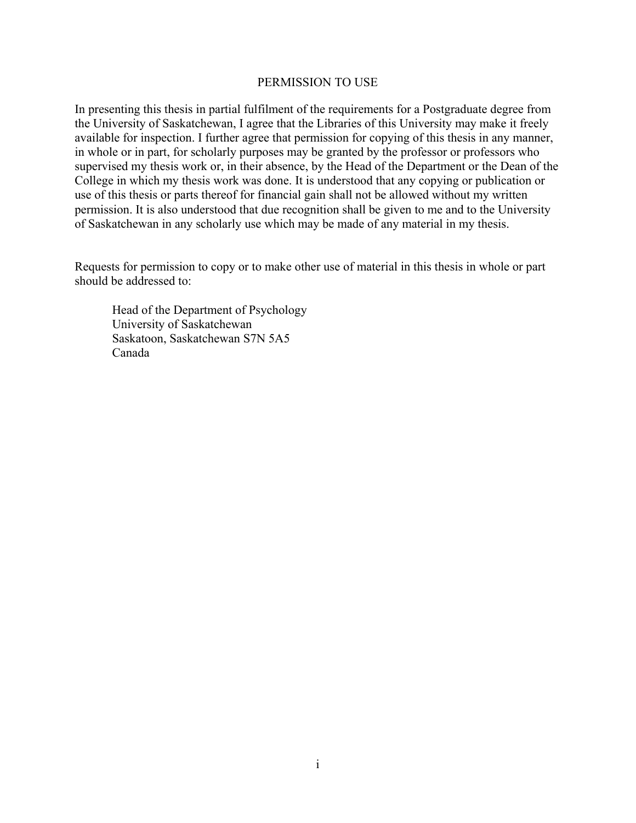#### PERMISSION TO USE

<span id="page-1-0"></span>In presenting this thesis in partial fulfilment of the requirements for a Postgraduate degree from the University of Saskatchewan, I agree that the Libraries of this University may make it freely available for inspection. I further agree that permission for copying of this thesis in any manner, in whole or in part, for scholarly purposes may be granted by the professor or professors who supervised my thesis work or, in their absence, by the Head of the Department or the Dean of the College in which my thesis work was done. It is understood that any copying or publication or use of this thesis or parts thereof for financial gain shall not be allowed without my written permission. It is also understood that due recognition shall be given to me and to the University of Saskatchewan in any scholarly use which may be made of any material in my thesis.

Requests for permission to copy or to make other use of material in this thesis in whole or part should be addressed to:

Head of the Department of Psychology University of Saskatchewan Saskatoon, Saskatchewan S7N 5A5 Canada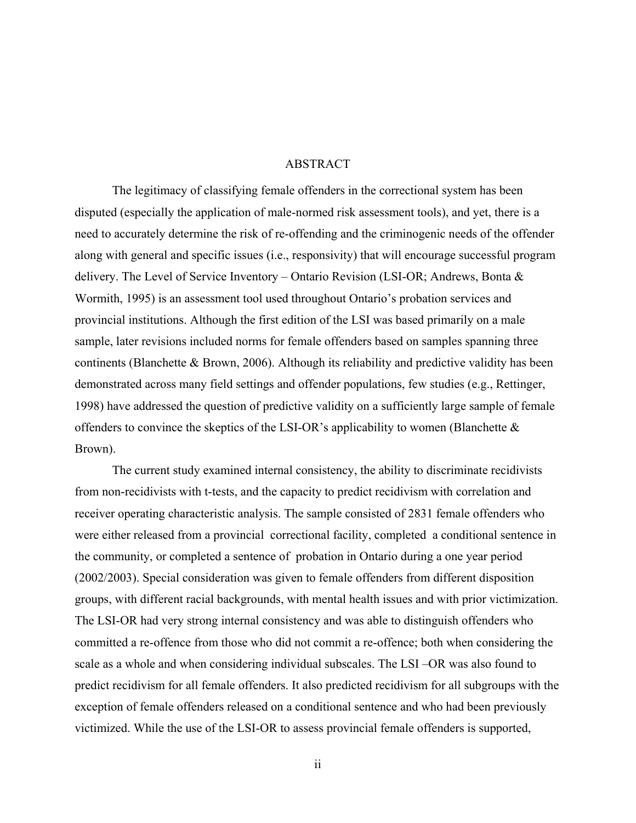#### ABSTRACT

<span id="page-2-0"></span>The legitimacy of classifying female offenders in the correctional system has been disputed (especially the application of male-normed risk assessment tools), and yet, there is a need to accurately determine the risk of re-offending and the criminogenic needs of the offender along with general and specific issues (i.e., responsivity) that will encourage successful program delivery. The Level of Service Inventory – Ontario Revision (LSI-OR; Andrews, Bonta & Wormith, 1995) is an assessment tool used throughout Ontario's probation services and provincial institutions. Although the first edition of the LSI was based primarily on a male sample, later revisions included norms for female offenders based on samples spanning three continents (Blanchette & Brown, 2006). Although its reliability and predictive validity has been demonstrated across many field settings and offender populations, few studies (e.g., Rettinger, 1998) have addressed the question of predictive validity on a sufficiently large sample of female offenders to convince the skeptics of the LSI-OR's applicability to women (Blanchette  $\&$ Brown).

The current study examined internal consistency, the ability to discriminate recidivists from non-recidivists with t-tests, and the capacity to predict recidivism with correlation and receiver operating characteristic analysis. The sample consisted of 2831 female offenders who were either released from a provincial correctional facility, completed a conditional sentence in the community, or completed a sentence of probation in Ontario during a one year period (2002/2003). Special consideration was given to female offenders from different disposition groups, with different racial backgrounds, with mental health issues and with prior victimization. The LSI-OR had very strong internal consistency and was able to distinguish offenders who committed a re-offence from those who did not commit a re-offence; both when considering the scale as a whole and when considering individual subscales. The LSI –OR was also found to predict recidivism for all female offenders. It also predicted recidivism for all subgroups with the exception of female offenders released on a conditional sentence and who had been previously victimized. While the use of the LSI-OR to assess provincial female offenders is supported,

ii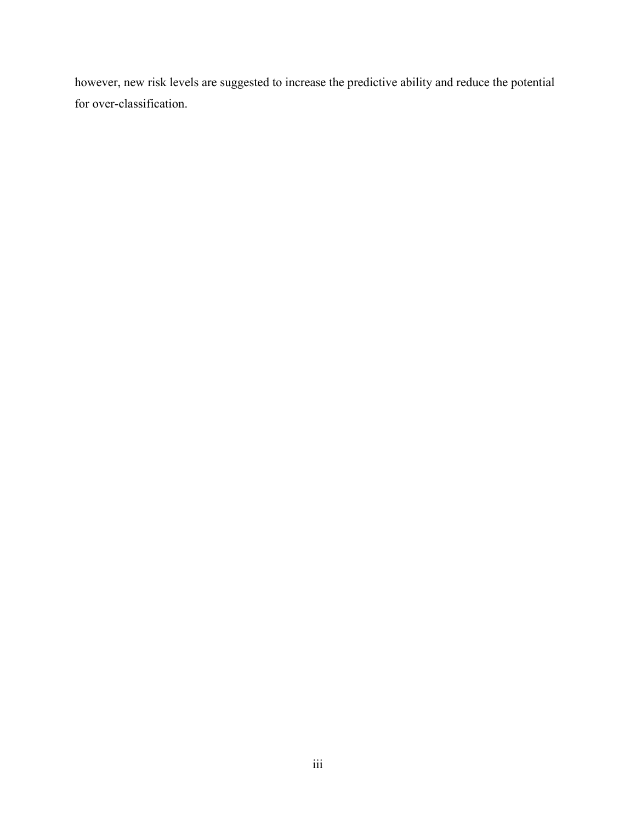however, new risk levels are suggested to increase the predictive ability and reduce the potential for over-classification.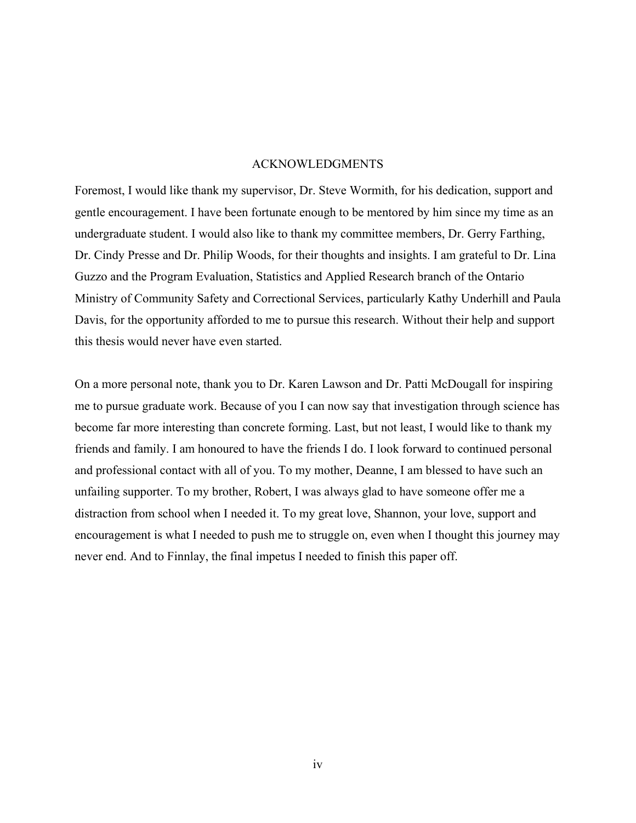#### ACKNOWLEDGMENTS

<span id="page-4-0"></span>Foremost, I would like thank my supervisor, Dr. Steve Wormith, for his dedication, support and gentle encouragement. I have been fortunate enough to be mentored by him since my time as an undergraduate student. I would also like to thank my committee members, Dr. Gerry Farthing, Dr. Cindy Presse and Dr. Philip Woods, for their thoughts and insights. I am grateful to Dr. Lina Guzzo and the Program Evaluation, Statistics and Applied Research branch of the Ontario Ministry of Community Safety and Correctional Services, particularly Kathy Underhill and Paula Davis, for the opportunity afforded to me to pursue this research. Without their help and support this thesis would never have even started.

On a more personal note, thank you to Dr. Karen Lawson and Dr. Patti McDougall for inspiring me to pursue graduate work. Because of you I can now say that investigation through science has become far more interesting than concrete forming. Last, but not least, I would like to thank my friends and family. I am honoured to have the friends I do. I look forward to continued personal and professional contact with all of you. To my mother, Deanne, I am blessed to have such an unfailing supporter. To my brother, Robert, I was always glad to have someone offer me a distraction from school when I needed it. To my great love, Shannon, your love, support and encouragement is what I needed to push me to struggle on, even when I thought this journey may never end. And to Finnlay, the final impetus I needed to finish this paper off.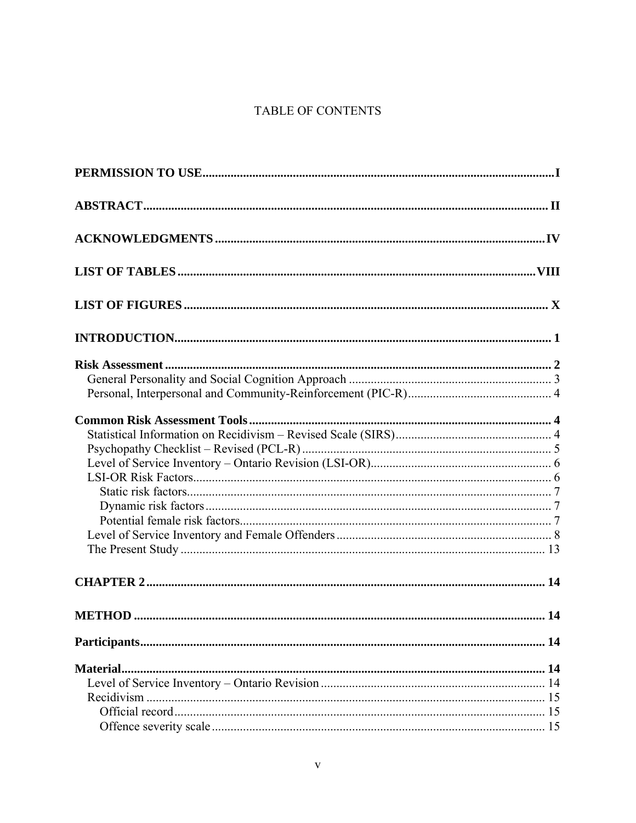# TABLE OF CONTENTS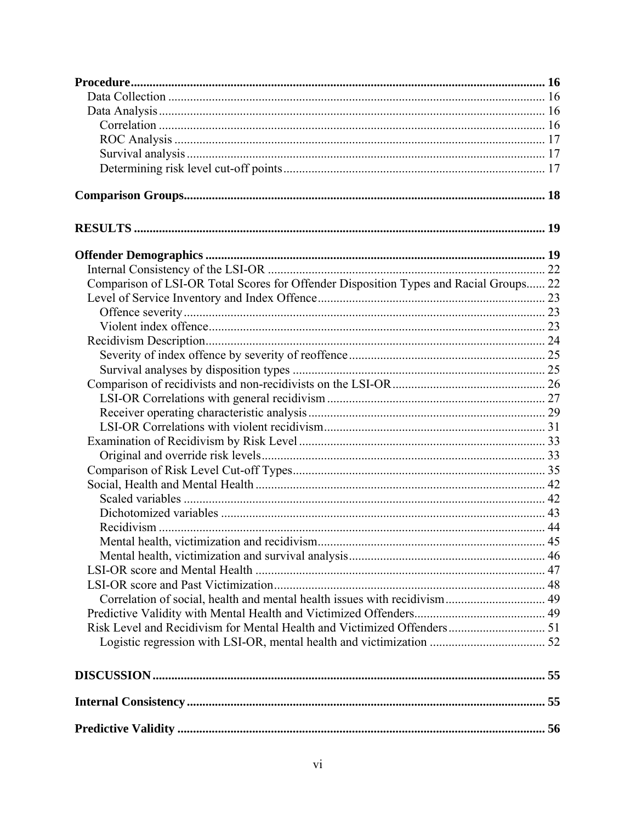| Comparison of LSI-OR Total Scores for Offender Disposition Types and Racial Groups 22 |  |
|---------------------------------------------------------------------------------------|--|
|                                                                                       |  |
|                                                                                       |  |
|                                                                                       |  |
|                                                                                       |  |
|                                                                                       |  |
|                                                                                       |  |
|                                                                                       |  |
|                                                                                       |  |
|                                                                                       |  |
|                                                                                       |  |
|                                                                                       |  |
|                                                                                       |  |
|                                                                                       |  |
|                                                                                       |  |
|                                                                                       |  |
|                                                                                       |  |
|                                                                                       |  |
|                                                                                       |  |
|                                                                                       |  |
|                                                                                       |  |
|                                                                                       |  |
|                                                                                       |  |
|                                                                                       |  |
|                                                                                       |  |
|                                                                                       |  |
|                                                                                       |  |
|                                                                                       |  |
|                                                                                       |  |
|                                                                                       |  |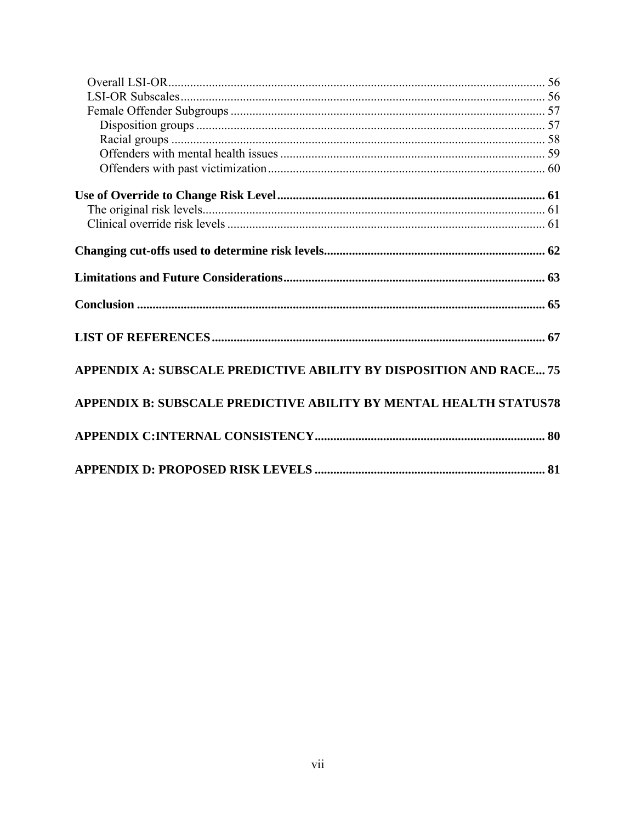| APPENDIX A: SUBSCALE PREDICTIVE ABILITY BY DISPOSITION AND RACE 75 |  |
|--------------------------------------------------------------------|--|
| APPENDIX B: SUBSCALE PREDICTIVE ABILITY BY MENTAL HEALTH STATUS78  |  |
|                                                                    |  |
|                                                                    |  |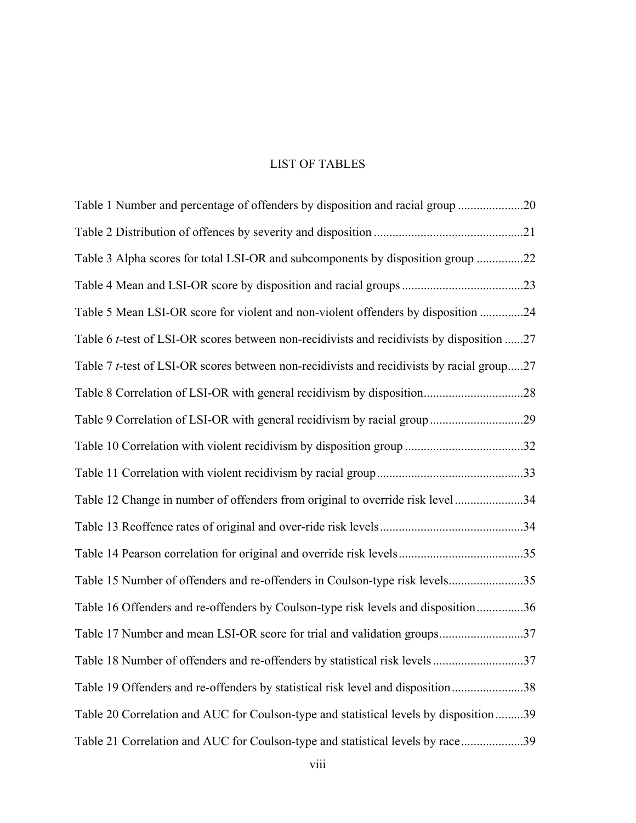# LIST OF TABLES

<span id="page-8-0"></span>

| Table 1 Number and percentage of offenders by disposition and racial group 20                     |  |
|---------------------------------------------------------------------------------------------------|--|
|                                                                                                   |  |
| Table 3 Alpha scores for total LSI-OR and subcomponents by disposition group 22                   |  |
|                                                                                                   |  |
| Table 5 Mean LSI-OR score for violent and non-violent offenders by disposition 24                 |  |
| Table 6 <i>t</i> -test of LSI-OR scores between non-recidivists and recidivists by disposition 27 |  |
| Table 7 <i>t</i> -test of LSI-OR scores between non-recidivists and recidivists by racial group27 |  |
|                                                                                                   |  |
| Table 9 Correlation of LSI-OR with general recidivism by racial group29                           |  |
| Table 10 Correlation with violent recidivism by disposition group 32                              |  |
|                                                                                                   |  |
| Table 12 Change in number of offenders from original to override risk level34                     |  |
|                                                                                                   |  |
|                                                                                                   |  |
| Table 15 Number of offenders and re-offenders in Coulson-type risk levels35                       |  |
| Table 16 Offenders and re-offenders by Coulson-type risk levels and disposition36                 |  |
| Table 17 Number and mean LSI-OR score for trial and validation groups37                           |  |
| Table 18 Number of offenders and re-offenders by statistical risk levels 37                       |  |
| Table 19 Offenders and re-offenders by statistical risk level and disposition38                   |  |
| Table 20 Correlation and AUC for Coulson-type and statistical levels by disposition39             |  |
| Table 21 Correlation and AUC for Coulson-type and statistical levels by race39                    |  |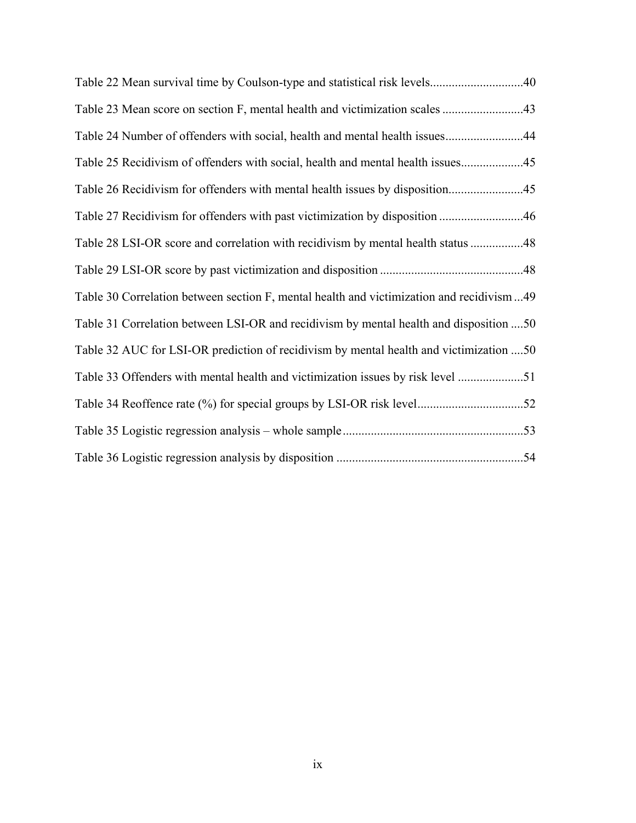| Table 24 Number of offenders with social, health and mental health issues44              |  |
|------------------------------------------------------------------------------------------|--|
| Table 25 Recidivism of offenders with social, health and mental health issues            |  |
|                                                                                          |  |
|                                                                                          |  |
| Table 28 LSI-OR score and correlation with recidivism by mental health status 48         |  |
|                                                                                          |  |
| Table 30 Correlation between section F, mental health and victimization and recidivism49 |  |
| Table 31 Correlation between LSI-OR and recidivism by mental health and disposition 50   |  |
| Table 32 AUC for LSI-OR prediction of recidivism by mental health and victimization 50   |  |
| Table 33 Offenders with mental health and victimization issues by risk level 51          |  |
|                                                                                          |  |
|                                                                                          |  |
|                                                                                          |  |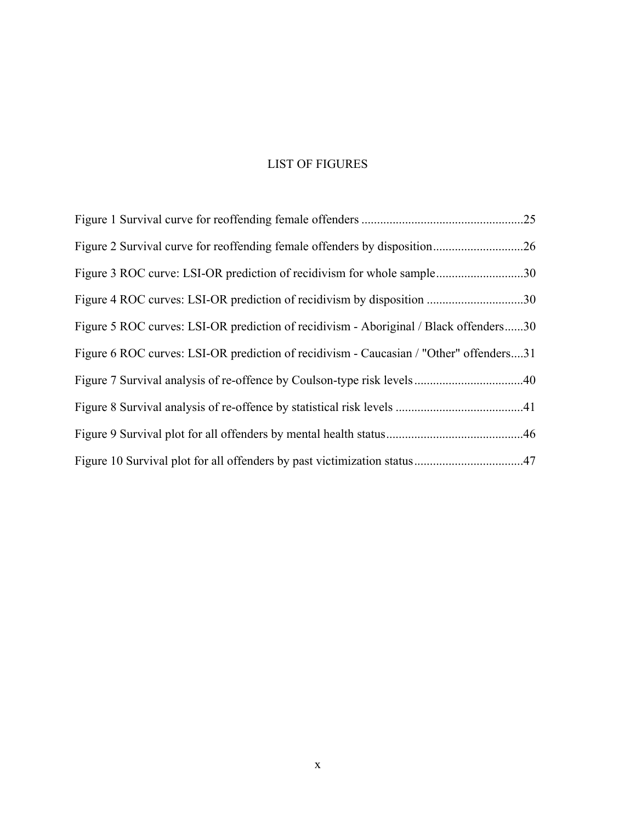# LIST OF FIGURES

<span id="page-10-0"></span>

| Figure 3 ROC curve: LSI-OR prediction of recidivism for whole sample30                 |  |
|----------------------------------------------------------------------------------------|--|
|                                                                                        |  |
| Figure 5 ROC curves: LSI-OR prediction of recidivism - Aboriginal / Black offenders30  |  |
| Figure 6 ROC curves: LSI-OR prediction of recidivism - Caucasian / "Other" offenders31 |  |
|                                                                                        |  |
|                                                                                        |  |
|                                                                                        |  |
|                                                                                        |  |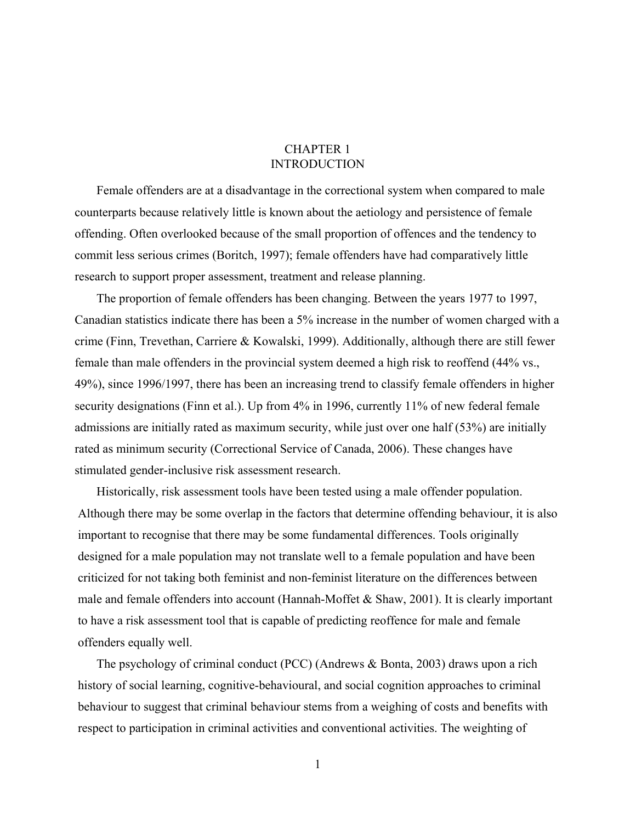### CHAPTER 1 INTRODUCTION

<span id="page-11-0"></span>Female offenders are at a disadvantage in the correctional system when compared to male counterparts because relatively little is known about the aetiology and persistence of female offending. Often overlooked because of the small proportion of offences and the tendency to commit less serious crimes (Boritch, 1997); female offenders have had comparatively little research to support proper assessment, treatment and release planning.

The proportion of female offenders has been changing. Between the years 1977 to 1997, Canadian statistics indicate there has been a 5% increase in the number of women charged with a crime (Finn, Trevethan, Carriere & Kowalski, 1999). Additionally, although there are still fewer female than male offenders in the provincial system deemed a high risk to reoffend (44% vs., 49%), since 1996/1997, there has been an increasing trend to classify female offenders in higher security designations (Finn et al.). Up from 4% in 1996, currently 11% of new federal female admissions are initially rated as maximum security, while just over one half (53%) are initially rated as minimum security (Correctional Service of Canada, 2006). These changes have stimulated gender-inclusive risk assessment research.

Historically, risk assessment tools have been tested using a male offender population. Although there may be some overlap in the factors that determine offending behaviour, it is also important to recognise that there may be some fundamental differences. Tools originally designed for a male population may not translate well to a female population and have been criticized for not taking both feminist and non-feminist literature on the differences between male and female offenders into account (Hannah-Moffet & Shaw, 2001). It is clearly important to have a risk assessment tool that is capable of predicting reoffence for male and female offenders equally well.

The psychology of criminal conduct (PCC) (Andrews & Bonta, 2003) draws upon a rich history of social learning, cognitive-behavioural, and social cognition approaches to criminal behaviour to suggest that criminal behaviour stems from a weighing of costs and benefits with respect to participation in criminal activities and conventional activities. The weighting of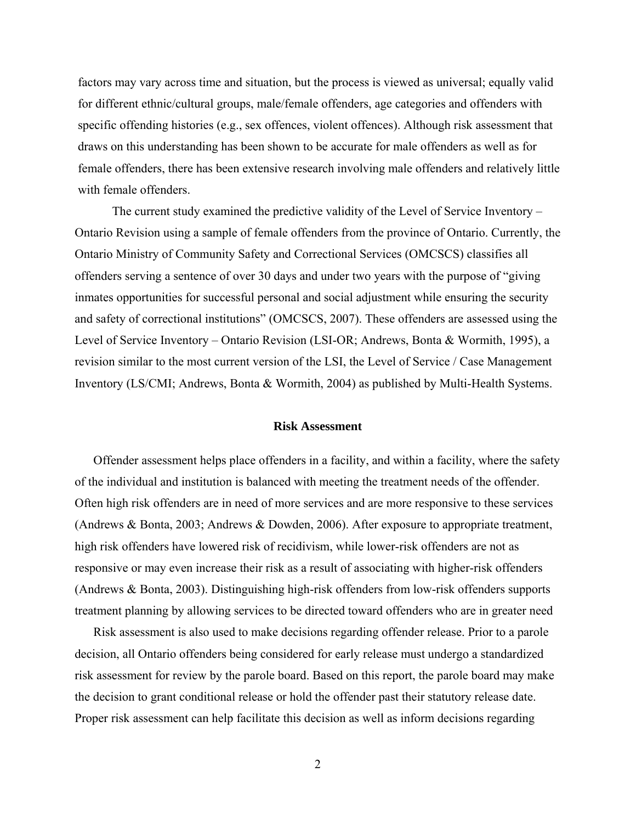<span id="page-12-0"></span>factors may vary across time and situation, but the process is viewed as universal; equally valid for different ethnic/cultural groups, male/female offenders, age categories and offenders with specific offending histories (e.g., sex offences, violent offences). Although risk assessment that draws on this understanding has been shown to be accurate for male offenders as well as for female offenders, there has been extensive research involving male offenders and relatively little with female offenders.

The current study examined the predictive validity of the Level of Service Inventory – Ontario Revision using a sample of female offenders from the province of Ontario. Currently, the Ontario Ministry of Community Safety and Correctional Services (OMCSCS) classifies all offenders serving a sentence of over 30 days and under two years with the purpose of "giving inmates opportunities for successful personal and social adjustment while ensuring the security and safety of correctional institutions" (OMCSCS, 2007). These offenders are assessed using the Level of Service Inventory – Ontario Revision (LSI-OR; Andrews, Bonta & Wormith, 1995), a revision similar to the most current version of the LSI, the Level of Service / Case Management Inventory (LS/CMI; Andrews, Bonta & Wormith, 2004) as published by Multi-Health Systems.

#### **Risk Assessment**

 Offender assessment helps place offenders in a facility, and within a facility, where the safety of the individual and institution is balanced with meeting the treatment needs of the offender. Often high risk offenders are in need of more services and are more responsive to these services (Andrews & Bonta, 2003; Andrews & Dowden, 2006). After exposure to appropriate treatment, high risk offenders have lowered risk of recidivism, while lower-risk offenders are not as responsive or may even increase their risk as a result of associating with higher-risk offenders (Andrews & Bonta, 2003). Distinguishing high-risk offenders from low-risk offenders supports treatment planning by allowing services to be directed toward offenders who are in greater need

 Risk assessment is also used to make decisions regarding offender release. Prior to a parole decision, all Ontario offenders being considered for early release must undergo a standardized risk assessment for review by the parole board. Based on this report, the parole board may make the decision to grant conditional release or hold the offender past their statutory release date. Proper risk assessment can help facilitate this decision as well as inform decisions regarding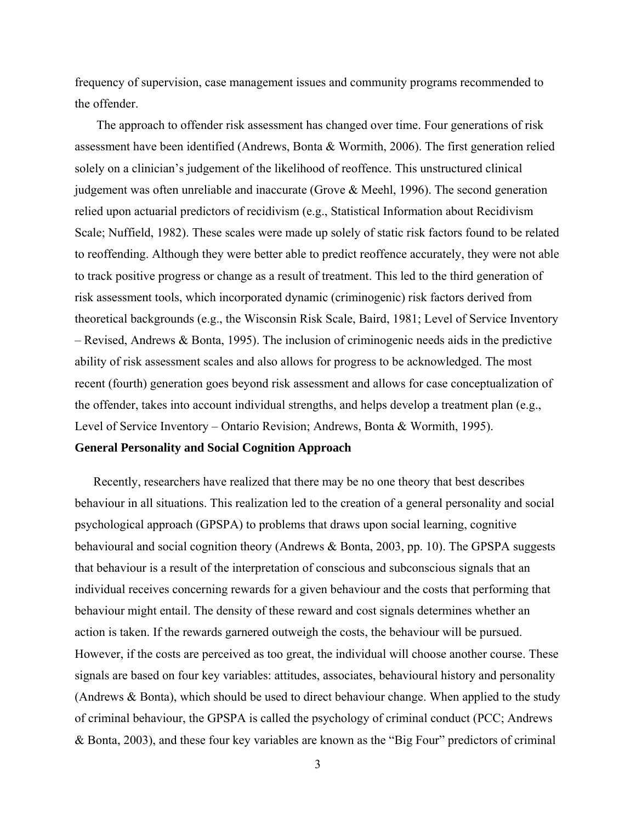<span id="page-13-0"></span>frequency of supervision, case management issues and community programs recommended to the offender.

The approach to offender risk assessment has changed over time. Four generations of risk assessment have been identified (Andrews, Bonta & Wormith, 2006). The first generation relied solely on a clinician's judgement of the likelihood of reoffence. This unstructured clinical judgement was often unreliable and inaccurate (Grove & Meehl, 1996). The second generation relied upon actuarial predictors of recidivism (e.g., Statistical Information about Recidivism Scale; Nuffield, 1982). These scales were made up solely of static risk factors found to be related to reoffending. Although they were better able to predict reoffence accurately, they were not able to track positive progress or change as a result of treatment. This led to the third generation of risk assessment tools, which incorporated dynamic (criminogenic) risk factors derived from theoretical backgrounds (e.g., the Wisconsin Risk Scale, Baird, 1981; Level of Service Inventory – Revised, Andrews & Bonta, 1995). The inclusion of criminogenic needs aids in the predictive ability of risk assessment scales and also allows for progress to be acknowledged. The most recent (fourth) generation goes beyond risk assessment and allows for case conceptualization of the offender, takes into account individual strengths, and helps develop a treatment plan (e.g., Level of Service Inventory – Ontario Revision; Andrews, Bonta & Wormith, 1995).

#### **General Personality and Social Cognition Approach**

 Recently, researchers have realized that there may be no one theory that best describes behaviour in all situations. This realization led to the creation of a general personality and social psychological approach (GPSPA) to problems that draws upon social learning, cognitive behavioural and social cognition theory (Andrews & Bonta, 2003, pp. 10). The GPSPA suggests that behaviour is a result of the interpretation of conscious and subconscious signals that an individual receives concerning rewards for a given behaviour and the costs that performing that behaviour might entail. The density of these reward and cost signals determines whether an action is taken. If the rewards garnered outweigh the costs, the behaviour will be pursued. However, if the costs are perceived as too great, the individual will choose another course. These signals are based on four key variables: attitudes, associates, behavioural history and personality (Andrews & Bonta), which should be used to direct behaviour change. When applied to the study of criminal behaviour, the GPSPA is called the psychology of criminal conduct (PCC; Andrews & Bonta, 2003), and these four key variables are known as the "Big Four" predictors of criminal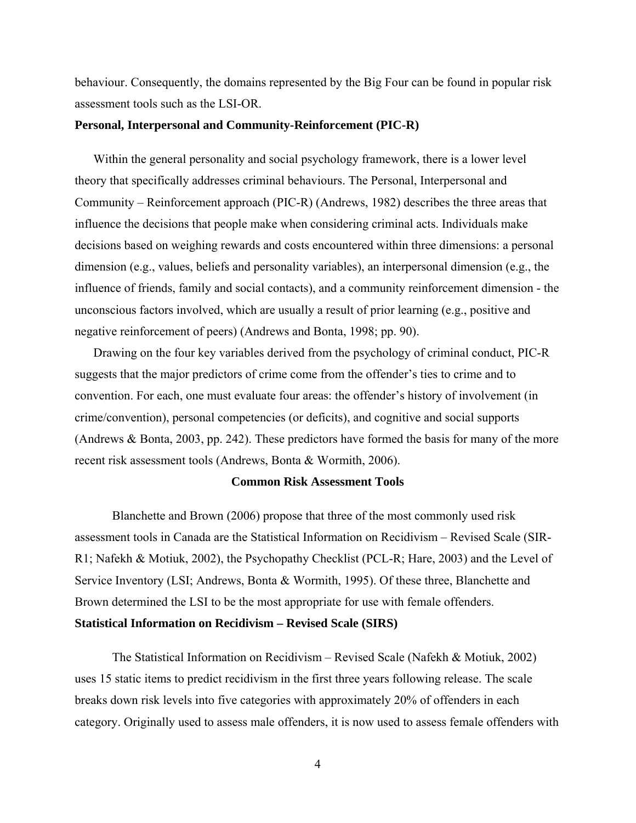<span id="page-14-0"></span>behaviour. Consequently, the domains represented by the Big Four can be found in popular risk assessment tools such as the LSI-OR.

#### **Personal, Interpersonal and Community-Reinforcement (PIC-R)**

Within the general personality and social psychology framework, there is a lower level theory that specifically addresses criminal behaviours. The Personal, Interpersonal and Community – Reinforcement approach (PIC-R) (Andrews, 1982) describes the three areas that influence the decisions that people make when considering criminal acts. Individuals make decisions based on weighing rewards and costs encountered within three dimensions: a personal dimension (e.g., values, beliefs and personality variables), an interpersonal dimension (e.g., the influence of friends, family and social contacts), and a community reinforcement dimension - the unconscious factors involved, which are usually a result of prior learning (e.g., positive and negative reinforcement of peers) (Andrews and Bonta, 1998; pp. 90).

Drawing on the four key variables derived from the psychology of criminal conduct, PIC-R suggests that the major predictors of crime come from the offender's ties to crime and to convention. For each, one must evaluate four areas: the offender's history of involvement (in crime/convention), personal competencies (or deficits), and cognitive and social supports (Andrews & Bonta, 2003, pp. 242). These predictors have formed the basis for many of the more recent risk assessment tools (Andrews, Bonta & Wormith, 2006).

#### **Common Risk Assessment Tools**

Blanchette and Brown (2006) propose that three of the most commonly used risk assessment tools in Canada are the Statistical Information on Recidivism – Revised Scale (SIR-R1; Nafekh & Motiuk, 2002), the Psychopathy Checklist (PCL-R; Hare, 2003) and the Level of Service Inventory (LSI; Andrews, Bonta & Wormith, 1995). Of these three, Blanchette and Brown determined the LSI to be the most appropriate for use with female offenders. **Statistical Information on Recidivism – Revised Scale (SIRS)** 

The Statistical Information on Recidivism – Revised Scale (Nafekh & Motiuk, 2002) uses 15 static items to predict recidivism in the first three years following release. The scale breaks down risk levels into five categories with approximately 20% of offenders in each category. Originally used to assess male offenders, it is now used to assess female offenders with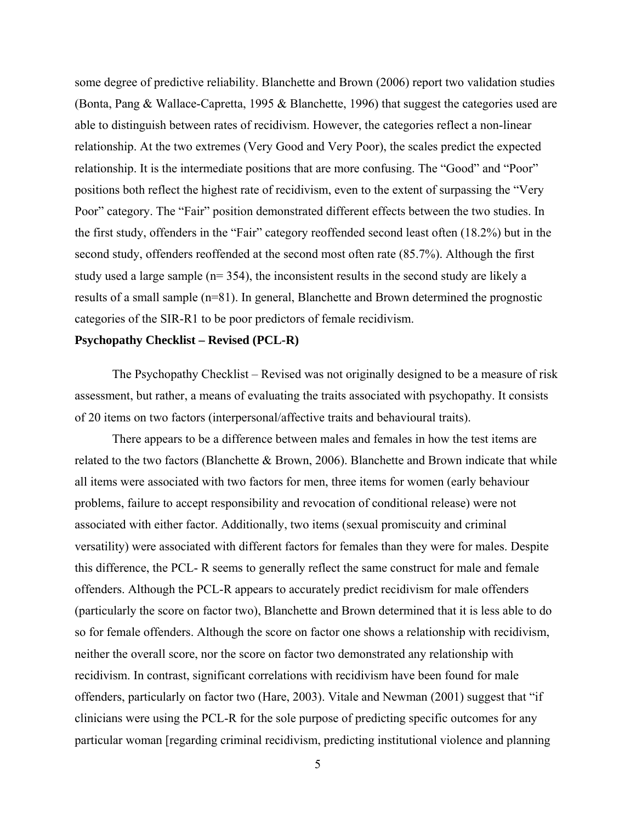<span id="page-15-0"></span>some degree of predictive reliability. Blanchette and Brown (2006) report two validation studies (Bonta, Pang & Wallace-Capretta, 1995 & Blanchette, 1996) that suggest the categories used are able to distinguish between rates of recidivism. However, the categories reflect a non-linear relationship. At the two extremes (Very Good and Very Poor), the scales predict the expected relationship. It is the intermediate positions that are more confusing. The "Good" and "Poor" positions both reflect the highest rate of recidivism, even to the extent of surpassing the "Very Poor" category. The "Fair" position demonstrated different effects between the two studies. In the first study, offenders in the "Fair" category reoffended second least often (18.2%) but in the second study, offenders reoffended at the second most often rate (85.7%). Although the first study used a large sample (n= 354), the inconsistent results in the second study are likely a results of a small sample (n=81). In general, Blanchette and Brown determined the prognostic categories of the SIR-R1 to be poor predictors of female recidivism.

#### **Psychopathy Checklist – Revised (PCL-R)**

The Psychopathy Checklist – Revised was not originally designed to be a measure of risk assessment, but rather, a means of evaluating the traits associated with psychopathy. It consists of 20 items on two factors (interpersonal/affective traits and behavioural traits).

There appears to be a difference between males and females in how the test items are related to the two factors (Blanchette & Brown, 2006). Blanchette and Brown indicate that while all items were associated with two factors for men, three items for women (early behaviour problems, failure to accept responsibility and revocation of conditional release) were not associated with either factor. Additionally, two items (sexual promiscuity and criminal versatility) were associated with different factors for females than they were for males. Despite this difference, the PCL- R seems to generally reflect the same construct for male and female offenders. Although the PCL-R appears to accurately predict recidivism for male offenders (particularly the score on factor two), Blanchette and Brown determined that it is less able to do so for female offenders. Although the score on factor one shows a relationship with recidivism, neither the overall score, nor the score on factor two demonstrated any relationship with recidivism. In contrast, significant correlations with recidivism have been found for male offenders, particularly on factor two (Hare, 2003). Vitale and Newman (2001) suggest that "if clinicians were using the PCL-R for the sole purpose of predicting specific outcomes for any particular woman [regarding criminal recidivism, predicting institutional violence and planning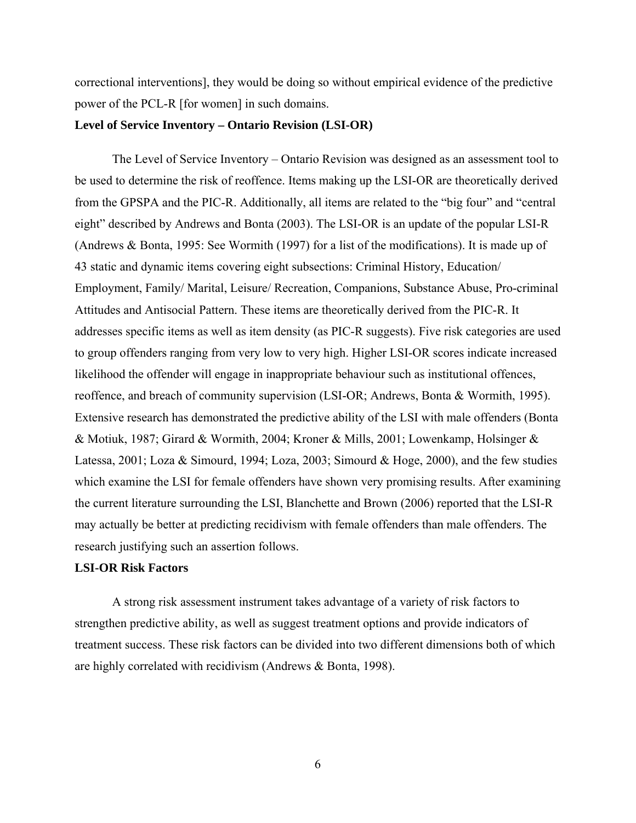<span id="page-16-0"></span>correctional interventions], they would be doing so without empirical evidence of the predictive power of the PCL-R [for women] in such domains.

#### **Level of Service Inventory – Ontario Revision (LSI-OR)**

The Level of Service Inventory – Ontario Revision was designed as an assessment tool to be used to determine the risk of reoffence. Items making up the LSI-OR are theoretically derived from the GPSPA and the PIC-R. Additionally, all items are related to the "big four" and "central eight" described by Andrews and Bonta (2003). The LSI-OR is an update of the popular LSI-R (Andrews & Bonta, 1995: See Wormith (1997) for a list of the modifications). It is made up of 43 static and dynamic items covering eight subsections: Criminal History, Education/ Employment, Family/ Marital, Leisure/ Recreation, Companions, Substance Abuse, Pro-criminal Attitudes and Antisocial Pattern. These items are theoretically derived from the PIC-R. It addresses specific items as well as item density (as PIC-R suggests). Five risk categories are used to group offenders ranging from very low to very high. Higher LSI-OR scores indicate increased likelihood the offender will engage in inappropriate behaviour such as institutional offences, reoffence, and breach of community supervision (LSI-OR; Andrews, Bonta & Wormith, 1995). Extensive research has demonstrated the predictive ability of the LSI with male offenders (Bonta & Motiuk, 1987; Girard & Wormith, 2004; Kroner & Mills, 2001; Lowenkamp, Holsinger & Latessa, 2001; Loza & Simourd, 1994; Loza, 2003; Simourd & Hoge, 2000), and the few studies which examine the LSI for female offenders have shown very promising results. After examining the current literature surrounding the LSI, Blanchette and Brown (2006) reported that the LSI-R may actually be better at predicting recidivism with female offenders than male offenders. The research justifying such an assertion follows.

#### **LSI-OR Risk Factors**

A strong risk assessment instrument takes advantage of a variety of risk factors to strengthen predictive ability, as well as suggest treatment options and provide indicators of treatment success. These risk factors can be divided into two different dimensions both of which are highly correlated with recidivism (Andrews & Bonta, 1998).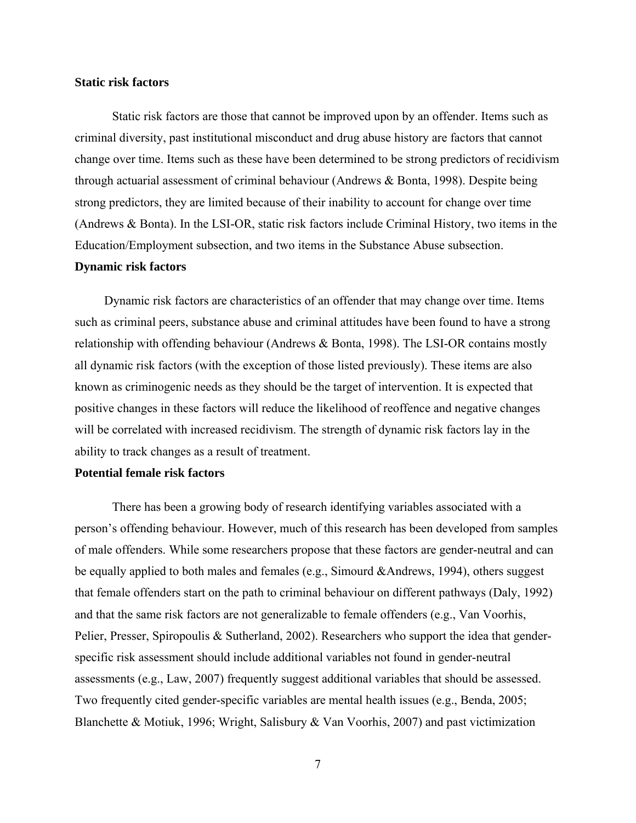#### <span id="page-17-0"></span>**Static risk factors**

Static risk factors are those that cannot be improved upon by an offender. Items such as criminal diversity, past institutional misconduct and drug abuse history are factors that cannot change over time. Items such as these have been determined to be strong predictors of recidivism through actuarial assessment of criminal behaviour (Andrews & Bonta, 1998). Despite being strong predictors, they are limited because of their inability to account for change over time (Andrews & Bonta). In the LSI-OR, static risk factors include Criminal History, two items in the Education/Employment subsection, and two items in the Substance Abuse subsection.

#### **Dynamic risk factors**

Dynamic risk factors are characteristics of an offender that may change over time. Items such as criminal peers, substance abuse and criminal attitudes have been found to have a strong relationship with offending behaviour (Andrews & Bonta, 1998). The LSI-OR contains mostly all dynamic risk factors (with the exception of those listed previously). These items are also known as criminogenic needs as they should be the target of intervention. It is expected that positive changes in these factors will reduce the likelihood of reoffence and negative changes will be correlated with increased recidivism. The strength of dynamic risk factors lay in the ability to track changes as a result of treatment.

#### **Potential female risk factors**

There has been a growing body of research identifying variables associated with a person's offending behaviour. However, much of this research has been developed from samples of male offenders. While some researchers propose that these factors are gender-neutral and can be equally applied to both males and females (e.g., Simourd &Andrews, 1994), others suggest that female offenders start on the path to criminal behaviour on different pathways (Daly, 1992) and that the same risk factors are not generalizable to female offenders (e.g., Van Voorhis, Pelier, Presser, Spiropoulis & Sutherland, 2002). Researchers who support the idea that genderspecific risk assessment should include additional variables not found in gender-neutral assessments (e.g., Law, 2007) frequently suggest additional variables that should be assessed. Two frequently cited gender-specific variables are mental health issues (e.g., Benda, 2005; Blanchette & Motiuk, 1996; Wright, Salisbury & Van Voorhis, 2007) and past victimization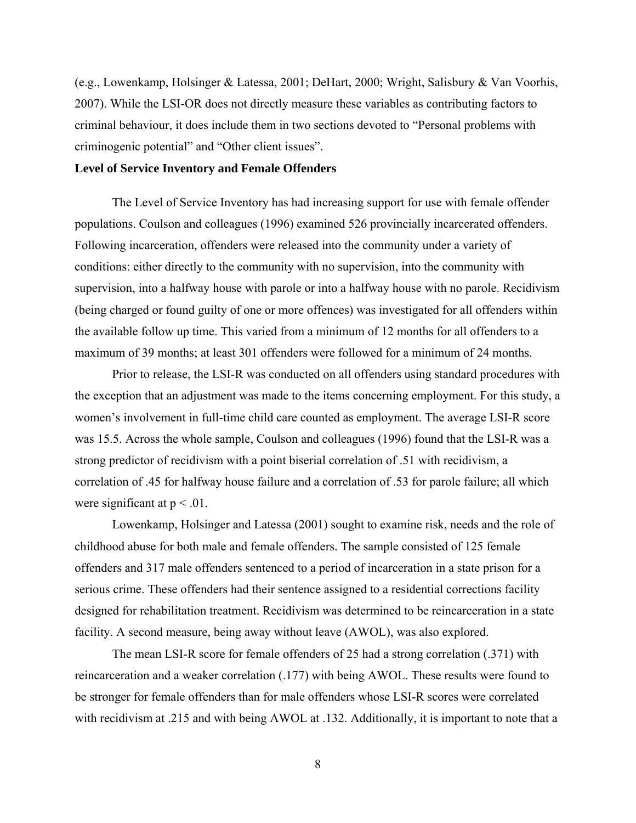<span id="page-18-0"></span>(e.g., Lowenkamp, Holsinger & Latessa, 2001; DeHart, 2000; Wright, Salisbury & Van Voorhis, 2007). While the LSI-OR does not directly measure these variables as contributing factors to criminal behaviour, it does include them in two sections devoted to "Personal problems with criminogenic potential" and "Other client issues".

#### **Level of Service Inventory and Female Offenders**

The Level of Service Inventory has had increasing support for use with female offender populations. Coulson and colleagues (1996) examined 526 provincially incarcerated offenders. Following incarceration, offenders were released into the community under a variety of conditions: either directly to the community with no supervision, into the community with supervision, into a halfway house with parole or into a halfway house with no parole. Recidivism (being charged or found guilty of one or more offences) was investigated for all offenders within the available follow up time. This varied from a minimum of 12 months for all offenders to a maximum of 39 months; at least 301 offenders were followed for a minimum of 24 months.

Prior to release, the LSI-R was conducted on all offenders using standard procedures with the exception that an adjustment was made to the items concerning employment. For this study, a women's involvement in full-time child care counted as employment. The average LSI-R score was 15.5. Across the whole sample, Coulson and colleagues (1996) found that the LSI-R was a strong predictor of recidivism with a point biserial correlation of .51 with recidivism, a correlation of .45 for halfway house failure and a correlation of .53 for parole failure; all which were significant at  $p < .01$ .

Lowenkamp, Holsinger and Latessa (2001) sought to examine risk, needs and the role of childhood abuse for both male and female offenders. The sample consisted of 125 female offenders and 317 male offenders sentenced to a period of incarceration in a state prison for a serious crime. These offenders had their sentence assigned to a residential corrections facility designed for rehabilitation treatment. Recidivism was determined to be reincarceration in a state facility. A second measure, being away without leave (AWOL), was also explored.

The mean LSI-R score for female offenders of 25 had a strong correlation (.371) with reincarceration and a weaker correlation (.177) with being AWOL. These results were found to be stronger for female offenders than for male offenders whose LSI-R scores were correlated with recidivism at .215 and with being AWOL at .132. Additionally, it is important to note that a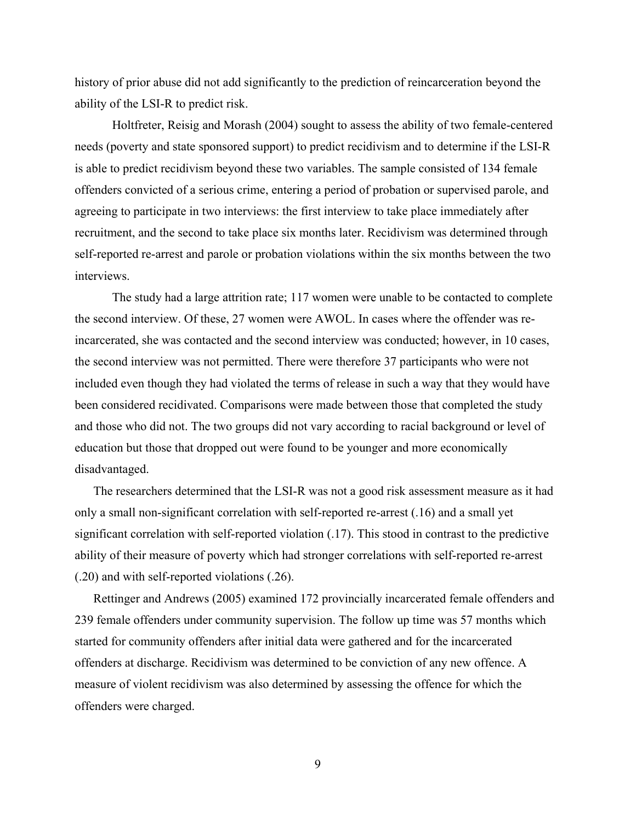history of prior abuse did not add significantly to the prediction of reincarceration beyond the ability of the LSI-R to predict risk.

Holtfreter, Reisig and Morash (2004) sought to assess the ability of two female-centered needs (poverty and state sponsored support) to predict recidivism and to determine if the LSI-R is able to predict recidivism beyond these two variables. The sample consisted of 134 female offenders convicted of a serious crime, entering a period of probation or supervised parole, and agreeing to participate in two interviews: the first interview to take place immediately after recruitment, and the second to take place six months later. Recidivism was determined through self-reported re-arrest and parole or probation violations within the six months between the two interviews.

The study had a large attrition rate; 117 women were unable to be contacted to complete the second interview. Of these, 27 women were AWOL. In cases where the offender was reincarcerated, she was contacted and the second interview was conducted; however, in 10 cases, the second interview was not permitted. There were therefore 37 participants who were not included even though they had violated the terms of release in such a way that they would have been considered recidivated. Comparisons were made between those that completed the study and those who did not. The two groups did not vary according to racial background or level of education but those that dropped out were found to be younger and more economically disadvantaged.

The researchers determined that the LSI-R was not a good risk assessment measure as it had only a small non-significant correlation with self-reported re-arrest (.16) and a small yet significant correlation with self-reported violation (.17). This stood in contrast to the predictive ability of their measure of poverty which had stronger correlations with self-reported re-arrest (.20) and with self-reported violations (.26).

Rettinger and Andrews (2005) examined 172 provincially incarcerated female offenders and 239 female offenders under community supervision. The follow up time was 57 months which started for community offenders after initial data were gathered and for the incarcerated offenders at discharge. Recidivism was determined to be conviction of any new offence. A measure of violent recidivism was also determined by assessing the offence for which the offenders were charged.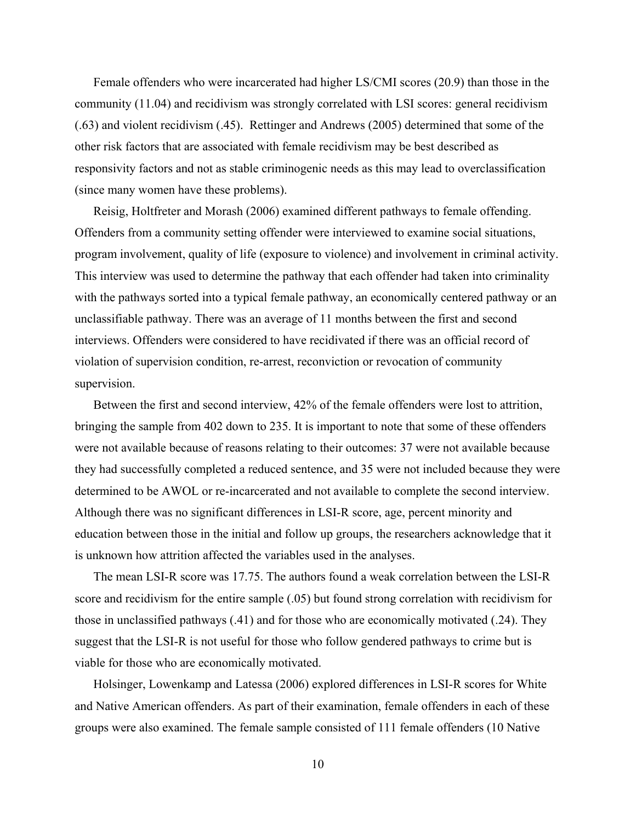Female offenders who were incarcerated had higher LS/CMI scores (20.9) than those in the community (11.04) and recidivism was strongly correlated with LSI scores: general recidivism (.63) and violent recidivism (.45). Rettinger and Andrews (2005) determined that some of the other risk factors that are associated with female recidivism may be best described as responsivity factors and not as stable criminogenic needs as this may lead to overclassification (since many women have these problems).

Reisig, Holtfreter and Morash (2006) examined different pathways to female offending. Offenders from a community setting offender were interviewed to examine social situations, program involvement, quality of life (exposure to violence) and involvement in criminal activity. This interview was used to determine the pathway that each offender had taken into criminality with the pathways sorted into a typical female pathway, an economically centered pathway or an unclassifiable pathway. There was an average of 11 months between the first and second interviews. Offenders were considered to have recidivated if there was an official record of violation of supervision condition, re-arrest, reconviction or revocation of community supervision.

Between the first and second interview, 42% of the female offenders were lost to attrition, bringing the sample from 402 down to 235. It is important to note that some of these offenders were not available because of reasons relating to their outcomes: 37 were not available because they had successfully completed a reduced sentence, and 35 were not included because they were determined to be AWOL or re-incarcerated and not available to complete the second interview. Although there was no significant differences in LSI-R score, age, percent minority and education between those in the initial and follow up groups, the researchers acknowledge that it is unknown how attrition affected the variables used in the analyses.

The mean LSI-R score was 17.75. The authors found a weak correlation between the LSI-R score and recidivism for the entire sample (.05) but found strong correlation with recidivism for those in unclassified pathways (.41) and for those who are economically motivated (.24). They suggest that the LSI-R is not useful for those who follow gendered pathways to crime but is viable for those who are economically motivated.

Holsinger, Lowenkamp and Latessa (2006) explored differences in LSI-R scores for White and Native American offenders. As part of their examination, female offenders in each of these groups were also examined. The female sample consisted of 111 female offenders (10 Native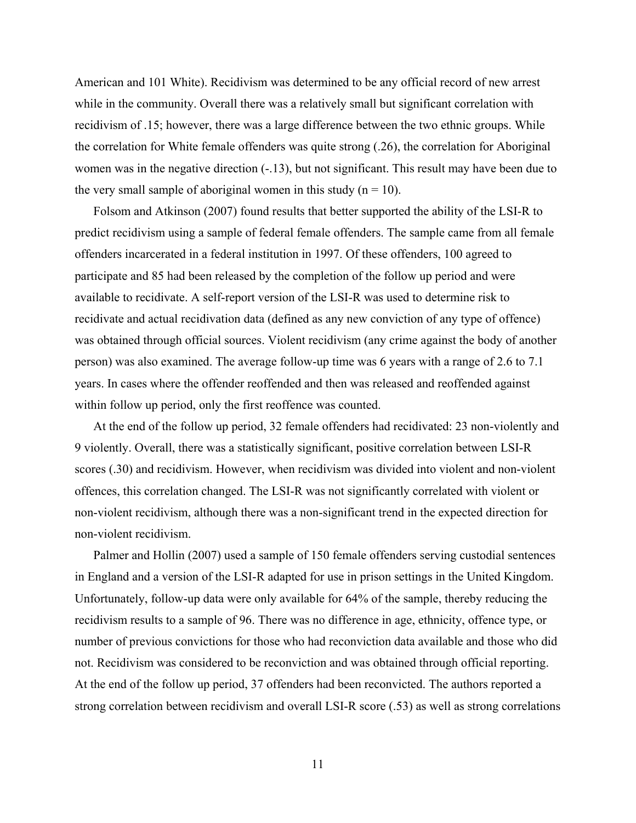American and 101 White). Recidivism was determined to be any official record of new arrest while in the community. Overall there was a relatively small but significant correlation with recidivism of .15; however, there was a large difference between the two ethnic groups. While the correlation for White female offenders was quite strong (.26), the correlation for Aboriginal women was in the negative direction  $(-.13)$ , but not significant. This result may have been due to the very small sample of aboriginal women in this study  $(n = 10)$ .

Folsom and Atkinson (2007) found results that better supported the ability of the LSI-R to predict recidivism using a sample of federal female offenders. The sample came from all female offenders incarcerated in a federal institution in 1997. Of these offenders, 100 agreed to participate and 85 had been released by the completion of the follow up period and were available to recidivate. A self-report version of the LSI-R was used to determine risk to recidivate and actual recidivation data (defined as any new conviction of any type of offence) was obtained through official sources. Violent recidivism (any crime against the body of another person) was also examined. The average follow-up time was 6 years with a range of 2.6 to 7.1 years. In cases where the offender reoffended and then was released and reoffended against within follow up period, only the first reoffence was counted.

At the end of the follow up period, 32 female offenders had recidivated: 23 non-violently and 9 violently. Overall, there was a statistically significant, positive correlation between LSI-R scores (.30) and recidivism. However, when recidivism was divided into violent and non-violent offences, this correlation changed. The LSI-R was not significantly correlated with violent or non-violent recidivism, although there was a non-significant trend in the expected direction for non-violent recidivism.

Palmer and Hollin (2007) used a sample of 150 female offenders serving custodial sentences in England and a version of the LSI-R adapted for use in prison settings in the United Kingdom. Unfortunately, follow-up data were only available for 64% of the sample, thereby reducing the recidivism results to a sample of 96. There was no difference in age, ethnicity, offence type, or number of previous convictions for those who had reconviction data available and those who did not. Recidivism was considered to be reconviction and was obtained through official reporting. At the end of the follow up period, 37 offenders had been reconvicted. The authors reported a strong correlation between recidivism and overall LSI-R score (.53) as well as strong correlations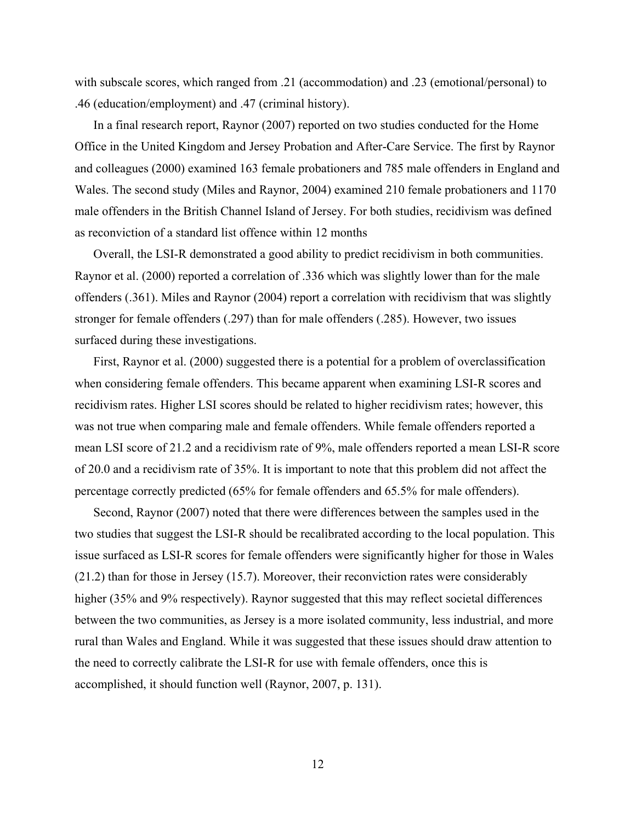with subscale scores, which ranged from .21 (accommodation) and .23 (emotional/personal) to .46 (education/employment) and .47 (criminal history).

In a final research report, Raynor (2007) reported on two studies conducted for the Home Office in the United Kingdom and Jersey Probation and After-Care Service. The first by Raynor and colleagues (2000) examined 163 female probationers and 785 male offenders in England and Wales. The second study (Miles and Raynor, 2004) examined 210 female probationers and 1170 male offenders in the British Channel Island of Jersey. For both studies, recidivism was defined as reconviction of a standard list offence within 12 months

Overall, the LSI-R demonstrated a good ability to predict recidivism in both communities. Raynor et al. (2000) reported a correlation of .336 which was slightly lower than for the male offenders (.361). Miles and Raynor (2004) report a correlation with recidivism that was slightly stronger for female offenders (.297) than for male offenders (.285). However, two issues surfaced during these investigations.

First, Raynor et al. (2000) suggested there is a potential for a problem of overclassification when considering female offenders. This became apparent when examining LSI-R scores and recidivism rates. Higher LSI scores should be related to higher recidivism rates; however, this was not true when comparing male and female offenders. While female offenders reported a mean LSI score of 21.2 and a recidivism rate of 9%, male offenders reported a mean LSI-R score of 20.0 and a recidivism rate of 35%. It is important to note that this problem did not affect the percentage correctly predicted (65% for female offenders and 65.5% for male offenders).

Second, Raynor (2007) noted that there were differences between the samples used in the two studies that suggest the LSI-R should be recalibrated according to the local population. This issue surfaced as LSI-R scores for female offenders were significantly higher for those in Wales (21.2) than for those in Jersey (15.7). Moreover, their reconviction rates were considerably higher (35% and 9% respectively). Raynor suggested that this may reflect societal differences between the two communities, as Jersey is a more isolated community, less industrial, and more rural than Wales and England. While it was suggested that these issues should draw attention to the need to correctly calibrate the LSI-R for use with female offenders, once this is accomplished, it should function well (Raynor, 2007, p. 131).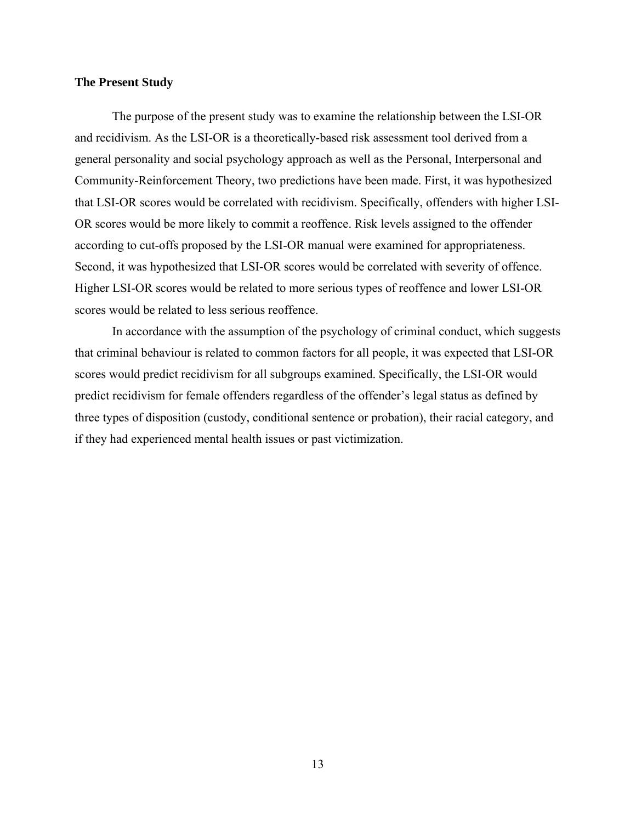#### <span id="page-23-0"></span>**The Present Study**

The purpose of the present study was to examine the relationship between the LSI-OR and recidivism. As the LSI-OR is a theoretically-based risk assessment tool derived from a general personality and social psychology approach as well as the Personal, Interpersonal and Community-Reinforcement Theory, two predictions have been made. First, it was hypothesized that LSI-OR scores would be correlated with recidivism. Specifically, offenders with higher LSI-OR scores would be more likely to commit a reoffence. Risk levels assigned to the offender according to cut-offs proposed by the LSI-OR manual were examined for appropriateness. Second, it was hypothesized that LSI-OR scores would be correlated with severity of offence. Higher LSI-OR scores would be related to more serious types of reoffence and lower LSI-OR scores would be related to less serious reoffence.

In accordance with the assumption of the psychology of criminal conduct, which suggests that criminal behaviour is related to common factors for all people, it was expected that LSI-OR scores would predict recidivism for all subgroups examined. Specifically, the LSI-OR would predict recidivism for female offenders regardless of the offender's legal status as defined by three types of disposition (custody, conditional sentence or probation), their racial category, and if they had experienced mental health issues or past victimization.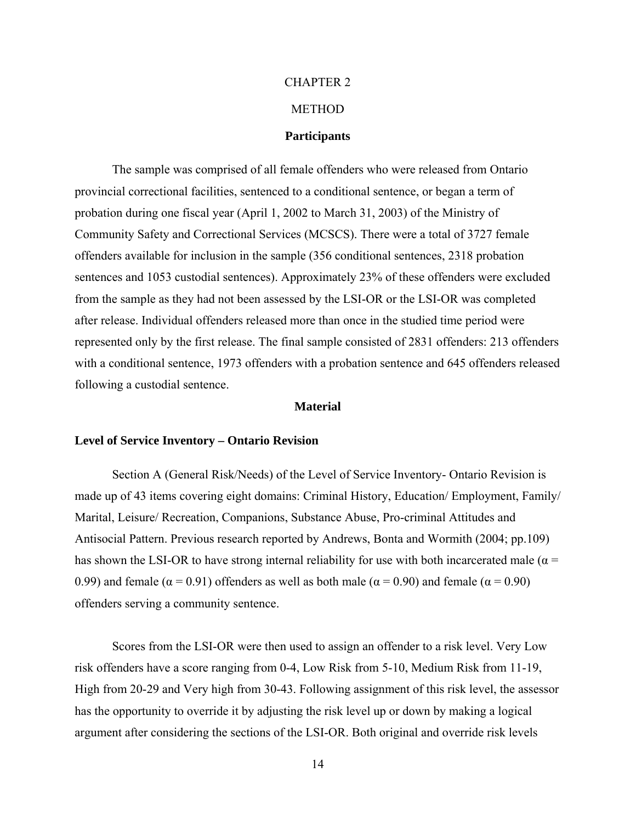#### CHAPTER 2

### **METHOD**

#### **Participants**

<span id="page-24-0"></span>The sample was comprised of all female offenders who were released from Ontario provincial correctional facilities, sentenced to a conditional sentence, or began a term of probation during one fiscal year (April 1, 2002 to March 31, 2003) of the Ministry of Community Safety and Correctional Services (MCSCS). There were a total of 3727 female offenders available for inclusion in the sample (356 conditional sentences, 2318 probation sentences and 1053 custodial sentences). Approximately 23% of these offenders were excluded from the sample as they had not been assessed by the LSI-OR or the LSI-OR was completed after release. Individual offenders released more than once in the studied time period were represented only by the first release. The final sample consisted of 2831 offenders: 213 offenders with a conditional sentence, 1973 offenders with a probation sentence and 645 offenders released following a custodial sentence.

#### **Material**

#### **Level of Service Inventory – Ontario Revision**

Section A (General Risk/Needs) of the Level of Service Inventory- Ontario Revision is made up of 43 items covering eight domains: Criminal History, Education/ Employment, Family/ Marital, Leisure/ Recreation, Companions, Substance Abuse, Pro-criminal Attitudes and Antisocial Pattern. Previous research reported by Andrews, Bonta and Wormith (2004; pp.109) has shown the LSI-OR to have strong internal reliability for use with both incarcerated male ( $\alpha$  = 0.99) and female ( $\alpha$  = 0.91) offenders as well as both male ( $\alpha$  = 0.90) and female ( $\alpha$  = 0.90) offenders serving a community sentence.

Scores from the LSI-OR were then used to assign an offender to a risk level. Very Low risk offenders have a score ranging from 0-4, Low Risk from 5-10, Medium Risk from 11-19, High from 20-29 and Very high from 30-43. Following assignment of this risk level, the assessor has the opportunity to override it by adjusting the risk level up or down by making a logical argument after considering the sections of the LSI-OR. Both original and override risk levels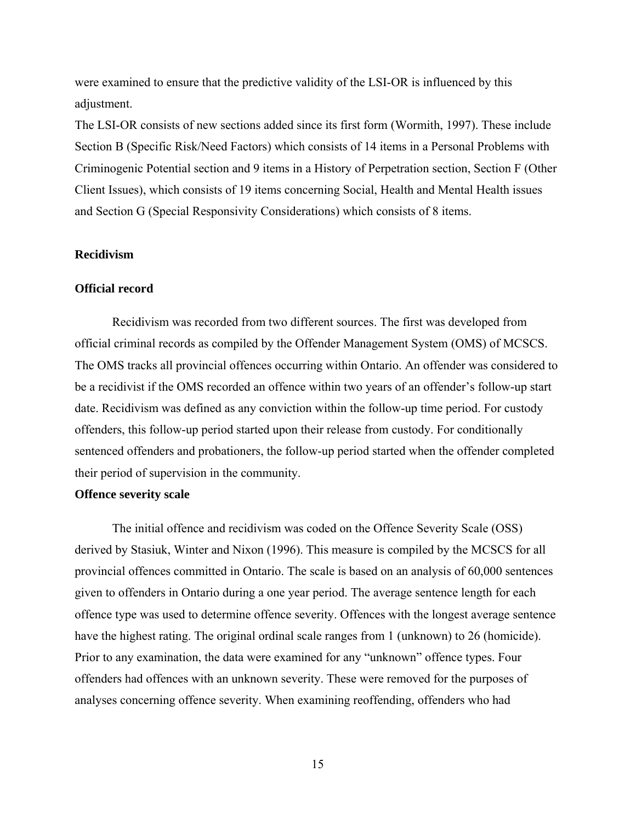<span id="page-25-0"></span>were examined to ensure that the predictive validity of the LSI-OR is influenced by this adjustment.

The LSI-OR consists of new sections added since its first form (Wormith, 1997). These include Section B (Specific Risk/Need Factors) which consists of 14 items in a Personal Problems with Criminogenic Potential section and 9 items in a History of Perpetration section, Section F (Other Client Issues), which consists of 19 items concerning Social, Health and Mental Health issues and Section G (Special Responsivity Considerations) which consists of 8 items.

#### **Recidivism**

#### **Official record**

Recidivism was recorded from two different sources. The first was developed from official criminal records as compiled by the Offender Management System (OMS) of MCSCS. The OMS tracks all provincial offences occurring within Ontario. An offender was considered to be a recidivist if the OMS recorded an offence within two years of an offender's follow-up start date. Recidivism was defined as any conviction within the follow-up time period. For custody offenders, this follow-up period started upon their release from custody. For conditionally sentenced offenders and probationers, the follow-up period started when the offender completed their period of supervision in the community.

#### **Offence severity scale**

The initial offence and recidivism was coded on the Offence Severity Scale (OSS) derived by Stasiuk, Winter and Nixon (1996). This measure is compiled by the MCSCS for all provincial offences committed in Ontario. The scale is based on an analysis of 60,000 sentences given to offenders in Ontario during a one year period. The average sentence length for each offence type was used to determine offence severity. Offences with the longest average sentence have the highest rating. The original ordinal scale ranges from 1 (unknown) to 26 (homicide). Prior to any examination, the data were examined for any "unknown" offence types. Four offenders had offences with an unknown severity. These were removed for the purposes of analyses concerning offence severity. When examining reoffending, offenders who had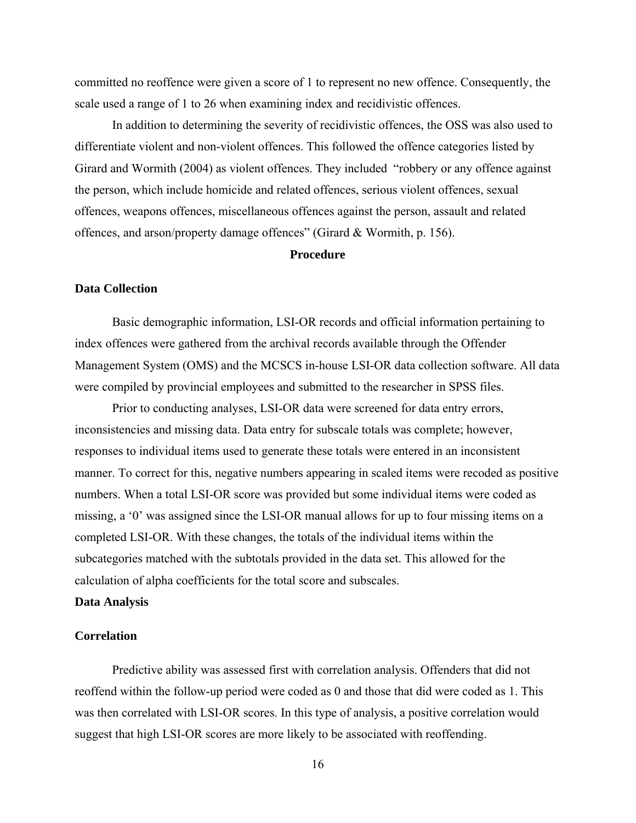<span id="page-26-0"></span>committed no reoffence were given a score of 1 to represent no new offence. Consequently, the scale used a range of 1 to 26 when examining index and recidivistic offences.

In addition to determining the severity of recidivistic offences, the OSS was also used to differentiate violent and non-violent offences. This followed the offence categories listed by Girard and Wormith (2004) as violent offences. They included "robbery or any offence against the person, which include homicide and related offences, serious violent offences, sexual offences, weapons offences, miscellaneous offences against the person, assault and related offences, and arson/property damage offences" (Girard & Wormith, p. 156).

#### **Procedure**

#### **Data Collection**

Basic demographic information, LSI-OR records and official information pertaining to index offences were gathered from the archival records available through the Offender Management System (OMS) and the MCSCS in-house LSI-OR data collection software. All data were compiled by provincial employees and submitted to the researcher in SPSS files.

Prior to conducting analyses, LSI-OR data were screened for data entry errors, inconsistencies and missing data. Data entry for subscale totals was complete; however, responses to individual items used to generate these totals were entered in an inconsistent manner. To correct for this, negative numbers appearing in scaled items were recoded as positive numbers. When a total LSI-OR score was provided but some individual items were coded as missing, a '0' was assigned since the LSI-OR manual allows for up to four missing items on a completed LSI-OR. With these changes, the totals of the individual items within the subcategories matched with the subtotals provided in the data set. This allowed for the calculation of alpha coefficients for the total score and subscales.

#### **Data Analysis**

#### **Correlation**

Predictive ability was assessed first with correlation analysis. Offenders that did not reoffend within the follow-up period were coded as 0 and those that did were coded as 1. This was then correlated with LSI-OR scores. In this type of analysis, a positive correlation would suggest that high LSI-OR scores are more likely to be associated with reoffending.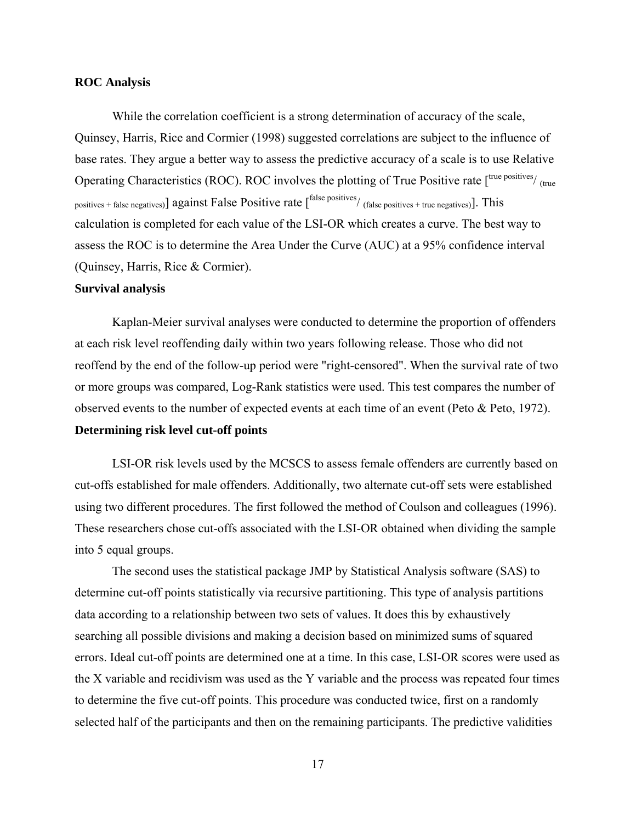#### <span id="page-27-0"></span>**ROC Analysis**

While the correlation coefficient is a strong determination of accuracy of the scale, Quinsey, Harris, Rice and Cormier (1998) suggested correlations are subject to the influence of base rates. They argue a better way to assess the predictive accuracy of a scale is to use Relative Operating Characteristics (ROC). ROC involves the plotting of True Positive rate  $\int_{\text{true}}^{\text{true}}$  positives/ $\int_{\text{true}}$ positives + false negatives)] against False Positive rate  $\int^{\text{false positives}}_{\text{(false positives + true negatives)}}$ . This calculation is completed for each value of the LSI-OR which creates a curve. The best way to assess the ROC is to determine the Area Under the Curve (AUC) at a 95% confidence interval (Quinsey, Harris, Rice & Cormier).

#### **Survival analysis**

Kaplan-Meier survival analyses were conducted to determine the proportion of offenders at each risk level reoffending daily within two years following release. Those who did not reoffend by the end of the follow-up period were "right-censored". When the survival rate of two or more groups was compared, Log-Rank statistics were used. This test compares the number of observed events to the number of expected events at each time of an event (Peto & Peto, 1972). **Determining risk level cut-off points** 

LSI-OR risk levels used by the MCSCS to assess female offenders are currently based on cut-offs established for male offenders. Additionally, two alternate cut-off sets were established using two different procedures. The first followed the method of Coulson and colleagues (1996). These researchers chose cut-offs associated with the LSI-OR obtained when dividing the sample into 5 equal groups.

The second uses the statistical package JMP by Statistical Analysis software (SAS) to determine cut-off points statistically via recursive partitioning. This type of analysis partitions data according to a relationship between two sets of values. It does this by exhaustively searching all possible divisions and making a decision based on minimized sums of squared errors. Ideal cut-off points are determined one at a time. In this case, LSI-OR scores were used as the X variable and recidivism was used as the Y variable and the process was repeated four times to determine the five cut-off points. This procedure was conducted twice, first on a randomly selected half of the participants and then on the remaining participants. The predictive validities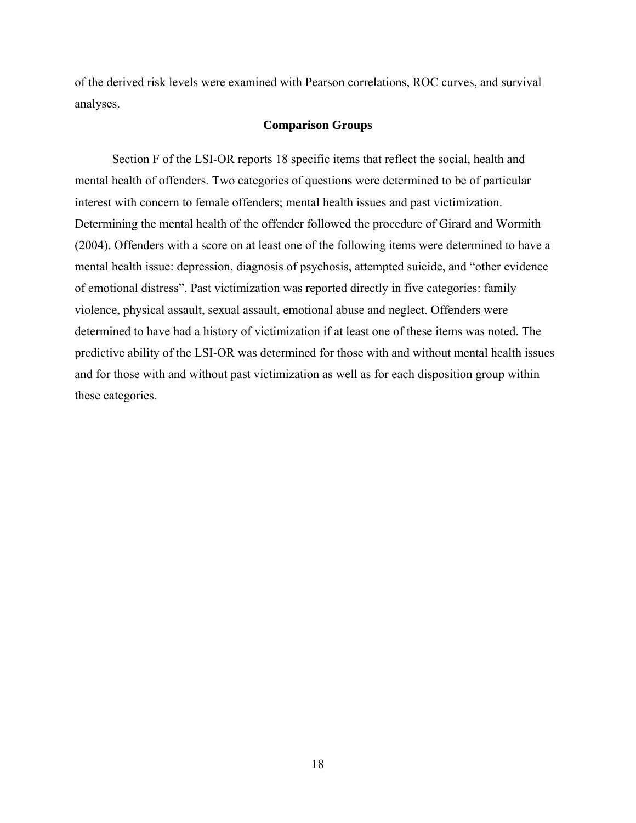<span id="page-28-0"></span>of the derived risk levels were examined with Pearson correlations, ROC curves, and survival analyses.

#### **Comparison Groups**

Section F of the LSI-OR reports 18 specific items that reflect the social, health and mental health of offenders. Two categories of questions were determined to be of particular interest with concern to female offenders; mental health issues and past victimization. Determining the mental health of the offender followed the procedure of Girard and Wormith (2004). Offenders with a score on at least one of the following items were determined to have a mental health issue: depression, diagnosis of psychosis, attempted suicide, and "other evidence of emotional distress". Past victimization was reported directly in five categories: family violence, physical assault, sexual assault, emotional abuse and neglect. Offenders were determined to have had a history of victimization if at least one of these items was noted. The predictive ability of the LSI-OR was determined for those with and without mental health issues and for those with and without past victimization as well as for each disposition group within these categories.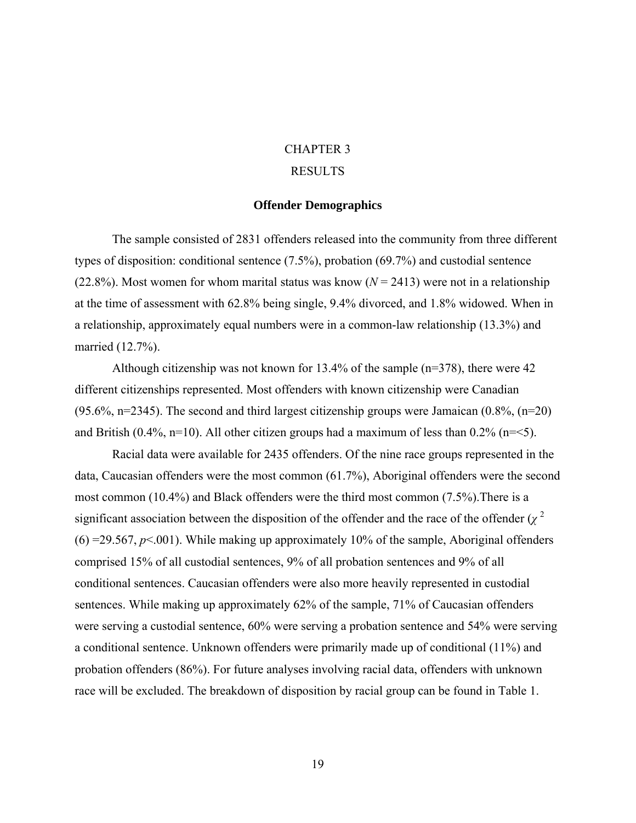# CHAPTER 3

# RESULTS

#### **Offender Demographics**

<span id="page-29-0"></span>The sample consisted of 2831 offenders released into the community from three different types of disposition: conditional sentence (7.5%), probation (69.7%) and custodial sentence (22.8%). Most women for whom marital status was know  $(N = 2413)$  were not in a relationship at the time of assessment with 62.8% being single, 9.4% divorced, and 1.8% widowed. When in a relationship, approximately equal numbers were in a common-law relationship (13.3%) and married (12.7%).

Although citizenship was not known for 13.4% of the sample (n=378), there were 42 different citizenships represented. Most offenders with known citizenship were Canadian  $(95.6\%, n=2345)$ . The second and third largest citizenship groups were Jamaican  $(0.8\%, (n=20)$ and British (0.4%, n=10). All other citizen groups had a maximum of less than  $0.2\%$  (n=<5).

Racial data were available for 2435 offenders. Of the nine race groups represented in the data, Caucasian offenders were the most common (61.7%), Aboriginal offenders were the second most common (10.4%) and Black offenders were the third most common (7.5%).There is a significant association between the disposition of the offender and the race of the offender  $(\chi^2)$  $(6) = 29.567$ ,  $p \le 0.001$ ). While making up approximately 10% of the sample, Aboriginal offenders comprised 15% of all custodial sentences, 9% of all probation sentences and 9% of all conditional sentences. Caucasian offenders were also more heavily represented in custodial sentences. While making up approximately 62% of the sample, 71% of Caucasian offenders were serving a custodial sentence, 60% were serving a probation sentence and 54% were serving a conditional sentence. Unknown offenders were primarily made up of conditional (11%) and probation offenders (86%). For future analyses involving racial data, offenders with unknown race will be excluded. The breakdown of disposition by racial group can be found in Table 1.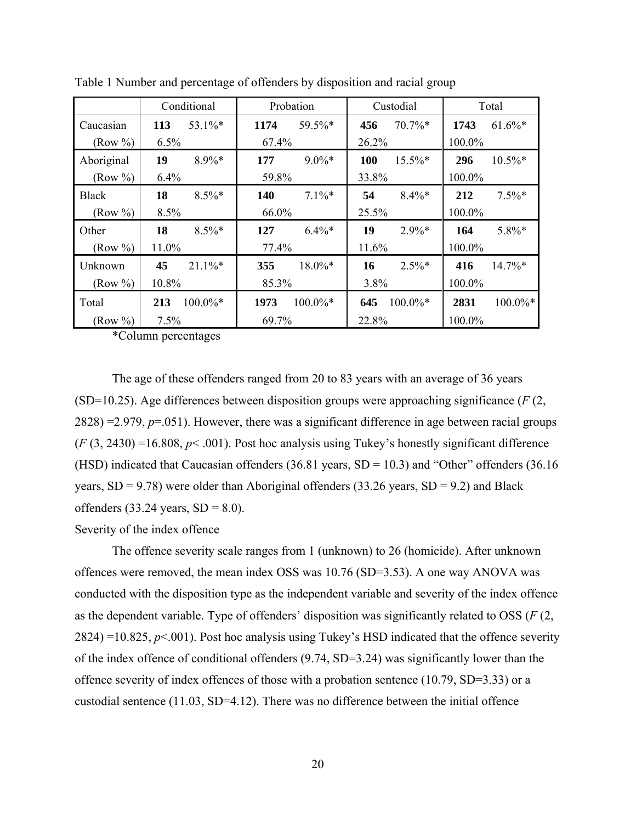|              |       | Conditional | Probation |             | Custodial |            | Total  |             |
|--------------|-------|-------------|-----------|-------------|-----------|------------|--------|-------------|
| Caucasian    | 113   | $53.1\%$ *  | 1174      | 59.5%*      | 456       | $70.7\%*$  | 1743   | $61.6\%*$   |
| (Row %)      | 6.5%  |             | 67.4%     |             | 26.2%     |            | 100.0% |             |
| Aboriginal   | 19    | $8.9\%*$    | 177       | $9.0\%*$    | 100       | $15.5\%*$  | 296    | $10.5\%*$   |
| (Row %)      | 6.4%  |             | 59.8%     |             | 33.8%     |            | 100.0% |             |
| <b>Black</b> | 18    | $8.5\%$ *   | 140       | $7.1\%$ *   | 54        | $8.4\%*$   | 212    | $7.5\%*$    |
| (Row %)      | 8.5%  |             | 66.0%     |             | 25.5%     |            | 100.0% |             |
| Other        | 18    | $8.5\%$ *   | 127       | $6.4\%*$    | 19        | $2.9\%*$   | 164    | 5.8%*       |
| (Row %)      | 11.0% |             | 77.4%     |             | 11.6%     |            | 100.0% |             |
| Unknown      | 45    | $21.1\%*$   | 355       | 18.0%*      | 16        | $2.5\%*$   | 416    | $14.7\%*$   |
| (Row %)      | 10.8% |             | 85.3%     |             | 3.8%      |            | 100.0% |             |
| Total        | 213   | $100.0\%*$  | 1973      | $100.0\%$ * | 645       | $100.0\%*$ | 2831   | $100.0\%$ * |
| (Row %)      | 7.5%  |             | 69.7%     |             | 22.8%     |            | 100.0% |             |

<span id="page-30-0"></span>Table 1 Number and percentage of offenders by disposition and racial group

\*Column percentages

The age of these offenders ranged from 20 to 83 years with an average of 36 years (SD=10.25). Age differences between disposition groups were approaching significance (*F* (2, 2828) =2.979, *p*=.051). However, there was a significant difference in age between racial groups  $(F (3, 2430) = 16.808, p < .001)$ . Post hoc analysis using Tukey's honestly significant difference (HSD) indicated that Caucasian offenders (36.81 years, SD = 10.3) and "Other" offenders (36.16 years,  $SD = 9.78$ ) were older than Aboriginal offenders (33.26 years,  $SD = 9.2$ ) and Black offenders  $(33.24 \text{ years}, SD = 8.0)$ .

Severity of the index offence

The offence severity scale ranges from 1 (unknown) to 26 (homicide). After unknown offences were removed, the mean index OSS was 10.76 (SD=3.53). A one way ANOVA was conducted with the disposition type as the independent variable and severity of the index offence as the dependent variable. Type of offenders' disposition was significantly related to OSS (*F* (2,  $2824$ ) =10.825,  $p<0.01$ ). Post hoc analysis using Tukey's HSD indicated that the offence severity of the index offence of conditional offenders (9.74, SD=3.24) was significantly lower than the offence severity of index offences of those with a probation sentence (10.79, SD=3.33) or a custodial sentence (11.03, SD=4.12). There was no difference between the initial offence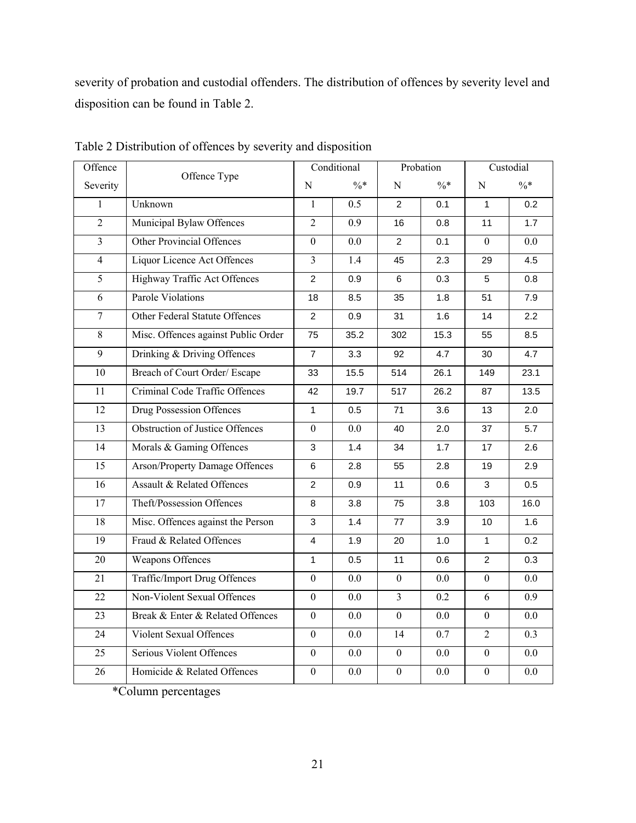<span id="page-31-0"></span>severity of probation and custodial offenders. The distribution of offences by severity level and disposition can be found in Table 2.

| Offence        | Offence Type                           |                  | Conditional     | Probation        |        | Custodial        |        |
|----------------|----------------------------------------|------------------|-----------------|------------------|--------|------------------|--------|
| Severity       |                                        | N                | $\frac{0}{6}$ * | N                | $\% *$ | N                | $\% *$ |
| $\mathbf{1}$   | Unknown                                | $\mathbf{1}$     | 0.5             | $\overline{2}$   | 0.1    | $\mathbf{1}$     | 0.2    |
| $\overline{2}$ | Municipal Bylaw Offences               | $\overline{2}$   | 0.9             | 16               | 0.8    | 11               | 1.7    |
| $\overline{3}$ | <b>Other Provincial Offences</b>       | $\overline{0}$   | 0.0             | 2                | 0.1    | $\Omega$         | 0.0    |
| $\overline{4}$ | Liquor Licence Act Offences            | $\overline{3}$   | 1.4             | 45               | 2.3    | 29               | 4.5    |
| $\overline{5}$ | Highway Traffic Act Offences           | $\overline{2}$   | 0.9             | 6                | 0.3    | 5                | 0.8    |
| 6              | <b>Parole Violations</b>               | 18               | 8.5             | 35               | 1.8    | 51               | 7.9    |
| $\tau$         | Other Federal Statute Offences         | $\overline{c}$   | 0.9             | 31               | 1.6    | 14               | 2.2    |
| 8              | Misc. Offences against Public Order    | 75               | 35.2            | 302              | 15.3   | 55               | 8.5    |
| $\overline{9}$ | Drinking & Driving Offences            | $\overline{7}$   | 3.3             | 92               | 4.7    | 30               | 4.7    |
| 10             | Breach of Court Order/ Escape          | 33               | 15.5            | 514              | 26.1   | 149              | 23.1   |
| 11             | Criminal Code Traffic Offences         | 42               | 19.7            | 517              | 26.2   | 87               | 13.5   |
| 12             | Drug Possession Offences               | $\mathbf{1}$     | 0.5             | 71               | 3.6    | 13               | 2.0    |
| 13             | <b>Obstruction of Justice Offences</b> | $\boldsymbol{0}$ | 0.0             | 40               | 2.0    | 37               | 5.7    |
| 14             | Morals & Gaming Offences               | 3                | 1.4             | 34               | 1.7    | 17               | 2.6    |
| 15             | <b>Arson/Property Damage Offences</b>  | 6                | 2.8             | 55               | 2.8    | 19               | 2.9    |
| 16             | Assault & Related Offences             | $\overline{c}$   | 0.9             | 11               | 0.6    | 3                | 0.5    |
| 17             | Theft/Possession Offences              | 8                | 3.8             | 75               | 3.8    | 103              | 16.0   |
| 18             | Misc. Offences against the Person      | 3                | 1.4             | 77               | 3.9    | 10               | 1.6    |
| 19             | Fraud & Related Offences               | $\overline{4}$   | 1.9             | 20               | 1.0    | $\mathbf{1}$     | 0.2    |
| 20             | <b>Weapons Offences</b>                | $\mathbf{1}$     | 0.5             | 11               | 0.6    | $\overline{2}$   | 0.3    |
| 21             | Traffic/Import Drug Offences           | $\mathbf{0}$     | 0.0             | $\overline{0}$   | 0.0    | $\boldsymbol{0}$ | 0.0    |
| 22             | Non-Violent Sexual Offences            | $\boldsymbol{0}$ | 0.0             | $\overline{3}$   | 0.2    | 6                | 0.9    |
| 23             | Break & Enter & Related Offences       | $\theta$         | 0.0             | $\boldsymbol{0}$ | 0.0    | $\boldsymbol{0}$ | 0.0    |
| 24             | <b>Violent Sexual Offences</b>         | $\overline{0}$   | 0.0             | 14               | 0.7    | $\overline{2}$   | 0.3    |
| 25             | Serious Violent Offences               | $\boldsymbol{0}$ | $0.0\,$         | $\boldsymbol{0}$ | 0.0    | $\boldsymbol{0}$ | 0.0    |
| 26             | Homicide & Related Offences            | $\theta$         | 0.0             | $\boldsymbol{0}$ | 0.0    | $\boldsymbol{0}$ | 0.0    |

Table 2 Distribution of offences by severity and disposition

\*Column percentages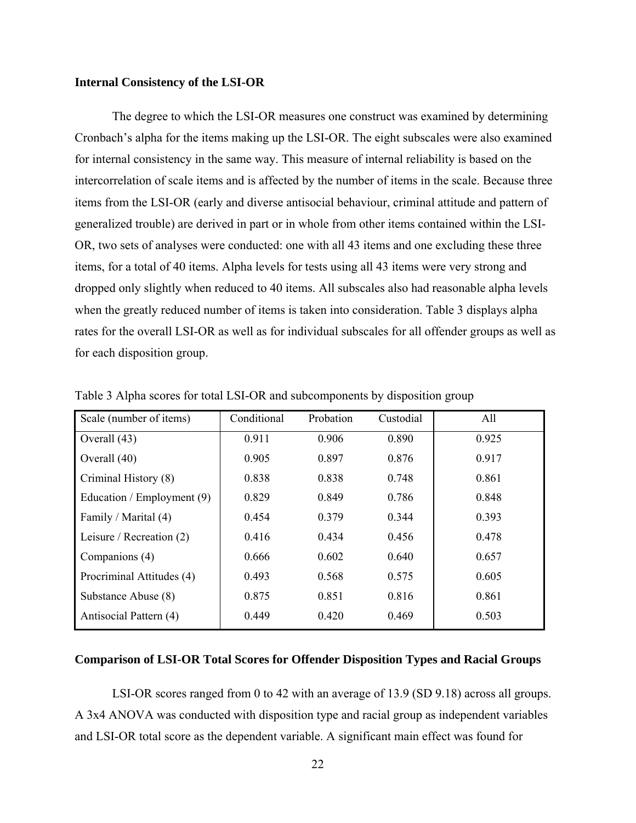#### <span id="page-32-0"></span>**Internal Consistency of the LSI-OR**

The degree to which the LSI-OR measures one construct was examined by determining Cronbach's alpha for the items making up the LSI-OR. The eight subscales were also examined for internal consistency in the same way. This measure of internal reliability is based on the intercorrelation of scale items and is affected by the number of items in the scale. Because three items from the LSI-OR (early and diverse antisocial behaviour, criminal attitude and pattern of generalized trouble) are derived in part or in whole from other items contained within the LSI-OR, two sets of analyses were conducted: one with all 43 items and one excluding these three items, for a total of 40 items. Alpha levels for tests using all 43 items were very strong and dropped only slightly when reduced to 40 items. All subscales also had reasonable alpha levels when the greatly reduced number of items is taken into consideration. Table 3 displays alpha rates for the overall LSI-OR as well as for individual subscales for all offender groups as well as for each disposition group.

| Scale (number of items)    | Conditional | Probation | Custodial | All   |
|----------------------------|-------------|-----------|-----------|-------|
| Overall (43)               | 0.911       | 0.906     | 0.890     | 0.925 |
| Overall (40)               | 0.905       | 0.897     | 0.876     | 0.917 |
| Criminal History (8)       | 0.838       | 0.838     | 0.748     | 0.861 |
| Education / Employment (9) | 0.829       | 0.849     | 0.786     | 0.848 |
| Family / Marital (4)       | 0.454       | 0.379     | 0.344     | 0.393 |
| Leisure / Recreation $(2)$ | 0.416       | 0.434     | 0.456     | 0.478 |
| Companions (4)             | 0.666       | 0.602     | 0.640     | 0.657 |
| Procriminal Attitudes (4)  | 0.493       | 0.568     | 0.575     | 0.605 |
| Substance Abuse (8)        | 0.875       | 0.851     | 0.816     | 0.861 |
| Antisocial Pattern (4)     | 0.449       | 0.420     | 0.469     | 0.503 |

Table 3 Alpha scores for total LSI-OR and subcomponents by disposition group

#### **Comparison of LSI-OR Total Scores for Offender Disposition Types and Racial Groups**

LSI-OR scores ranged from 0 to 42 with an average of 13.9 (SD 9.18) across all groups. A 3x4 ANOVA was conducted with disposition type and racial group as independent variables and LSI-OR total score as the dependent variable. A significant main effect was found for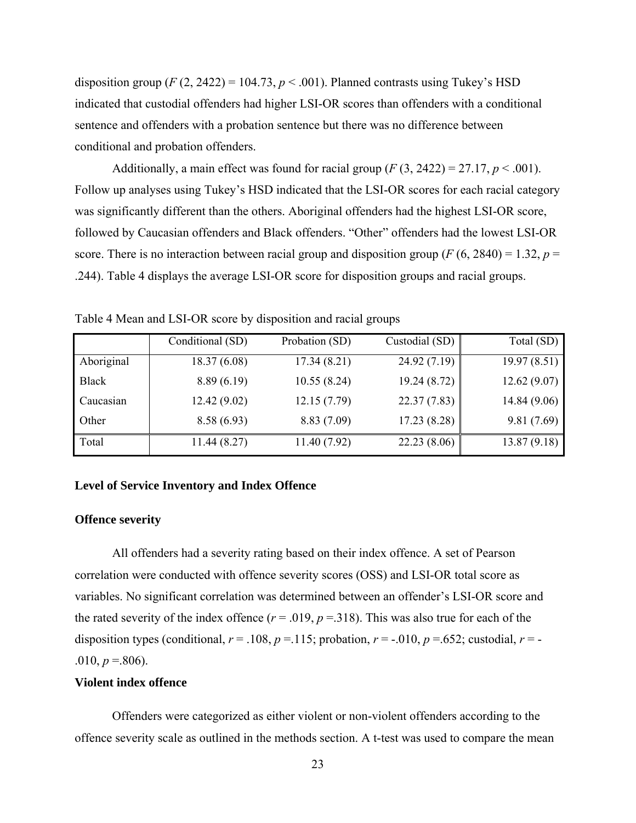<span id="page-33-0"></span>disposition group  $(F(2, 2422) = 104.73, p < .001)$ . Planned contrasts using Tukey's HSD indicated that custodial offenders had higher LSI-OR scores than offenders with a conditional sentence and offenders with a probation sentence but there was no difference between conditional and probation offenders.

Additionally, a main effect was found for racial group  $(F(3, 2422) = 27.17, p < .001)$ . Follow up analyses using Tukey's HSD indicated that the LSI-OR scores for each racial category was significantly different than the others. Aboriginal offenders had the highest LSI-OR score, followed by Caucasian offenders and Black offenders. "Other" offenders had the lowest LSI-OR score. There is no interaction between racial group and disposition group ( $F(6, 2840) = 1.32$ ,  $p =$ .244). Table 4 displays the average LSI-OR score for disposition groups and racial groups.

|              | Conditional (SD) | Probation (SD) | Custodial (SD) | Total (SD)  |
|--------------|------------------|----------------|----------------|-------------|
| Aboriginal   | 18.37(6.08)      | 17.34(8.21)    | 24.92(7.19)    | 19.97(8.51) |
| <b>Black</b> | 8.89(6.19)       | 10.55(8.24)    | 19.24(8.72)    | 12.62(9.07) |
| Caucasian    | 12.42(9.02)      | 12.15(7.79)    | 22.37(7.83)    | 14.84(9.06) |
| Other        | 8.58(6.93)       | 8.83(7.09)     | 17.23(8.28)    | 9.81(7.69)  |
| Total        | 11.44 (8.27)     | 11.40 (7.92)   | 22.23(8.06)    | 13.87(9.18) |

Table 4 Mean and LSI-OR score by disposition and racial groups

#### **Level of Service Inventory and Index Offence**

#### **Offence severity**

All offenders had a severity rating based on their index offence. A set of Pearson correlation were conducted with offence severity scores (OSS) and LSI-OR total score as variables. No significant correlation was determined between an offender's LSI-OR score and the rated severity of the index offence  $(r = .019, p = .318)$ . This was also true for each of the disposition types (conditional,  $r = .108$ ,  $p = .115$ ; probation,  $r = -.010$ ,  $p = .652$ ; custodial,  $r = -$ .010,  $p = .806$ ).

#### **Violent index offence**

Offenders were categorized as either violent or non-violent offenders according to the offence severity scale as outlined in the methods section. A t-test was used to compare the mean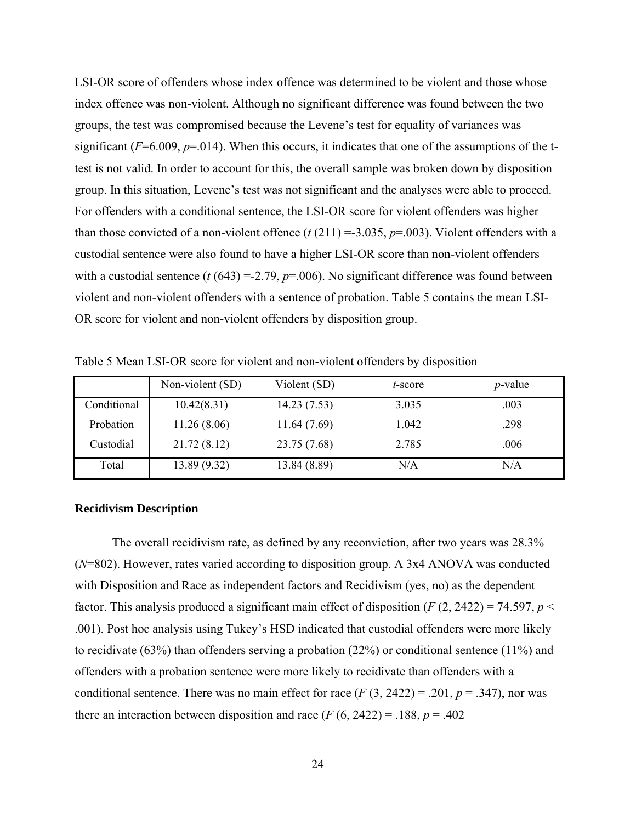<span id="page-34-0"></span>LSI-OR score of offenders whose index offence was determined to be violent and those whose index offence was non-violent. Although no significant difference was found between the two groups, the test was compromised because the Levene's test for equality of variances was significant ( $F=6.009$ ,  $p=.014$ ). When this occurs, it indicates that one of the assumptions of the ttest is not valid. In order to account for this, the overall sample was broken down by disposition group. In this situation, Levene's test was not significant and the analyses were able to proceed. For offenders with a conditional sentence, the LSI-OR score for violent offenders was higher than those convicted of a non-violent offence  $(t(211) = 3.035, p = .003)$ . Violent offenders with a custodial sentence were also found to have a higher LSI-OR score than non-violent offenders with a custodial sentence  $(t (643) = 2.79, p = .006)$ . No significant difference was found between violent and non-violent offenders with a sentence of probation. Table 5 contains the mean LSI-OR score for violent and non-violent offenders by disposition group.

|             | Non-violent (SD) | Violent (SD) | t-score | <i>p</i> -value |
|-------------|------------------|--------------|---------|-----------------|
| Conditional | 10.42(8.31)      | 14.23(7.53)  | 3.035   | .003            |
| Probation   | 11.26(8.06)      | 11.64(7.69)  | 1.042   | .298            |
| Custodial   | 21.72(8.12)      | 23.75 (7.68) | 2.785   | .006            |
| Total       | 13.89(9.32)      | 13.84 (8.89) | N/A     | N/A             |

Table 5 Mean LSI-OR score for violent and non-violent offenders by disposition

#### **Recidivism Description**

The overall recidivism rate, as defined by any reconviction, after two years was 28.3% (*N*=802). However, rates varied according to disposition group. A 3x4 ANOVA was conducted with Disposition and Race as independent factors and Recidivism (yes, no) as the dependent factor. This analysis produced a significant main effect of disposition  $(F(2, 2422) = 74.597, p <$ .001). Post hoc analysis using Tukey's HSD indicated that custodial offenders were more likely to recidivate (63%) than offenders serving a probation (22%) or conditional sentence (11%) and offenders with a probation sentence were more likely to recidivate than offenders with a conditional sentence. There was no main effect for race  $(F(3, 2422) = .201, p = .347)$ , nor was there an interaction between disposition and race  $(F (6, 2422) = .188, p = .402)$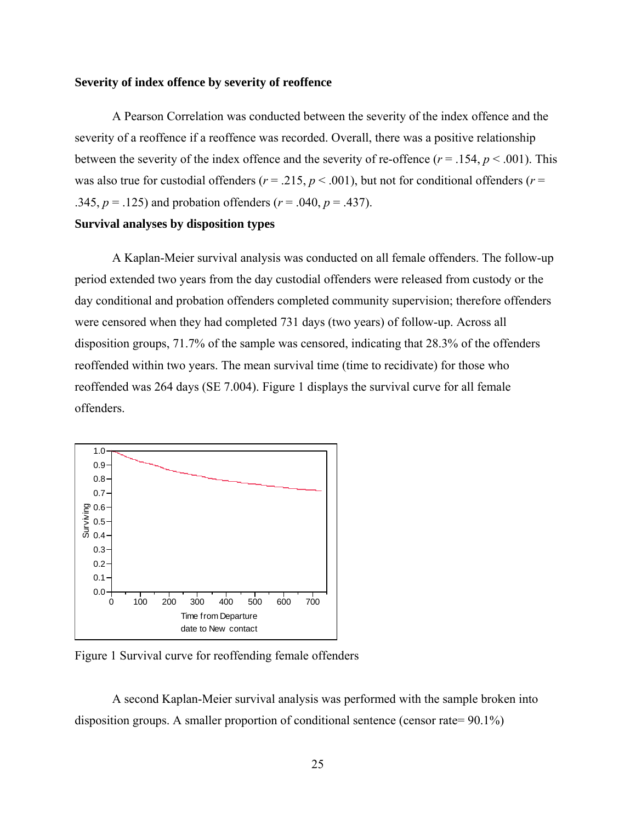#### <span id="page-35-0"></span>**Severity of index offence by severity of reoffence**

A Pearson Correlation was conducted between the severity of the index offence and the severity of a reoffence if a reoffence was recorded. Overall, there was a positive relationship between the severity of the index offence and the severity of re-offence  $(r = .154, p < .001)$ . This was also true for custodial offenders ( $r = .215$ ,  $p < .001$ ), but not for conditional offenders ( $r =$ .345,  $p = .125$ ) and probation offenders ( $r = .040$ ,  $p = .437$ ).

### **Survival analyses by disposition types**

A Kaplan-Meier survival analysis was conducted on all female offenders. The follow-up period extended two years from the day custodial offenders were released from custody or the day conditional and probation offenders completed community supervision; therefore offenders were censored when they had completed 731 days (two years) of follow-up. Across all disposition groups, 71.7% of the sample was censored, indicating that 28.3% of the offenders reoffended within two years. The mean survival time (time to recidivate) for those who reoffended was 264 days (SE 7.004). Figure 1 displays the survival curve for all female offenders.



Figure 1 Survival curve for reoffending female offenders

A second Kaplan-Meier survival analysis was performed with the sample broken into disposition groups. A smaller proportion of conditional sentence (censor rate= 90.1%)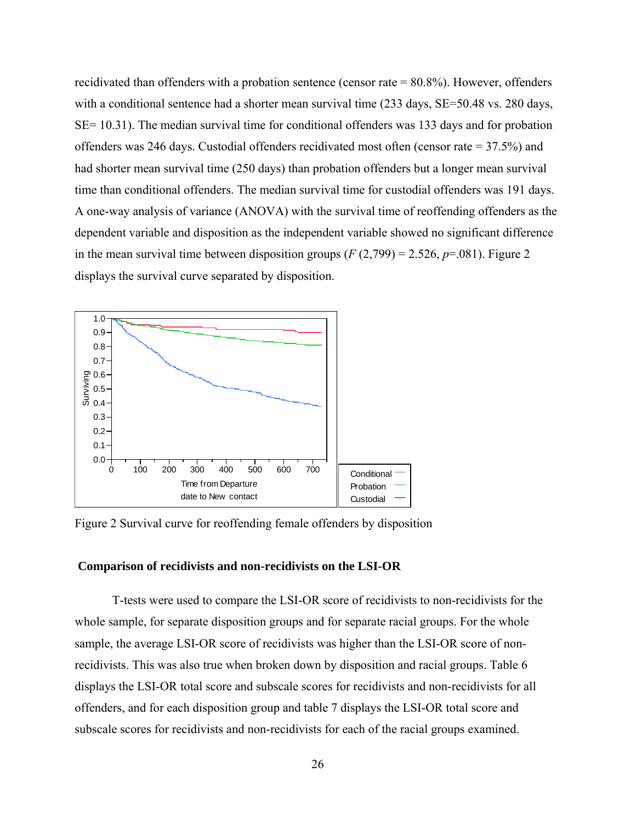recidivated than offenders with a probation sentence (censor rate = 80.8%). However, offenders with a conditional sentence had a shorter mean survival time (233 days, SE=50.48 vs. 280 days, SE= 10.31). The median survival time for conditional offenders was 133 days and for probation offenders was 246 days. Custodial offenders recidivated most often (censor rate = 37.5%) and had shorter mean survival time (250 days) than probation offenders but a longer mean survival time than conditional offenders. The median survival time for custodial offenders was 191 days. A one-way analysis of variance (ANOVA) with the survival time of reoffending offenders as the dependent variable and disposition as the independent variable showed no significant difference in the mean survival time between disposition groups  $(F(2, 799) = 2.526, p = .081)$ . Figure 2 displays the survival curve separated by disposition.



Figure 2 Survival curve for reoffending female offenders by disposition

# **Comparison of recidivists and non-recidivists on the LSI-OR**

T-tests were used to compare the LSI-OR score of recidivists to non-recidivists for the whole sample, for separate disposition groups and for separate racial groups. For the whole sample, the average LSI-OR score of recidivists was higher than the LSI-OR score of nonrecidivists. This was also true when broken down by disposition and racial groups. Table 6 displays the LSI-OR total score and subscale scores for recidivists and non-recidivists for all offenders, and for each disposition group and table 7 displays the LSI-OR total score and subscale scores for recidivists and non-recidivists for each of the racial groups examined.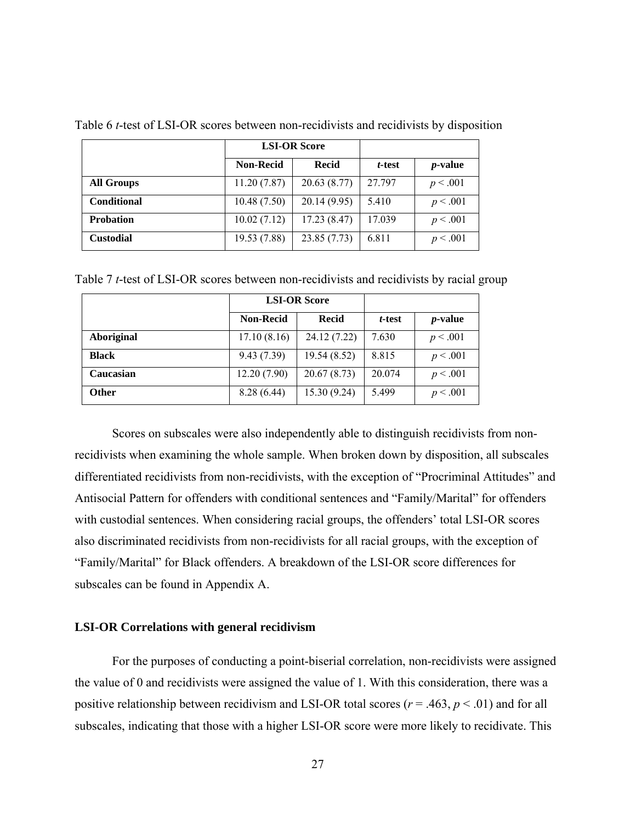|                    |                  | <b>LSI-OR Score</b> |        |                 |
|--------------------|------------------|---------------------|--------|-----------------|
|                    | <b>Non-Recid</b> | <b>Recid</b>        | t-test | <i>p</i> -value |
| <b>All Groups</b>  | 11.20(7.87)      | 20.63(8.77)         | 27.797 | p < .001        |
| <b>Conditional</b> | 10.48(7.50)      | 20.14(9.95)         | 5.410  | p < .001        |
| <b>Probation</b>   | 10.02(7.12)      | 17.23(8.47)         | 17.039 | p < .001        |
| <b>Custodial</b>   | 19.53 (7.88)     | 23.85(7.73)         | 6.811  | p < .001        |

Table 6 *t*-test of LSI-OR scores between non-recidivists and recidivists by disposition

Table 7 *t*-test of LSI-OR scores between non-recidivists and recidivists by racial group

|                   |                  | <b>LSI-OR Score</b> |        |                 |
|-------------------|------------------|---------------------|--------|-----------------|
|                   | <b>Non-Recid</b> | Recid               | t-test | <i>p</i> -value |
| <b>Aboriginal</b> | 17.10(8.16)      | 24.12 (7.22)        | 7.630  | p < .001        |
| <b>Black</b>      | 9.43(7.39)       | 19.54 (8.52)        | 8.815  | p < .001        |
| Caucasian         | 12.20 (7.90)     | 20.67(8.73)         | 20.074 | p < .001        |
| <b>Other</b>      | 8.28(6.44)       | 15.30(9.24)         | 5.499  | p < .001        |

Scores on subscales were also independently able to distinguish recidivists from nonrecidivists when examining the whole sample. When broken down by disposition, all subscales differentiated recidivists from non-recidivists, with the exception of "Procriminal Attitudes" and Antisocial Pattern for offenders with conditional sentences and "Family/Marital" for offenders with custodial sentences. When considering racial groups, the offenders' total LSI-OR scores also discriminated recidivists from non-recidivists for all racial groups, with the exception of "Family/Marital" for Black offenders. A breakdown of the LSI-OR score differences for subscales can be found in Appendix A.

## **LSI-OR Correlations with general recidivism**

For the purposes of conducting a point-biserial correlation, non-recidivists were assigned the value of 0 and recidivists were assigned the value of 1. With this consideration, there was a positive relationship between recidivism and LSI-OR total scores (*r* = .463, *p* < .01) and for all subscales, indicating that those with a higher LSI-OR score were more likely to recidivate. This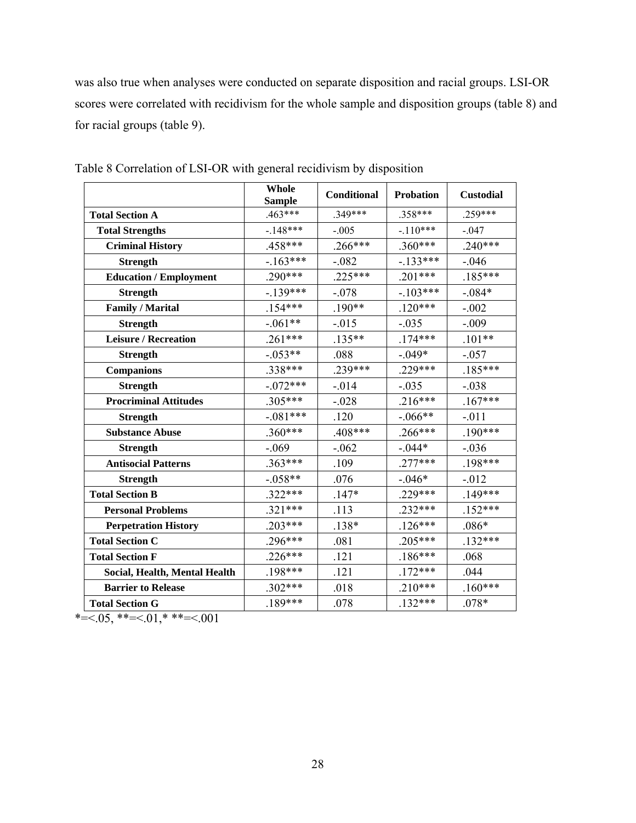was also true when analyses were conducted on separate disposition and racial groups. LSI-OR scores were correlated with recidivism for the whole sample and disposition groups (table 8) and for racial groups (table 9).

|                               | Whole<br><b>Sample</b> | <b>Conditional</b> | <b>Probation</b> | <b>Custodial</b> |
|-------------------------------|------------------------|--------------------|------------------|------------------|
| <b>Total Section A</b>        | $.463***$              | $.349***$          | .358***          | $.259***$        |
| <b>Total Strengths</b>        | $-148***$              | $-.005$            | $-.110***$       | $-.047$          |
| <b>Criminal History</b>       | .458***                | $.266***$          | $.360***$        | $.240***$        |
| <b>Strength</b>               | $-.163***$             | $-.082$            | $-.133***$       | $-.046$          |
| <b>Education / Employment</b> | $.290***$              | $.225***$          | $.201***$        | $.185***$        |
| <b>Strength</b>               | $-.139***$             | $-.078$            | $-.103***$       | $-.084*$         |
| <b>Family / Marital</b>       | $.154***$              | $.190**$           | $.120***$        | $-.002$          |
| <b>Strength</b>               | $-.061**$              | $-.015$            | $-.035$          | $-.009$          |
| <b>Leisure / Recreation</b>   | $.261***$              | $.135**$           | $.174***$        | $.101**$         |
| <b>Strength</b>               | $-.053**$              | .088               | $-.049*$         | $-.057$          |
| <b>Companions</b>             | .338***                | .239***            | .229***          | $.185***$        |
| <b>Strength</b>               | $-.072***$             | $-.014$            | $-.035$          | $-.038$          |
| <b>Procriminal Attitudes</b>  | $.305***$              | $-.028$            | $.216***$        | $.167***$        |
| <b>Strength</b>               | $-.081***$             | .120               | $-.066**$        | $-.011$          |
| <b>Substance Abuse</b>        | $.360***$              | .408***            | $.266***$        | $.190***$        |
| <b>Strength</b>               | $-.069$                | $-.062$            | $-.044*$         | $-.036$          |
| <b>Antisocial Patterns</b>    | $.363***$              | .109               | $.277***$        | $.198***$        |
| <b>Strength</b>               | $-.058**$              | .076               | $-.046*$         | $-012$           |
| <b>Total Section B</b>        | $.322***$              | $.147*$            | .229***          | $.149***$        |
| <b>Personal Problems</b>      | $.321***$              | .113               | $.232***$        | $.152***$        |
| <b>Perpetration History</b>   | $.203***$              | $.138*$            | $.126***$        | $.086*$          |
| <b>Total Section C</b>        | $.296***$              | .081               | $.205***$        | $.132***$        |
| <b>Total Section F</b>        | $.226***$              | .121               | $.186***$        | .068             |
| Social, Health, Mental Health | .198***                | .121               | $.172***$        | .044             |
| <b>Barrier to Release</b>     | $.302***$              | .018               | $.210***$        | $.160***$        |
| <b>Total Section G</b>        | $.189***$              | .078               | $.132***$        | $.078*$          |

Table 8 Correlation of LSI-OR with general recidivism by disposition

 $* = 0.05$ ,  $* = 0.01$ ,  $* * = 0.001$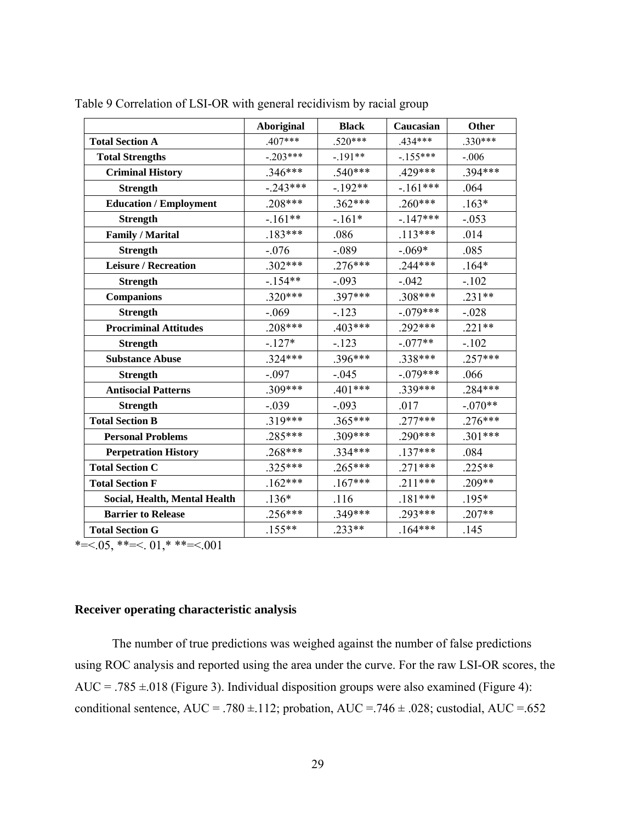|                               | <b>Aboriginal</b> | <b>Black</b> | Caucasian  | <b>Other</b> |
|-------------------------------|-------------------|--------------|------------|--------------|
| <b>Total Section A</b>        | $.407***$         | $.520***$    | .434***    | $.330***$    |
| <b>Total Strengths</b>        | $-.203***$        | $-.191**$    | $-155***$  | $-.006$      |
| <b>Criminal History</b>       | $.346***$         | $.540***$    | .429***    | .394***      |
| <b>Strength</b>               | $-.243***$        | $-.192**$    | $-.161***$ | .064         |
| <b>Education / Employment</b> | $.208***$         | $.362***$    | $.260***$  | $.163*$      |
| <b>Strength</b>               | $-.161**$         | $-.161*$     | $-147***$  | $-.053$      |
| <b>Family / Marital</b>       | $.183***$         | .086         | $.113***$  | .014         |
| <b>Strength</b>               | $-.076$           | $-.089$      | $-.069*$   | .085         |
| <b>Leisure / Recreation</b>   | $.302***$         | $.276***$    | $.244***$  | $.164*$      |
| <b>Strength</b>               | $-154**$          | $-.093$      | $-.042$    | $-.102$      |
| <b>Companions</b>             | $.320***$         | .397***      | $.308***$  | $.231**$     |
| <b>Strength</b>               | $-.069$           | $-.123$      | $-.079***$ | $-.028$      |
| <b>Procriminal Attitudes</b>  | $.208***$         | .403***      | .292***    | $.221**$     |
| <b>Strength</b>               | $-.127*$          | $-123$       | $-.077**$  | $-.102$      |
| <b>Substance Abuse</b>        | $.324***$         | .396***      | .338***    | $.257***$    |
| <b>Strength</b>               | $-.097$           | $-.045$      | $-.079***$ | .066         |
| <b>Antisocial Patterns</b>    | $.309***$         | $.401***$    | .339***    | $.284***$    |
| <b>Strength</b>               | $-.039$           | $-.093$      | .017       | $-.070**$    |
| <b>Total Section B</b>        | $.319***$         | .365***      | $.277***$  | $.276***$    |
| <b>Personal Problems</b>      | .285***           | $.309***$    | .290***    | $.301***$    |
| <b>Perpetration History</b>   | $.268***$         | $.334***$    | $.137***$  | .084         |
| <b>Total Section C</b>        | $.325***$         | $.265***$    | $.271***$  | $.225**$     |
| <b>Total Section F</b>        | $.162***$         | $.167***$    | $.211***$  | .209**       |
| Social, Health, Mental Health | $.136*$           | .116         | $.181***$  | $.195*$      |
| <b>Barrier to Release</b>     | $.256***$         | $.349***$    | $.293***$  | $.207**$     |
| <b>Total Section G</b>        | $.155**$          | $.233**$     | $.164***$  | .145         |

Table 9 Correlation of LSI-OR with general recidivism by racial group

\*= $\leq 0.05$ , \*\*= $\leq 0.01$ , \*\*\*= $\leq 0.001$ 

# **Receiver operating characteristic analysis**

The number of true predictions was weighed against the number of false predictions using ROC analysis and reported using the area under the curve. For the raw LSI-OR scores, the AUC = .785  $\pm$ .018 (Figure 3). Individual disposition groups were also examined (Figure 4): conditional sentence, AUC = .780  $\pm$ .112; probation, AUC = .746  $\pm$  .028; custodial, AUC = .652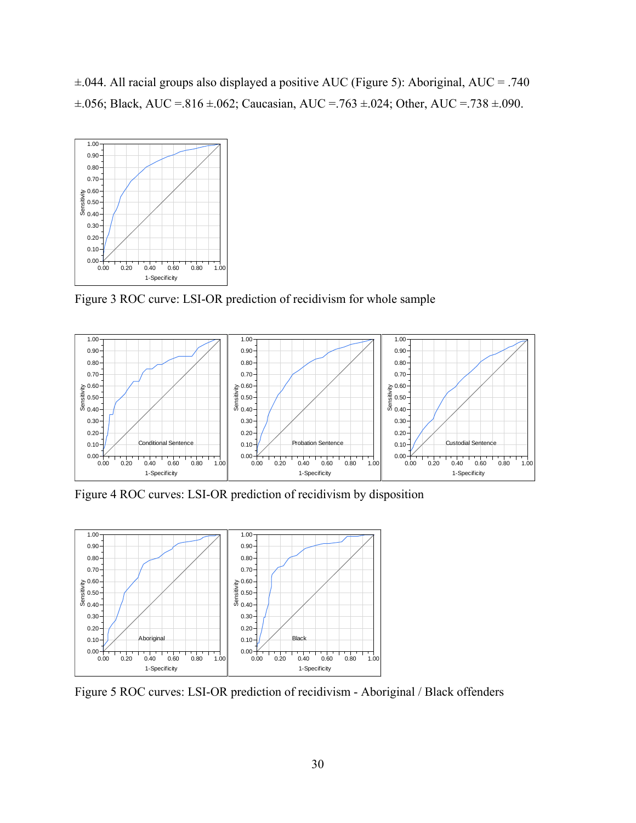±.044. All racial groups also displayed a positive AUC (Figure 5): Aboriginal, AUC = .740  $\pm .056$ ; Black, AUC = .816  $\pm .062$ ; Caucasian, AUC = .763  $\pm .024$ ; Other, AUC = .738  $\pm .090$ .



Figure 3 ROC curve: LSI-OR prediction of recidivism for whole sample



Figure 4 ROC curves: LSI-OR prediction of recidivism by disposition



Figure 5 ROC curves: LSI-OR prediction of recidivism - Aboriginal / Black offenders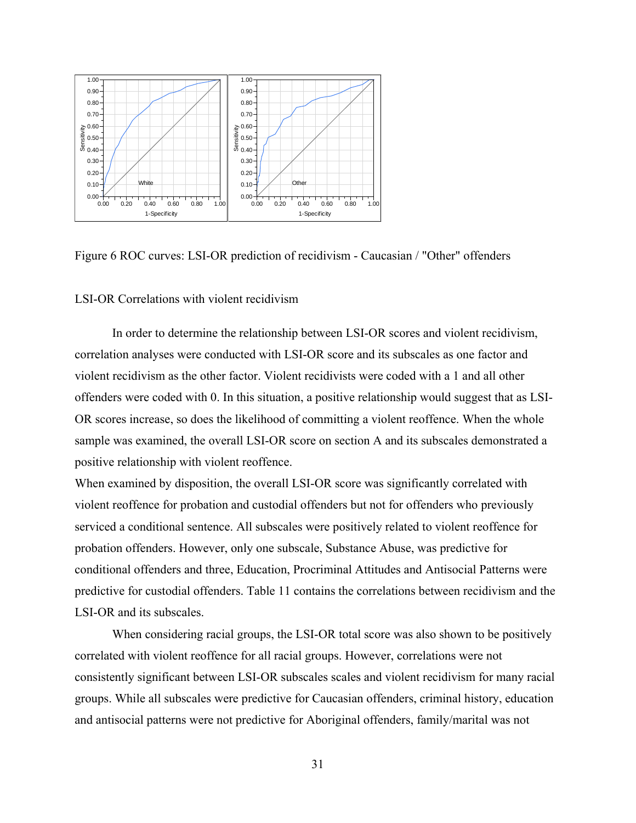

Figure 6 ROC curves: LSI-OR prediction of recidivism - Caucasian / "Other" offenders

# LSI-OR Correlations with violent recidivism

 In order to determine the relationship between LSI-OR scores and violent recidivism, correlation analyses were conducted with LSI-OR score and its subscales as one factor and violent recidivism as the other factor. Violent recidivists were coded with a 1 and all other offenders were coded with 0. In this situation, a positive relationship would suggest that as LSI-OR scores increase, so does the likelihood of committing a violent reoffence. When the whole sample was examined, the overall LSI-OR score on section A and its subscales demonstrated a positive relationship with violent reoffence.

When examined by disposition, the overall LSI-OR score was significantly correlated with violent reoffence for probation and custodial offenders but not for offenders who previously serviced a conditional sentence. All subscales were positively related to violent reoffence for probation offenders. However, only one subscale, Substance Abuse, was predictive for conditional offenders and three, Education, Procriminal Attitudes and Antisocial Patterns were predictive for custodial offenders. Table 11 contains the correlations between recidivism and the LSI-OR and its subscales.

 When considering racial groups, the LSI-OR total score was also shown to be positively correlated with violent reoffence for all racial groups. However, correlations were not consistently significant between LSI-OR subscales scales and violent recidivism for many racial groups. While all subscales were predictive for Caucasian offenders, criminal history, education and antisocial patterns were not predictive for Aboriginal offenders, family/marital was not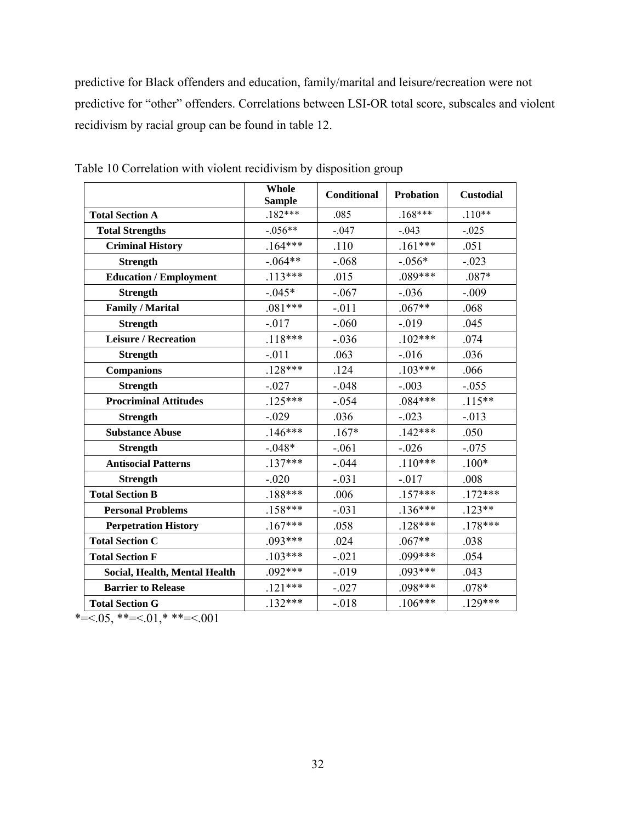predictive for Black offenders and education, family/marital and leisure/recreation were not predictive for "other" offenders. Correlations between LSI-OR total score, subscales and violent recidivism by racial group can be found in table 12.

|                               | Whole<br><b>Sample</b> | <b>Conditional</b> | <b>Probation</b> | <b>Custodial</b> |
|-------------------------------|------------------------|--------------------|------------------|------------------|
| <b>Total Section A</b>        | $.182***$              | .085               | $.168***$        | $.110**$         |
| <b>Total Strengths</b>        | $-.056**$              | $-.047$            | $-.043$          | $-0.025$         |
| <b>Criminal History</b>       | $.164***$              | .110               | $.161***$        | .051             |
| <b>Strength</b>               | $-.064**$              | $-.068$            | $-.056*$         | $-.023$          |
| <b>Education / Employment</b> | $.113***$              | .015               | $.089***$        | $.087*$          |
| <b>Strength</b>               | $-.045*$               | $-.067$            | $-.036$          | $-.009$          |
| <b>Family / Marital</b>       | $.081***$              | $-.011$            | $.067**$         | .068             |
| <b>Strength</b>               | $-.017$                | $-.060$            | $-0.019$         | .045             |
| <b>Leisure / Recreation</b>   | $.118***$              | $-.036$            | $.102***$        | .074             |
| <b>Strength</b>               | $-.011$                | .063               | $-0.016$         | .036             |
| <b>Companions</b>             | $.128***$              | .124               | $.103***$        | .066             |
| <b>Strength</b>               | $-.027$                | $-.048$            | $-.003$          | $-.055$          |
| <b>Procriminal Attitudes</b>  | $.125***$              | $-.054$            | $.084***$        | $.115**$         |
| <b>Strength</b>               | $-.029$                | .036               | $-.023$          | $-0.013$         |
| <b>Substance Abuse</b>        | $.146***$              | $.167*$            | $.142***$        | .050             |
| <b>Strength</b>               | $-.048*$               | $-.061$            | $-.026$          | $-.075$          |
| <b>Antisocial Patterns</b>    | $.137***$              | $-.044$            | $.110***$        | $.100*$          |
| <b>Strength</b>               | $-.020$                | $-.031$            | $-0.017$         | .008             |
| <b>Total Section B</b>        | $.188***$              | .006               | $.157***$        | $.172***$        |
| <b>Personal Problems</b>      | $.158***$              | $-.031$            | $.136***$        | $.123**$         |
| <b>Perpetration History</b>   | $.167***$              | .058               | $.128***$        | $.178***$        |
| <b>Total Section C</b>        | $.093***$              | .024               | $.067**$         | .038             |
| <b>Total Section F</b>        | $.103***$              | $-.021$            | .099***          | .054             |
| Social, Health, Mental Health | $.092***$              | $-019$             | $.093***$        | .043             |
| <b>Barrier to Release</b>     | $.121***$              | $-.027$            | $.098***$        | $.078*$          |
| <b>Total Section G</b>        | $.132***$              | $-.018$            | $.106***$        | $.129***$        |

Table 10 Correlation with violent recidivism by disposition group

 $* = 0.05$ ,  $* = 0.01$ ,  $* * = 0.001$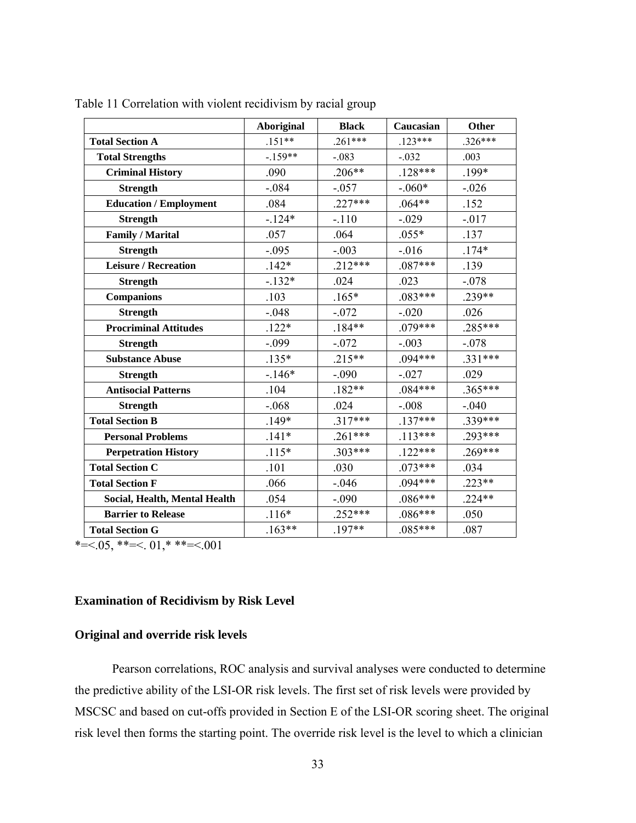|                               | <b>Aboriginal</b> | <b>Black</b> | Caucasian | <b>Other</b> |
|-------------------------------|-------------------|--------------|-----------|--------------|
| <b>Total Section A</b>        | $.151**$          | $.261***$    | $.123***$ | $.326***$    |
| <b>Total Strengths</b>        | $-159**$          | $-.083$      | $-.032$   | .003         |
| <b>Criminal History</b>       | .090              | $.206**$     | $.128***$ | .199*        |
| <b>Strength</b>               | $-.084$           | $-.057$      | $-.060*$  | $-.026$      |
| <b>Education / Employment</b> | .084              | $.227***$    | $.064**$  | .152         |
| <b>Strength</b>               | $-124*$           | $-.110$      | $-.029$   | $-.017$      |
| <b>Family / Marital</b>       | .057              | .064         | $.055*$   | .137         |
| <b>Strength</b>               | $-.095$           | $-.003$      | $-0.016$  | $.174*$      |
| <b>Leisure / Recreation</b>   | $.142*$           | $.212***$    | $.087***$ | .139         |
| <b>Strength</b>               | $-.132*$          | .024         | .023      | $-.078$      |
| <b>Companions</b>             | .103              | $.165*$      | $.083***$ | .239**       |
| <b>Strength</b>               | $-.048$           | $-.072$      | $-.020$   | .026         |
| <b>Procriminal Attitudes</b>  | $.122*$           | $.184**$     | $.079***$ | .285***      |
| <b>Strength</b>               | $-.099$           | $-.072$      | $-.003$   | $-.078$      |
| <b>Substance Abuse</b>        | $.135*$           | $.215**$     | $.094***$ | .331***      |
| <b>Strength</b>               | $-.146*$          | $-.090$      | $-.027$   | .029         |
| <b>Antisocial Patterns</b>    | .104              | $.182**$     | $.084***$ | $.365***$    |
| <b>Strength</b>               | $-.068$           | .024         | $-.008$   | $-.040$      |
| <b>Total Section B</b>        | $.149*$           | $.317***$    | $.137***$ | .339***      |
| <b>Personal Problems</b>      | $.141*$           | $.261***$    | $.113***$ | $.293***$    |
| <b>Perpetration History</b>   | $.115*$           | $.303***$    | $.122***$ | $.269***$    |
| <b>Total Section C</b>        | .101              | .030         | $.073***$ | .034         |
| <b>Total Section F</b>        | .066              | $-0.046$     | $.094***$ | $.223**$     |
| Social, Health, Mental Health | .054              | $-.090$      | $.086***$ | $.224**$     |
| <b>Barrier to Release</b>     | $.116*$           | $.252***$    | $.086***$ | .050         |
| <b>Total Section G</b>        | $.163**$          | $.197**$     | $.085***$ | .087         |

Table 11 Correlation with violent recidivism by racial group

 $* = 0.05, ** = 0.01, ** = 0.001$ 

# **Examination of Recidivism by Risk Level**

## **Original and override risk levels**

Pearson correlations, ROC analysis and survival analyses were conducted to determine the predictive ability of the LSI-OR risk levels. The first set of risk levels were provided by MSCSC and based on cut-offs provided in Section E of the LSI-OR scoring sheet. The original risk level then forms the starting point. The override risk level is the level to which a clinician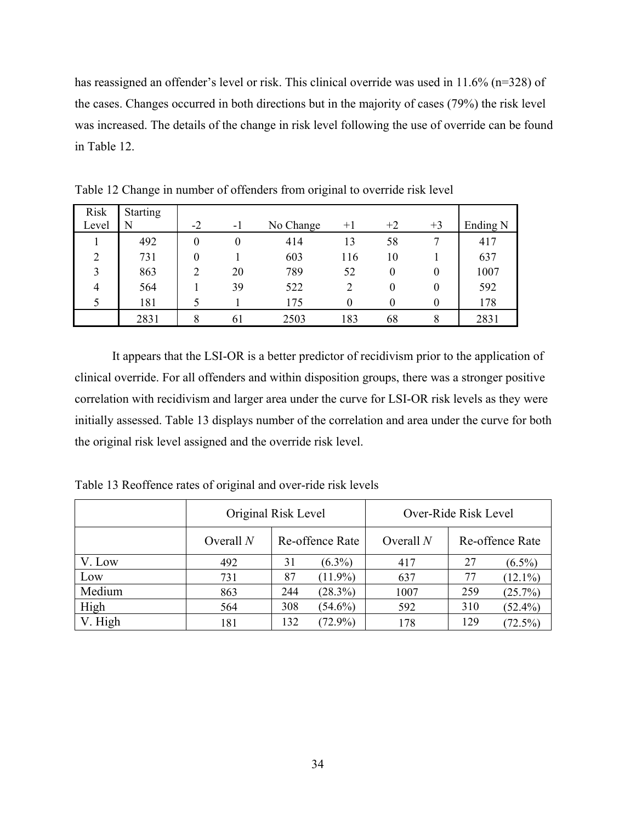has reassigned an offender's level or risk. This clinical override was used in 11.6% (n=328) of the cases. Changes occurred in both directions but in the majority of cases (79%) the risk level was increased. The details of the change in risk level following the use of override can be found in Table 12.

| <b>Risk</b><br>Level | <b>Starting</b><br>N | $-2$     | $-1$     | No Change | $+1$             | $+2$             | $+3$     | Ending N |
|----------------------|----------------------|----------|----------|-----------|------------------|------------------|----------|----------|
|                      | 492                  | $\theta$ | $\theta$ | 414       | 13               | 58               |          | 417      |
| $\overline{2}$       | 731                  | 0        |          | 603       | 116              | 10               |          | 637      |
| 3                    | 863                  | ↑        | 20       | 789       | 52               | $\boldsymbol{0}$ | $\theta$ | 1007     |
| 4                    | 564                  |          | 39       | 522       | $\overline{2}$   | $\theta$         |          | 592      |
|                      | 181                  |          |          | 175       | $\boldsymbol{0}$ | $\boldsymbol{0}$ |          | 178      |
|                      | 2831                 | 8        | 61       | 2503      | 183              | 68               | 8        | 2831     |

Table 12 Change in number of offenders from original to override risk level

It appears that the LSI-OR is a better predictor of recidivism prior to the application of clinical override. For all offenders and within disposition groups, there was a stronger positive correlation with recidivism and larger area under the curve for LSI-OR risk levels as they were initially assessed. Table 13 displays number of the correlation and area under the curve for both the original risk level assigned and the override risk level.

Table 13 Reoffence rates of original and over-ride risk levels

|         | Original Risk Level |     | Over-Ride Risk Level |             |     |                 |
|---------|---------------------|-----|----------------------|-------------|-----|-----------------|
|         | Overall $N$         |     | Re-offence Rate      | Overall $N$ |     | Re-offence Rate |
| V. Low  | 492                 | 31  | $(6.3\%)$            | 417         | 27  | $(6.5\%)$       |
| Low     | 731                 | 87  | $(11.9\%)$           | 637         | 77  | $(12.1\%)$      |
| Medium  | 863                 | 244 | (28.3%)              | 1007        | 259 | (25.7%)         |
| High    | 564                 | 308 | $(54.6\%)$           | 592         | 310 | $(52.4\%)$      |
| V. High | 181                 | 132 | $(72.9\%)$           | 178         | 129 | $(72.5\%)$      |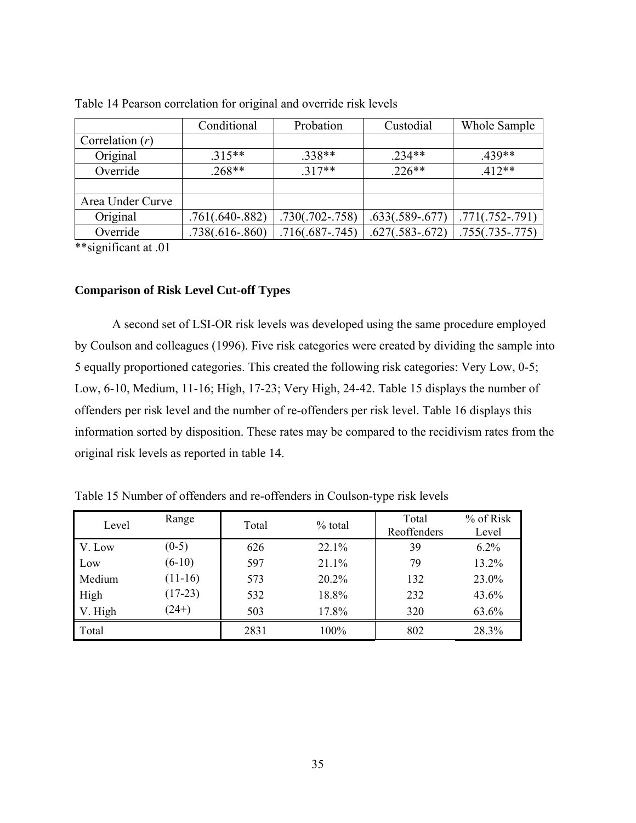|                   | Conditional         | Probation         | Custodial         | Whole Sample      |
|-------------------|---------------------|-------------------|-------------------|-------------------|
| Correlation $(r)$ |                     |                   |                   |                   |
| Original          | $.315**$            | $.338**$          | 234**             | 439**             |
| Override          | $.268**$            | $317**$           | $.226**$          | $.412**$          |
|                   |                     |                   |                   |                   |
| Area Under Curve  |                     |                   |                   |                   |
| Original          | $.761(.640-.882)$   | $.730(.702-.758)$ | $.633(.589-.677)$ | $.771(.752-.791)$ |
| Override          | $.738(.616 - .860)$ | $.716(.687-.745)$ | $.627(.583-.672)$ | $.755(.735-.775)$ |

Table 14 Pearson correlation for original and override risk levels

\*\*significant at .01

## **Comparison of Risk Level Cut-off Types**

A second set of LSI-OR risk levels was developed using the same procedure employed by Coulson and colleagues (1996). Five risk categories were created by dividing the sample into 5 equally proportioned categories. This created the following risk categories: Very Low, 0-5; Low, 6-10, Medium, 11-16; High, 17-23; Very High, 24-42. Table 15 displays the number of offenders per risk level and the number of re-offenders per risk level. Table 16 displays this information sorted by disposition. These rates may be compared to the recidivism rates from the original risk levels as reported in table 14.

| Level   | Range     | Total | $%$ total | Total<br>Reoffenders | % of Risk<br>Level |
|---------|-----------|-------|-----------|----------------------|--------------------|
| V. Low  | $(0-5)$   | 626   | 22.1%     | 39                   | $6.2\%$            |
| Low     | $(6-10)$  | 597   | 21.1%     | 79                   | 13.2%              |
| Medium  | $(11-16)$ | 573   | 20.2%     | 132                  | 23.0%              |
| High    | $(17-23)$ | 532   | 18.8%     | 232                  | 43.6%              |
| V. High | $(24+)$   | 503   | 17.8%     | 320                  | 63.6%              |
| Total   |           | 2831  | 100%      | 802                  | 28.3%              |

Table 15 Number of offenders and re-offenders in Coulson-type risk levels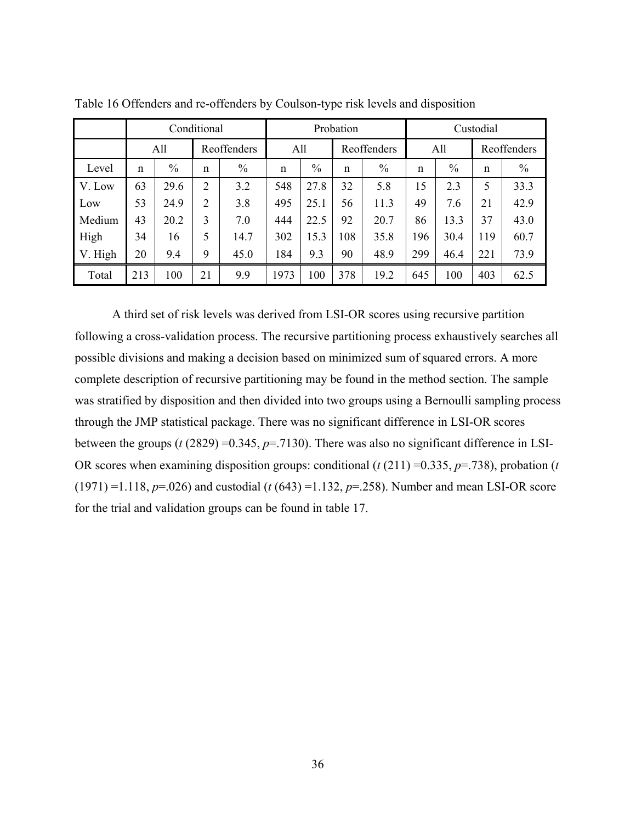|         |     | Conditional |                |             | Probation |      |     | Custodial   |              |               |             |               |
|---------|-----|-------------|----------------|-------------|-----------|------|-----|-------------|--------------|---------------|-------------|---------------|
|         |     | All         |                | Reoffenders | All       |      |     | Reoffenders |              | All           |             | Reoffenders   |
| Level   | n   | $\%$        | n              | $\%$        | n         | $\%$ | n   | $\%$        | $\mathsf{n}$ | $\frac{0}{0}$ | $\mathbf n$ | $\frac{0}{0}$ |
| V. Low  | 63  | 29.6        | $\overline{2}$ | 3.2         | 548       | 27.8 | 32  | 5.8         | 15           | 2.3           | 5           | 33.3          |
| Low     | 53  | 24.9        | 2              | 3.8         | 495       | 25.1 | 56  | 11.3        | 49           | 7.6           | 21          | 42.9          |
| Medium  | 43  | 20.2        | 3              | 7.0         | 444       | 22.5 | 92  | 20.7        | 86           | 13.3          | 37          | 43.0          |
| High    | 34  | 16          | 5              | 14.7        | 302       | 15.3 | 108 | 35.8        | 196          | 30.4          | 119         | 60.7          |
| V. High | 20  | 9.4         | 9              | 45.0        | 184       | 9.3  | 90  | 48.9        | 299          | 46.4          | 221         | 73.9          |
| Total   | 213 | 100         | 21             | 9.9         | 1973      | 100  | 378 | 19.2        | 645          | 100           | 403         | 62.5          |

Table 16 Offenders and re-offenders by Coulson-type risk levels and disposition

A third set of risk levels was derived from LSI-OR scores using recursive partition following a cross-validation process. The recursive partitioning process exhaustively searches all possible divisions and making a decision based on minimized sum of squared errors. A more complete description of recursive partitioning may be found in the method section. The sample was stratified by disposition and then divided into two groups using a Bernoulli sampling process through the JMP statistical package. There was no significant difference in LSI-OR scores between the groups ( $t$  (2829) = 0.345,  $p$ =.7130). There was also no significant difference in LSI-OR scores when examining disposition groups: conditional (*t* (211) =0.335, *p*=.738), probation (*t*  (1971) =1.118, *p*=.026) and custodial (*t* (643) =1.132, *p*=.258). Number and mean LSI-OR score for the trial and validation groups can be found in table 17.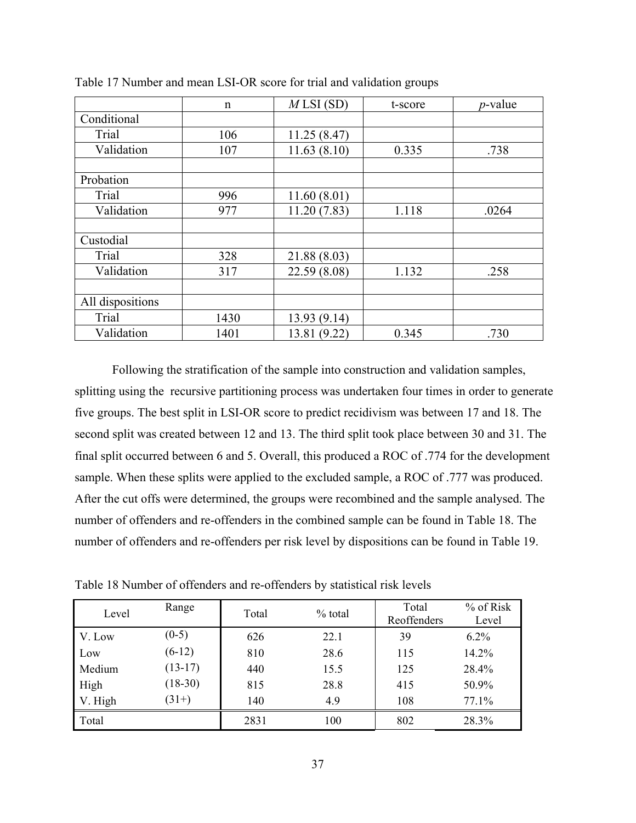|                  | $\mathbf n$ | MLSI(SD)     | t-score | $p$ -value |
|------------------|-------------|--------------|---------|------------|
| Conditional      |             |              |         |            |
| Trial            | 106         | 11.25(8.47)  |         |            |
| Validation       | 107         | 11.63(8.10)  | 0.335   | .738       |
|                  |             |              |         |            |
| Probation        |             |              |         |            |
| Trial            | 996         | 11.60(8.01)  |         |            |
| Validation       | 977         | 11.20(7.83)  | 1.118   | .0264      |
|                  |             |              |         |            |
| Custodial        |             |              |         |            |
| Trial            | 328         | 21.88 (8.03) |         |            |
| Validation       | 317         | 22.59 (8.08) | 1.132   | .258       |
|                  |             |              |         |            |
| All dispositions |             |              |         |            |
| Trial            | 1430        | 13.93 (9.14) |         |            |
| Validation       | 1401        | 13.81 (9.22) | 0.345   | .730       |

Table 17 Number and mean LSI-OR score for trial and validation groups

Following the stratification of the sample into construction and validation samples, splitting using the recursive partitioning process was undertaken four times in order to generate five groups. The best split in LSI-OR score to predict recidivism was between 17 and 18. The second split was created between 12 and 13. The third split took place between 30 and 31. The final split occurred between 6 and 5. Overall, this produced a ROC of .774 for the development sample. When these splits were applied to the excluded sample, a ROC of .777 was produced. After the cut offs were determined, the groups were recombined and the sample analysed. The number of offenders and re-offenders in the combined sample can be found in Table 18. The number of offenders and re-offenders per risk level by dispositions can be found in Table 19.

| Level   | Range     | Total | $%$ total | Total<br>Reoffenders | % of Risk<br>Level |
|---------|-----------|-------|-----------|----------------------|--------------------|
| V. Low  | $(0-5)$   | 626   | 22.1      | 39                   | $6.2\%$            |
| Low     | $(6-12)$  | 810   | 28.6      | 115                  | 14.2%              |
| Medium  | $(13-17)$ | 440   | 15.5      | 125                  | 28.4%              |
| High    | $(18-30)$ | 815   | 28.8      | 415                  | 50.9%              |
| V. High | $(31+)$   | 140   | 4.9       | 108                  | 77.1%              |
| Total   |           | 2831  | 100       | 802                  | 28.3%              |

Table 18 Number of offenders and re-offenders by statistical risk levels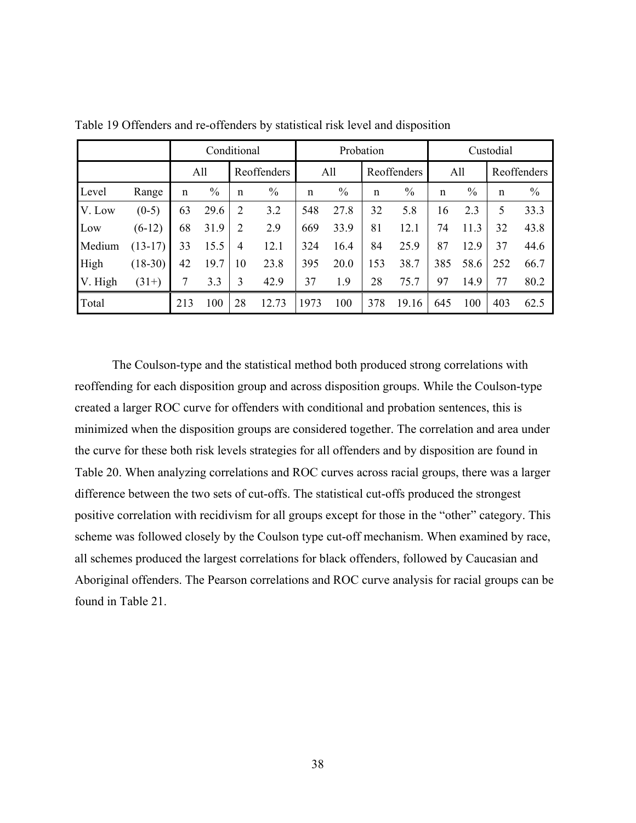|         |           |             | Conditional   |             |               |             | Probation          |     |       |     | Custodial   |             |               |  |
|---------|-----------|-------------|---------------|-------------|---------------|-------------|--------------------|-----|-------|-----|-------------|-------------|---------------|--|
|         |           |             | All           |             | Reoffenders   |             | All<br>Reoffenders |     | All   |     | Reoffenders |             |               |  |
| Level   | Range     | $\mathbf n$ | $\frac{0}{0}$ | $\mathbf n$ | $\frac{0}{0}$ | $\mathbf n$ | $\frac{0}{0}$      | n   | $\%$  | n   | $\%$        | $\mathbf n$ | $\frac{0}{0}$ |  |
| V. Low  | $(0-5)$   | 63          | 29.6          | 2           | 3.2           | 548         | 27.8               | 32  | 5.8   | 16  | 2.3         | 5           | 33.3          |  |
| Low     | $(6-12)$  | 68          | 31.9          | 2           | 2.9           | 669         | 33.9               | 81  | 12.1  | 74  | 11.3        | 32          | 43.8          |  |
| Medium  | $(13-17)$ | 33          | 15.5          | 4           | 12.1          | 324         | 16.4               | 84  | 25.9  | 87  | 12.9        | 37          | 44.6          |  |
| High    | $(18-30)$ | 42          | 19.7          | 10          | 23.8          | 395         | 20.0               | 153 | 38.7  | 385 | 58.6        | 252         | 66.7          |  |
| V. High | $(31+)$   | 7           | 3.3           | 3           | 42.9          | 37          | 1.9                | 28  | 75.7  | 97  | 14.9        | 77          | 80.2          |  |
| Total   |           | 213         | 100           | 28          | 12.73         | 1973        | 100                | 378 | 19.16 | 645 | 100         | 403         | 62.5          |  |

Table 19 Offenders and re-offenders by statistical risk level and disposition

The Coulson-type and the statistical method both produced strong correlations with reoffending for each disposition group and across disposition groups. While the Coulson-type created a larger ROC curve for offenders with conditional and probation sentences, this is minimized when the disposition groups are considered together. The correlation and area under the curve for these both risk levels strategies for all offenders and by disposition are found in Table 20. When analyzing correlations and ROC curves across racial groups, there was a larger difference between the two sets of cut-offs. The statistical cut-offs produced the strongest positive correlation with recidivism for all groups except for those in the "other" category. This scheme was followed closely by the Coulson type cut-off mechanism. When examined by race, all schemes produced the largest correlations for black offenders, followed by Caucasian and Aboriginal offenders. The Pearson correlations and ROC curve analysis for racial groups can be found in Table 21.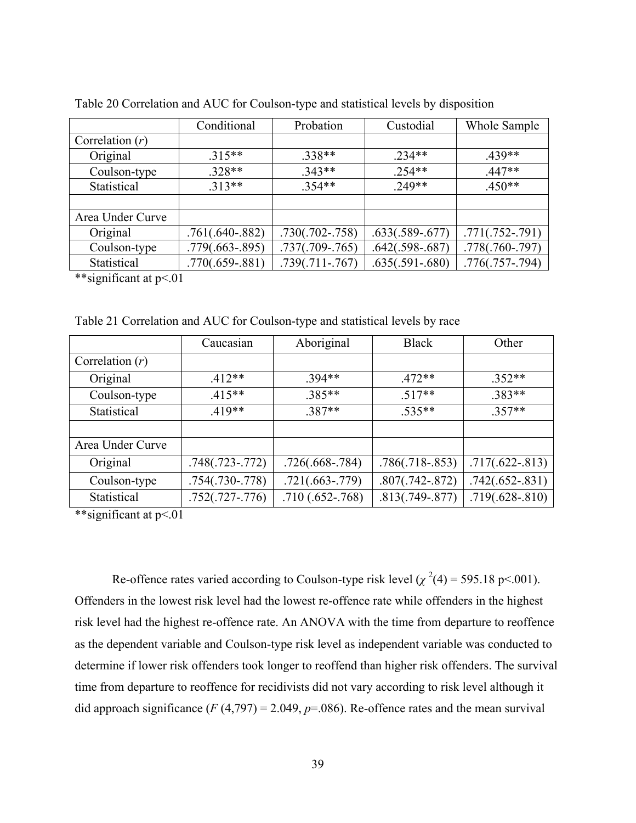|                                   | Conditional       | Probation         | Custodial         | Whole Sample      |
|-----------------------------------|-------------------|-------------------|-------------------|-------------------|
| Correlation $(r)$                 |                   |                   |                   |                   |
| Original                          | $.315**$          | $.338**$          | $.234**$          | $.439**$          |
| Coulson-type                      | $.328**$          | $.343**$          | $.254**$          | $.447**$          |
| Statistical                       | $.313**$          | $.354**$          | 249**             | $.450**$          |
|                                   |                   |                   |                   |                   |
| Area Under Curve                  |                   |                   |                   |                   |
| Original                          | $.761(.640-.882)$ | $.730(.702-.758)$ | $.633(.589-.677)$ | $.771(.752-.791)$ |
| Coulson-type                      | $.779(.663-.895)$ | $.737(.709-.765)$ | $.642(.598-.687)$ | $.778(.760-.797)$ |
| Statistical                       | $.770(.659-.881)$ | $.739(.711-.767)$ | $.635(.591-.680)$ | $.776(.757-.794)$ |
| $**$ gianificant of $n \times 01$ |                   |                   |                   |                   |

Table 20 Correlation and AUC for Coulson-type and statistical levels by disposition

\*\*significant at p<.01

Table 21 Correlation and AUC for Coulson-type and statistical levels by race

|                   | Caucasian         | Aboriginal        | <b>Black</b>      | Other             |
|-------------------|-------------------|-------------------|-------------------|-------------------|
| Correlation $(r)$ |                   |                   |                   |                   |
| Original          | $.412**$          | .394**            | $.472**$          | $.352**$          |
| Coulson-type      | $.415**$          | 385**             | $.517**$          | $.383**$          |
| Statistical       | $419**$           | 387**             | $.535**$          | $.357**$          |
|                   |                   |                   |                   |                   |
| Area Under Curve  |                   |                   |                   |                   |
| Original          | $.748(.723-.772)$ | $.726(.668-.784)$ | $.786(.718-.853)$ | $.717(.622-.813)$ |
| Coulson-type      | $.754(.730-.778)$ | $.721(.663-.779)$ | $.807(.742-.872)$ | $.742(.652-.831)$ |
| Statistical       | $.752(.727-.776)$ | $.710(.652-.768)$ | $.813(.749-.877)$ | $.719(.628-.810)$ |

\*\*significant at p<.01

Re-offence rates varied according to Coulson-type risk level  $(\chi^2(4) = 595.18 \text{ p} < 0.001)$ . Offenders in the lowest risk level had the lowest re-offence rate while offenders in the highest risk level had the highest re-offence rate. An ANOVA with the time from departure to reoffence as the dependent variable and Coulson-type risk level as independent variable was conducted to determine if lower risk offenders took longer to reoffend than higher risk offenders. The survival time from departure to reoffence for recidivists did not vary according to risk level although it did approach significance  $(F(4,797) = 2.049, p = .086)$ . Re-offence rates and the mean survival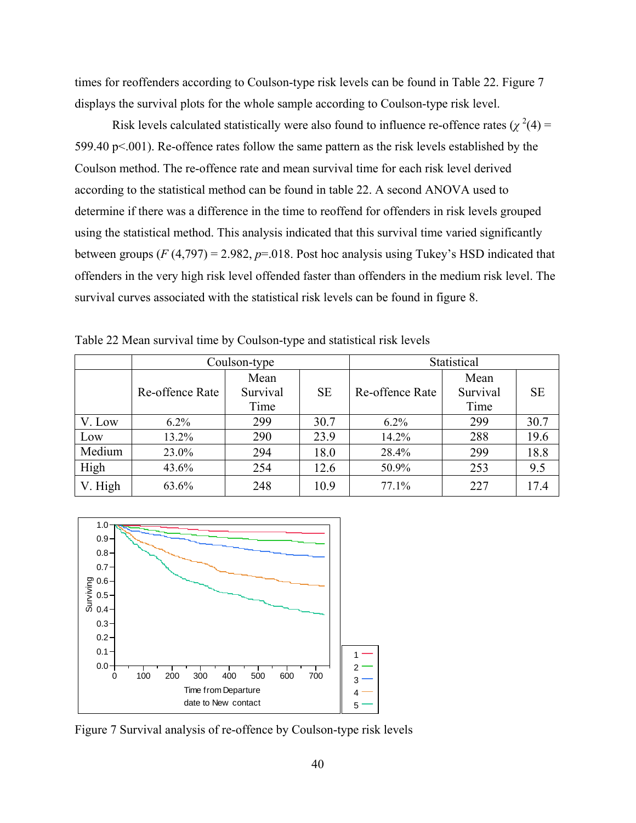times for reoffenders according to Coulson-type risk levels can be found in Table 22. Figure 7 displays the survival plots for the whole sample according to Coulson-type risk level.

Risk levels calculated statistically were also found to influence re-offence rates  $(\chi^2(4))$  = 599.40 p<.001). Re-offence rates follow the same pattern as the risk levels established by the Coulson method. The re-offence rate and mean survival time for each risk level derived according to the statistical method can be found in table 22. A second ANOVA used to determine if there was a difference in the time to reoffend for offenders in risk levels grouped using the statistical method. This analysis indicated that this survival time varied significantly between groups  $(F(4, 797) = 2.982$ ,  $p=0.018$ . Post hoc analysis using Tukey's HSD indicated that offenders in the very high risk level offended faster than offenders in the medium risk level. The survival curves associated with the statistical risk levels can be found in figure 8.

|         |                 | Coulson-type             |           | Statistical     |                          |           |  |
|---------|-----------------|--------------------------|-----------|-----------------|--------------------------|-----------|--|
|         | Re-offence Rate | Mean<br>Survival<br>Time | <b>SE</b> | Re-offence Rate | Mean<br>Survival<br>Time | <b>SE</b> |  |
| V. Low  | $6.2\%$         | 299                      | 30.7      | $6.2\%$         | 299                      | 30.7      |  |
| Low     | 13.2%           | 290                      | 23.9      | 14.2%           | 288                      | 19.6      |  |
| Medium  | 23.0%           | 294                      | 18.0      | 28.4%           | 299                      | 18.8      |  |
| High    | 43.6%           | 254                      | 12.6      | 50.9%           | 253                      | 9.5       |  |
| V. High | 63.6%           | 248                      | 10.9      | 77.1%           | 227                      | 17.4      |  |

Table 22 Mean survival time by Coulson-type and statistical risk levels



Figure 7 Survival analysis of re-offence by Coulson-type risk levels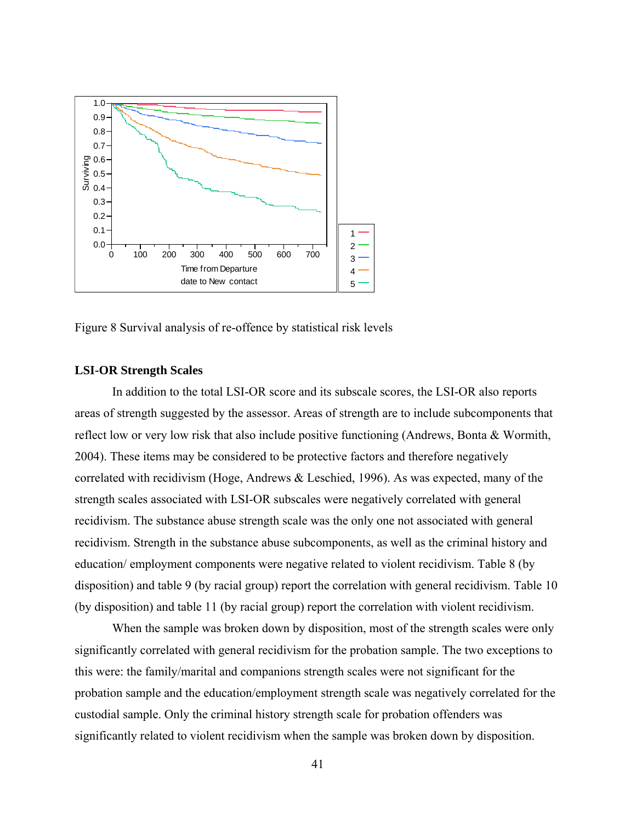

Figure 8 Survival analysis of re-offence by statistical risk levels

## **LSI-OR Strength Scales**

In addition to the total LSI-OR score and its subscale scores, the LSI-OR also reports areas of strength suggested by the assessor. Areas of strength are to include subcomponents that reflect low or very low risk that also include positive functioning (Andrews, Bonta & Wormith, 2004). These items may be considered to be protective factors and therefore negatively correlated with recidivism (Hoge, Andrews & Leschied, 1996). As was expected, many of the strength scales associated with LSI-OR subscales were negatively correlated with general recidivism. The substance abuse strength scale was the only one not associated with general recidivism. Strength in the substance abuse subcomponents, as well as the criminal history and education/ employment components were negative related to violent recidivism. Table 8 (by disposition) and table 9 (by racial group) report the correlation with general recidivism. Table 10 (by disposition) and table 11 (by racial group) report the correlation with violent recidivism.

 When the sample was broken down by disposition, most of the strength scales were only significantly correlated with general recidivism for the probation sample. The two exceptions to this were: the family/marital and companions strength scales were not significant for the probation sample and the education/employment strength scale was negatively correlated for the custodial sample. Only the criminal history strength scale for probation offenders was significantly related to violent recidivism when the sample was broken down by disposition.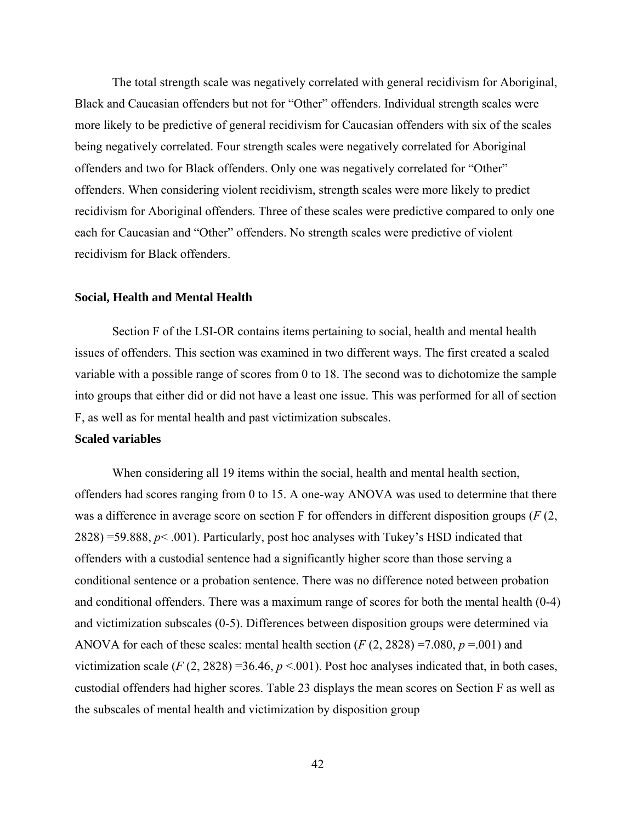The total strength scale was negatively correlated with general recidivism for Aboriginal, Black and Caucasian offenders but not for "Other" offenders. Individual strength scales were more likely to be predictive of general recidivism for Caucasian offenders with six of the scales being negatively correlated. Four strength scales were negatively correlated for Aboriginal offenders and two for Black offenders. Only one was negatively correlated for "Other" offenders. When considering violent recidivism, strength scales were more likely to predict recidivism for Aboriginal offenders. Three of these scales were predictive compared to only one each for Caucasian and "Other" offenders. No strength scales were predictive of violent recidivism for Black offenders.

## **Social, Health and Mental Health**

Section F of the LSI-OR contains items pertaining to social, health and mental health issues of offenders. This section was examined in two different ways. The first created a scaled variable with a possible range of scores from 0 to 18. The second was to dichotomize the sample into groups that either did or did not have a least one issue. This was performed for all of section F, as well as for mental health and past victimization subscales.

## **Scaled variables**

When considering all 19 items within the social, health and mental health section, offenders had scores ranging from 0 to 15. A one-way ANOVA was used to determine that there was a difference in average score on section F for offenders in different disposition groups (*F* (2,  $2828$ ) =59.888,  $p$ < .001). Particularly, post hoc analyses with Tukey's HSD indicated that offenders with a custodial sentence had a significantly higher score than those serving a conditional sentence or a probation sentence. There was no difference noted between probation and conditional offenders. There was a maximum range of scores for both the mental health (0-4) and victimization subscales (0-5). Differences between disposition groups were determined via ANOVA for each of these scales: mental health section  $(F(2, 2828) = 7.080, p = .001)$  and victimization scale  $(F(2, 2828) = 36.46, p < .001)$ . Post hoc analyses indicated that, in both cases, custodial offenders had higher scores. Table 23 displays the mean scores on Section F as well as the subscales of mental health and victimization by disposition group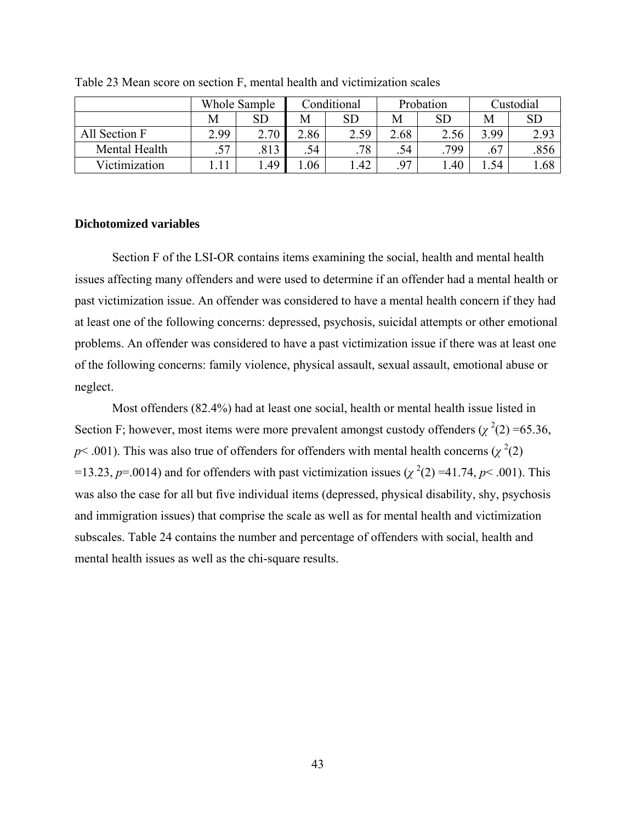|               | Whole Sample |            |      | Conditional |      | Probation  |      | Custodial |  |
|---------------|--------------|------------|------|-------------|------|------------|------|-----------|--|
|               | М            | ${\rm SD}$ | М    | SD          | M    | ${\rm SD}$ | M    | <b>SD</b> |  |
| All Section F | 2.99         | 2.70       | 2.86 | 2.59        | 2.68 | 2.56       | 3.99 | 2.93      |  |
| Mental Health | .57          | 813        | .54  | .78         | .54  | 799        | .67  | .856      |  |
| Victimization |              | .49        | .06  | .42         | .97  | .40        | .54  | .68       |  |

Table 23 Mean score on section F, mental health and victimization scales

# **Dichotomized variables**

Section F of the LSI-OR contains items examining the social, health and mental health issues affecting many offenders and were used to determine if an offender had a mental health or past victimization issue. An offender was considered to have a mental health concern if they had at least one of the following concerns: depressed, psychosis, suicidal attempts or other emotional problems. An offender was considered to have a past victimization issue if there was at least one of the following concerns: family violence, physical assault, sexual assault, emotional abuse or neglect.

Most offenders (82.4%) had at least one social, health or mental health issue listed in Section F; however, most items were more prevalent amongst custody offenders  $(\chi^2(2) = 65.36)$ ,  $p$ < .001). This was also true of offenders for offenders with mental health concerns ( $\chi^2(2)$ ) =13.23, *p*=.0014) and for offenders with past victimization issues ( $\chi^2(2)$  =41.74, *p*< .001). This was also the case for all but five individual items (depressed, physical disability, shy, psychosis and immigration issues) that comprise the scale as well as for mental health and victimization subscales. Table 24 contains the number and percentage of offenders with social, health and mental health issues as well as the chi-square results.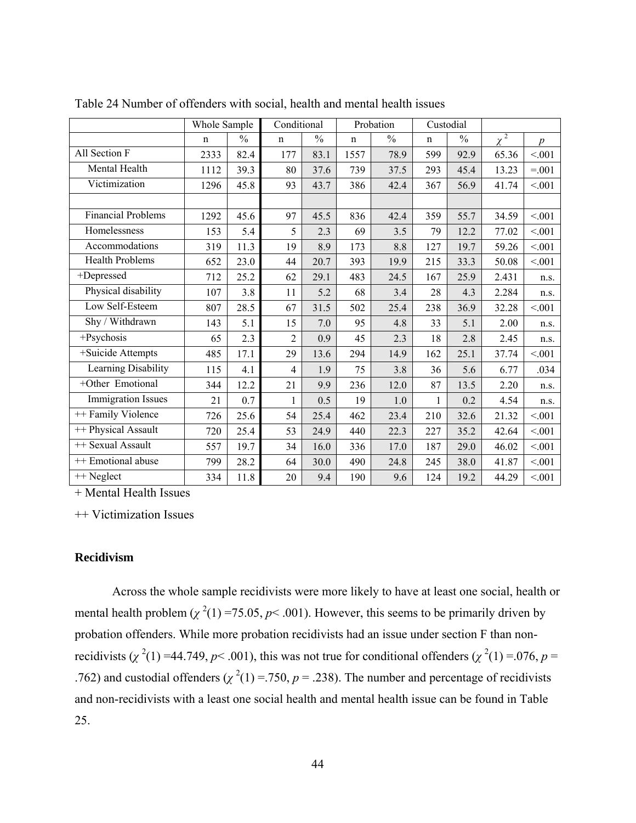|                           | Whole Sample |               | Conditional    |               |             | Probation     |              | Custodial     |          |                  |
|---------------------------|--------------|---------------|----------------|---------------|-------------|---------------|--------------|---------------|----------|------------------|
|                           | $\mathbf n$  | $\frac{0}{0}$ | $\mathbf n$    | $\frac{0}{0}$ | $\mathbf n$ | $\frac{0}{0}$ | $\mathbf n$  | $\frac{0}{0}$ | $\chi^2$ | $\boldsymbol{p}$ |
| All Section F             | 2333         | 82.4          | 177            | 83.1          | 1557        | 78.9          | 599          | 92.9          | 65.36    | < 0.01           |
| Mental Health             | 1112         | 39.3          | 80             | 37.6          | 739         | 37.5          | 293          | 45.4          | 13.23    | $=.001$          |
| Victimization             | 1296         | 45.8          | 93             | 43.7          | 386         | 42.4          | 367          | 56.9          | 41.74    | < 0.01           |
|                           |              |               |                |               |             |               |              |               |          |                  |
| <b>Financial Problems</b> | 1292         | 45.6          | 97             | 45.5          | 836         | 42.4          | 359          | 55.7          | 34.59    | < 0.01           |
| Homelessness              | 153          | 5.4           | 5              | 2.3           | 69          | 3.5           | 79           | 12.2          | 77.02    | < 0.01           |
| Accommodations            | 319          | 11.3          | 19             | 8.9           | 173         | 8.8           | 127          | 19.7          | 59.26    | < 0.01           |
| <b>Health Problems</b>    | 652          | 23.0          | 44             | 20.7          | 393         | 19.9          | 215          | 33.3          | 50.08    | < 0.01           |
| +Depressed                | 712          | 25.2          | 62             | 29.1          | 483         | 24.5          | 167          | 25.9          | 2.431    | n.s.             |
| Physical disability       | 107          | 3.8           | 11             | 5.2           | 68          | 3.4           | 28           | 4.3           | 2.284    | n.s.             |
| Low Self-Esteem           | 807          | 28.5          | 67             | 31.5          | 502         | 25.4          | 238          | 36.9          | 32.28    | < 0.01           |
| Shy / Withdrawn           | 143          | 5.1           | 15             | 7.0           | 95          | 4.8           | 33           | 5.1           | 2.00     | n.s.             |
| +Psychosis                | 65           | 2.3           | $\overline{2}$ | 0.9           | 45          | 2.3           | 18           | 2.8           | 2.45     | n.s.             |
| +Suicide Attempts         | 485          | 17.1          | 29             | 13.6          | 294         | 14.9          | 162          | 25.1          | 37.74    | < 0.01           |
| Learning Disability       | 115          | 4.1           | $\overline{4}$ | 1.9           | 75          | 3.8           | 36           | 5.6           | 6.77     | .034             |
| +Other Emotional          | 344          | 12.2          | 21             | 9.9           | 236         | 12.0          | 87           | 13.5          | 2.20     | n.s.             |
| <b>Immigration Issues</b> | 21           | 0.7           | $\mathbf{1}$   | 0.5           | 19          | 1.0           | $\mathbf{1}$ | 0.2           | 4.54     | n.s.             |
| ++ Family Violence        | 726          | 25.6          | 54             | 25.4          | 462         | 23.4          | 210          | 32.6          | 21.32    | < 0.01           |
| ++ Physical Assault       | 720          | 25.4          | 53             | 24.9          | 440         | 22.3          | 227          | 35.2          | 42.64    | < 0.01           |
| ++ Sexual Assault         | 557          | 19.7          | 34             | 16.0          | 336         | 17.0          | 187          | 29.0          | 46.02    | < 0.01           |
| ++ Emotional abuse        | 799          | 28.2          | 64             | 30.0          | 490         | 24.8          | 245          | 38.0          | 41.87    | < 0.01           |
| ++ Neglect                | 334          | 11.8          | 20             | 9.4           | 190         | 9.6           | 124          | 19.2          | 44.29    | < 0.01           |

Table 24 Number of offenders with social, health and mental health issues

+ Mental Health Issues

++ Victimization Issues

## **Recidivism**

Across the whole sample recidivists were more likely to have at least one social, health or mental health problem  $(\chi^2(1) = 75.05, p < .001)$ . However, this seems to be primarily driven by probation offenders. While more probation recidivists had an issue under section F than nonrecidivists ( $\chi^2(1)$  =44.749,  $p$ < .001), this was not true for conditional offenders ( $\chi^2(1)$  =.076,  $p$  = .762) and custodial offenders ( $\chi^2(1) = 750$ ,  $p = .238$ ). The number and percentage of recidivists and non-recidivists with a least one social health and mental health issue can be found in Table 25.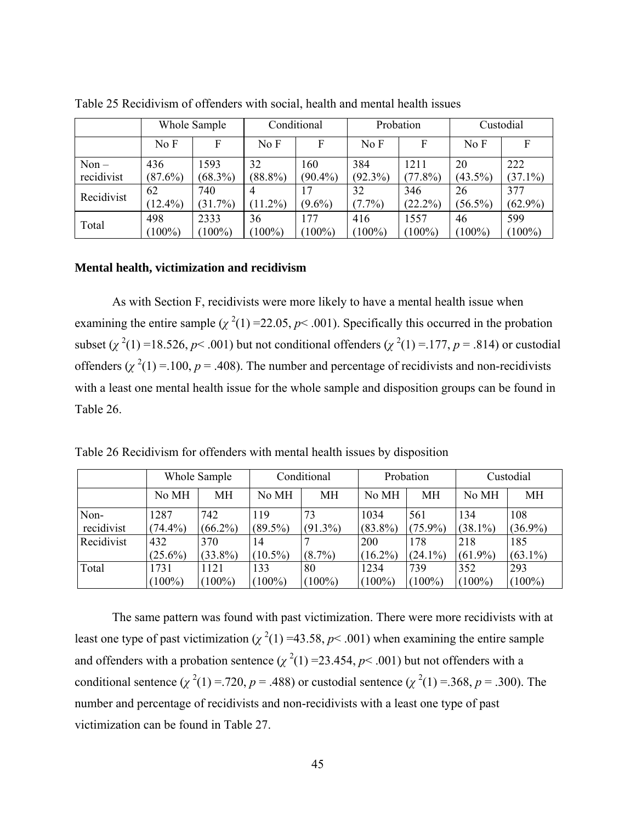|            |            | Whole Sample |            | Conditional |            | Probation  |            | Custodial  |
|------------|------------|--------------|------------|-------------|------------|------------|------------|------------|
|            | No F       | F            | No F       | F           | No F       | F          | No F       |            |
| $Non -$    | 436        | 1593         | 32         | 160         | 384        | 1211       | 20         | 222        |
| recidivist | $(87.6\%)$ | $(68.3\%)$   | $(88.8\%)$ | $(90.4\%)$  | $(92.3\%)$ | $(77.8\%)$ | $(43.5\%)$ | $(37.1\%)$ |
| Recidivist | 62         | 740          |            | 17          | 32         | 346        | 26         | 377        |
|            | $(12.4\%)$ | (31.7%)      | $(11.2\%)$ | $(9.6\%)$   | $(7.7\%)$  | $(22.2\%)$ | $(56.5\%)$ | $(62.9\%)$ |
|            | 498        | 2333         | 36         | 177         | 416        | 1557       | 46         | 599        |
| Total      | $(100\%)$  | $(100\%)$    | $(100\%)$  | $(100\%)$   | $(100\%)$  | $(100\%)$  | $(100\%)$  | $(100\%)$  |

Table 25 Recidivism of offenders with social, health and mental health issues

## **Mental health, victimization and recidivism**

As with Section F, recidivists were more likely to have a mental health issue when examining the entire sample  $(\chi^2(1) = 22.05, p < .001)$ . Specifically this occurred in the probation subset  $(\chi^2(1) = 18.526, p < .001)$  but not conditional offenders  $(\chi^2(1) = .177, p = .814)$  or custodial offenders  $(\chi^2(1) = 100, p = .408)$ . The number and percentage of recidivists and non-recidivists with a least one mental health issue for the whole sample and disposition groups can be found in Table 26.

Table 26 Recidivism for offenders with mental health issues by disposition

|            | Whole Sample |            | Conditional |            |            | Probation  | Custodial  |            |
|------------|--------------|------------|-------------|------------|------------|------------|------------|------------|
|            | No MH        | MН         | No MH       | <b>MH</b>  | No MH      | МH         | No MH      | MН         |
| Non-       | 1287         | 742        | 119         | 73         | 1034       | 561        | 134        | 108        |
| recidivist | $(74.4\%)$   | $(66.2\%)$ | $(89.5\%)$  | $(91.3\%)$ | $(83.8\%)$ | $(75.9\%)$ | $(38.1\%)$ | $(36.9\%)$ |
| Recidivist | 432          | 370        | 14          |            | 200        | 178        | 218        | 185        |
|            | $(25.6\%)$   | $(33.8\%)$ | $(10.5\%)$  | $(8.7\%)$  | $(16.2\%)$ | $(24.1\%)$ | $(61.9\%)$ | $(63.1\%)$ |
| Total      | 1731         | 1121       | 133         | 80         | 1234       | 739        | 352        | 293        |
|            | $(100\%)$    | $(100\%)$  | $(100\%)$   | $(100\%)$  | $(100\%)$  | $(100\%)$  | $(100\%)$  | $(100\%)$  |

The same pattern was found with past victimization. There were more recidivists with at least one type of past victimization ( $\chi^2(1)$  =43.58,  $p$ < .001) when examining the entire sample and offenders with a probation sentence  $(\chi^2(1) = 23.454, p < .001)$  but not offenders with a conditional sentence (*χ*<sup>2</sup>(1) = .720, *p* = .488) or custodial sentence (*χ*<sup>2</sup>(1) = .368, *p* = .300). The number and percentage of recidivists and non-recidivists with a least one type of past victimization can be found in Table 27.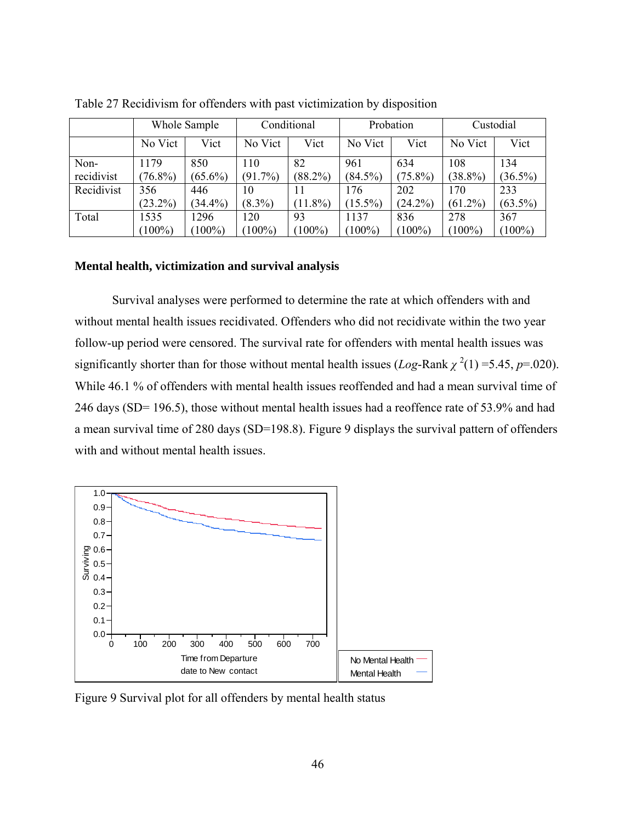|            |            | Whole Sample |            | Conditional |            | Probation  | Custodial  |            |
|------------|------------|--------------|------------|-------------|------------|------------|------------|------------|
|            | No Vict    | Vict         | No Vict    | Vict        | No Vict    | Vict       | No Vict    | Vict       |
| Non-       | 1179       | 850          | 110        | 82          | 961        | 634        | 108        | 134        |
| recidivist | $(76.8\%)$ | $(65.6\%)$   | $(91.7\%)$ | $(88.2\%)$  | $(84.5\%)$ | $(75.8\%)$ | $(38.8\%)$ | $(36.5\%)$ |
| Recidivist | 356        | 446          | 10         |             | 176        | 202        | 170        | 233        |
|            | $(23.2\%)$ | $(34.4\%)$   | $(8.3\%)$  | $(11.8\%)$  | $(15.5\%)$ | $(24.2\%)$ | $(61.2\%)$ | $(63.5\%)$ |
| Total      | 1535       | 1296         | 120        | 93          | 1137       | 836        | 278        | 367        |
|            | $(100\%)$  | $100\%$      | $(100\%)$  | $100\%$     | $100\%$    | $(100\%)$  | $(100\%)$  | $(100\%)$  |

Table 27 Recidivism for offenders with past victimization by disposition

## **Mental health, victimization and survival analysis**

Survival analyses were performed to determine the rate at which offenders with and without mental health issues recidivated. Offenders who did not recidivate within the two year follow-up period were censored. The survival rate for offenders with mental health issues was significantly shorter than for those without mental health issues  $(Log-Rank \chi^2(1) = 5.45, p = .020)$ . While 46.1 % of offenders with mental health issues reoffended and had a mean survival time of 246 days (SD= 196.5), those without mental health issues had a reoffence rate of 53.9% and had a mean survival time of 280 days (SD=198.8). Figure 9 displays the survival pattern of offenders with and without mental health issues.



Figure 9 Survival plot for all offenders by mental health status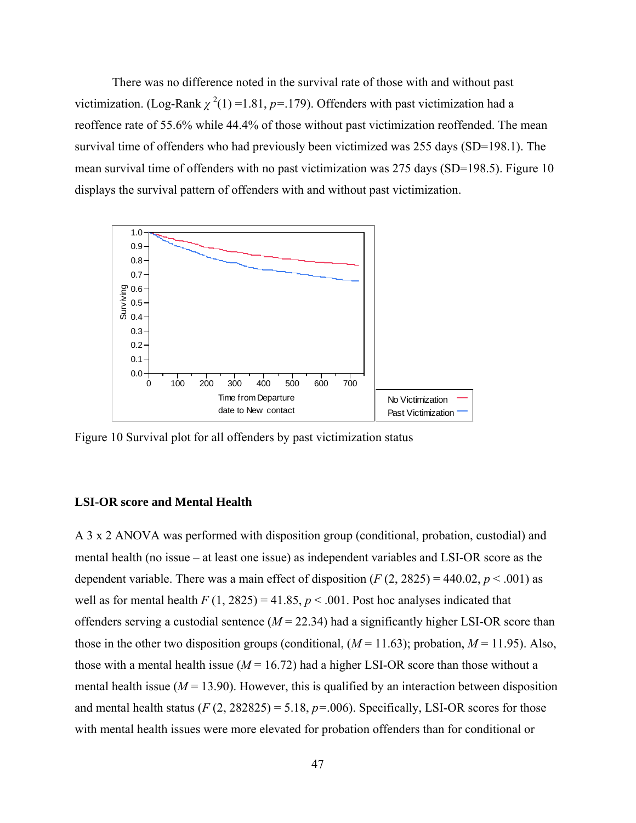There was no difference noted in the survival rate of those with and without past victimization. (Log-Rank  $\chi^2(1)$  =1.81,  $p$ =.179). Offenders with past victimization had a reoffence rate of 55.6% while 44.4% of those without past victimization reoffended. The mean survival time of offenders who had previously been victimized was 255 days (SD=198.1). The mean survival time of offenders with no past victimization was 275 days (SD=198.5). Figure 10 displays the survival pattern of offenders with and without past victimization.



Figure 10 Survival plot for all offenders by past victimization status

#### **LSI-OR score and Mental Health**

A 3 x 2 ANOVA was performed with disposition group (conditional, probation, custodial) and mental health (no issue – at least one issue) as independent variables and LSI-OR score as the dependent variable. There was a main effect of disposition  $(F (2, 2825) = 440.02, p < .001)$  as well as for mental health  $F(1, 2825) = 41.85$ ,  $p < .001$ . Post hoc analyses indicated that offenders serving a custodial sentence  $(M = 22.34)$  had a significantly higher LSI-OR score than those in the other two disposition groups (conditional,  $(M = 11.63)$ ; probation,  $M = 11.95$ ). Also, those with a mental health issue  $(M = 16.72)$  had a higher LSI-OR score than those without a mental health issue ( $M = 13.90$ ). However, this is qualified by an interaction between disposition and mental health status  $(F(2, 282825) = 5.18, p = .006)$ . Specifically, LSI-OR scores for those with mental health issues were more elevated for probation offenders than for conditional or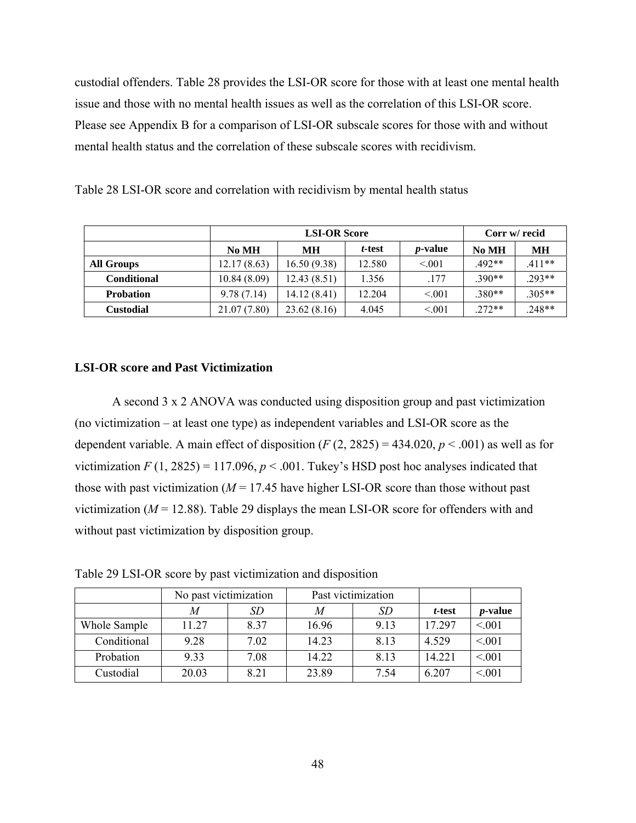custodial offenders. Table 28 provides the LSI-OR score for those with at least one mental health issue and those with no mental health issues as well as the correlation of this LSI-OR score. Please see Appendix B for a comparison of LSI-OR subscale scores for those with and without mental health status and the correlation of these subscale scores with recidivism.

|                    |              | <b>LSI-OR Score</b>                      |        |        |          |          |  |  |  |
|--------------------|--------------|------------------------------------------|--------|--------|----------|----------|--|--|--|
|                    | No MH        | <i>p</i> -value<br>t-test<br>No MH<br>MН |        |        |          |          |  |  |  |
| <b>All Groups</b>  | 12.17(8.63)  | 16.50(9.38)                              | 12.580 | < 0.01 | $.492**$ | $.411**$ |  |  |  |
| <b>Conditional</b> | 10.84(8.09)  | 12.43(8.51)                              | 1.356  | .177   | $.390**$ | $.293**$ |  |  |  |
| <b>Probation</b>   | 9.78(7.14)   | 14.12(8.41)                              | 12.204 | < 0.01 | $.380**$ | $.305**$ |  |  |  |
| <b>Custodial</b>   | 21.07 (7.80) | 23.62(8.16)                              | 4.045  | < 0.01 | $.272**$ | .248**   |  |  |  |

Table 28 LSI-OR score and correlation with recidivism by mental health status

#### **LSI-OR score and Past Victimization**

A second 3 x 2 ANOVA was conducted using disposition group and past victimization (no victimization – at least one type) as independent variables and LSI-OR score as the dependent variable. A main effect of disposition  $(F(2, 2825) = 434.020, p < .001)$  as well as for victimization  $F(1, 2825) = 117.096$ ,  $p < .001$ . Tukey's HSD post hoc analyses indicated that those with past victimization ( $M = 17.45$  have higher LSI-OR score than those without past victimization ( $M = 12.88$ ). Table 29 displays the mean LSI-OR score for offenders with and without past victimization by disposition group.

Table 29 LSI-OR score by past victimization and disposition

|              | No past victimization |      |       | Past victimization |        |                 |
|--------------|-----------------------|------|-------|--------------------|--------|-----------------|
|              | M                     | SD   | M     | SD                 | t-test | <i>p</i> -value |
| Whole Sample | 11.27                 | 837  | 16.96 | 9 1 3              | 17 297 | < 0.01          |
| Conditional  | 9.28                  | 7.02 | 14.23 | 8.13               | 4.529  | < 0.01          |
| Probation    | 9.33                  | 7.08 | 14.22 | 8.13               | 14.221 | < 0.01          |
| Custodial    | 20.03                 | 8.21 | 23.89 | 7.54               | 6.207  | < 0.01          |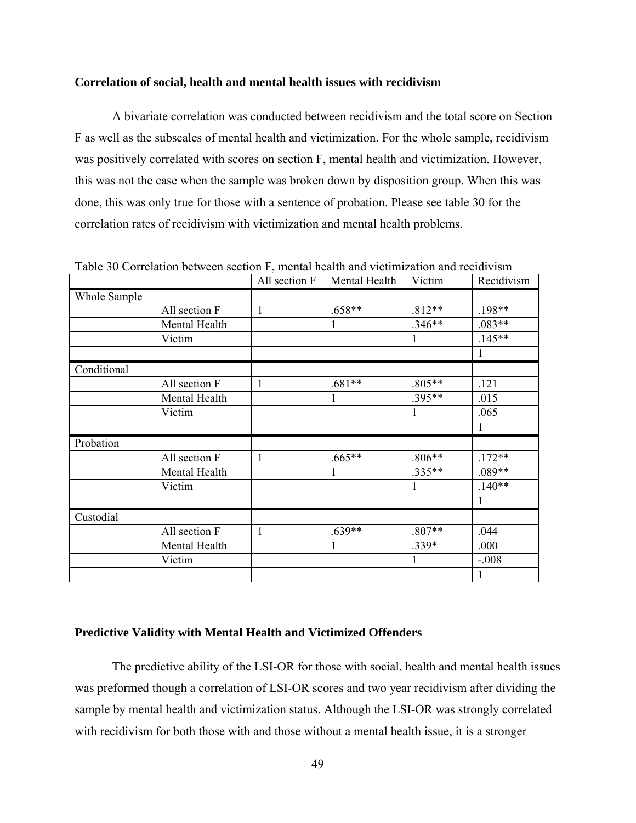### **Correlation of social, health and mental health issues with recidivism**

A bivariate correlation was conducted between recidivism and the total score on Section F as well as the subscales of mental health and victimization. For the whole sample, recidivism was positively correlated with scores on section F, mental health and victimization. However, this was not the case when the sample was broken down by disposition group. When this was done, this was only true for those with a sentence of probation. Please see table 30 for the correlation rates of recidivism with victimization and mental health problems.

|              |               | All section F | Mental Health | Victim   | Recidivism |
|--------------|---------------|---------------|---------------|----------|------------|
| Whole Sample |               |               |               |          |            |
|              | All section F | $\mathbf{1}$  | .658**        | $.812**$ | $.198**$   |
|              | Mental Health |               | 1             | $.346**$ | $.083**$   |
|              | Victim        |               |               | 1        | $.145**$   |
|              |               |               |               |          | 1          |
| Conditional  |               |               |               |          |            |
|              | All section F | $\mathbf{1}$  | $.681**$      | $.805**$ | .121       |
|              | Mental Health |               | 1             | .395**   | .015       |
|              | Victim        |               |               | 1        | .065       |
|              |               |               |               |          | 1          |
| Probation    |               |               |               |          |            |
|              | All section F | $\mathbf{1}$  | $.665**$      | $.806**$ | $.172**$   |
|              | Mental Health |               |               | .335**   | $.089**$   |
|              | Victim        |               |               | 1        | $.140**$   |
|              |               |               |               |          | 1          |
| Custodial    |               |               |               |          |            |
|              | All section F | 1             | $.639**$      | $.807**$ | .044       |
|              | Mental Health |               | 1             | .339*    | .000       |
|              | Victim        |               |               | 1        | $-.008$    |
|              |               |               |               |          | 1          |

Table 30 Correlation between section F, mental health and victimization and recidivism

## **Predictive Validity with Mental Health and Victimized Offenders**

The predictive ability of the LSI-OR for those with social, health and mental health issues was preformed though a correlation of LSI-OR scores and two year recidivism after dividing the sample by mental health and victimization status. Although the LSI-OR was strongly correlated with recidivism for both those with and those without a mental health issue, it is a stronger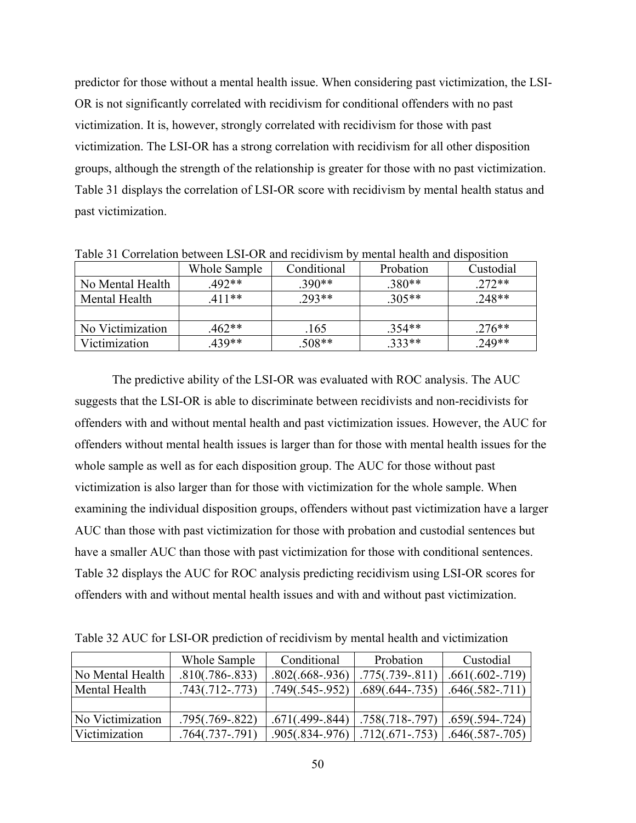predictor for those without a mental health issue. When considering past victimization, the LSI-OR is not significantly correlated with recidivism for conditional offenders with no past victimization. It is, however, strongly correlated with recidivism for those with past victimization. The LSI-OR has a strong correlation with recidivism for all other disposition groups, although the strength of the relationship is greater for those with no past victimization. Table 31 displays the correlation of LSI-OR score with recidivism by mental health status and past victimization.

| Tuote 31 - Contention occuredh Ebril Ort unu fectur chin o<br>montan nounth and appointent |              |             |           |           |  |  |  |  |  |
|--------------------------------------------------------------------------------------------|--------------|-------------|-----------|-----------|--|--|--|--|--|
|                                                                                            | Whole Sample | Conditional | Probation | Custodial |  |  |  |  |  |
| No Mental Health                                                                           | $492**$      | .390**      | $.380**$  | $.272**$  |  |  |  |  |  |
| Mental Health                                                                              | $.411**$     | $.293**$    | $.305**$  | $.248**$  |  |  |  |  |  |
|                                                                                            |              |             |           |           |  |  |  |  |  |
| No Victimization                                                                           | $462**$      | .165        | $.354**$  | $.276**$  |  |  |  |  |  |
| Victimization                                                                              | 439**        | $.508**$    | .333**    | .249**    |  |  |  |  |  |

Table 31 Correlation between LSI-OR and recidivism by mental health and disposition

The predictive ability of the LSI-OR was evaluated with ROC analysis. The AUC suggests that the LSI-OR is able to discriminate between recidivists and non-recidivists for offenders with and without mental health and past victimization issues. However, the AUC for offenders without mental health issues is larger than for those with mental health issues for the whole sample as well as for each disposition group. The AUC for those without past victimization is also larger than for those with victimization for the whole sample. When examining the individual disposition groups, offenders without past victimization have a larger AUC than those with past victimization for those with probation and custodial sentences but have a smaller AUC than those with past victimization for those with conditional sentences. Table 32 displays the AUC for ROC analysis predicting recidivism using LSI-OR scores for offenders with and without mental health issues and with and without past victimization.

Table 32 AUC for LSI-OR prediction of recidivism by mental health and victimization

|                  | Whole Sample      | Conditional       | Probation         | Custodial         |
|------------------|-------------------|-------------------|-------------------|-------------------|
| No Mental Health | $.810(.786-.833)$ | $.802(.668-.936)$ | $.775(.739-.811)$ | $.661(.602-.719)$ |
| Mental Health    | $.743(.712-.773)$ | $.749(.545-.952)$ | $.689(.644-.735)$ | $.646(.582-.711)$ |
|                  |                   |                   |                   |                   |
| No Victimization | $.795(.769-.822)$ | $.671(.499-.844)$ | $.758(.718-.797)$ | $.659(.594-.724)$ |
| Victimization    | $.764(.737-.791)$ | $.905(.834-.976)$ | $.712(.671-.753)$ | $.646(.587-.705)$ |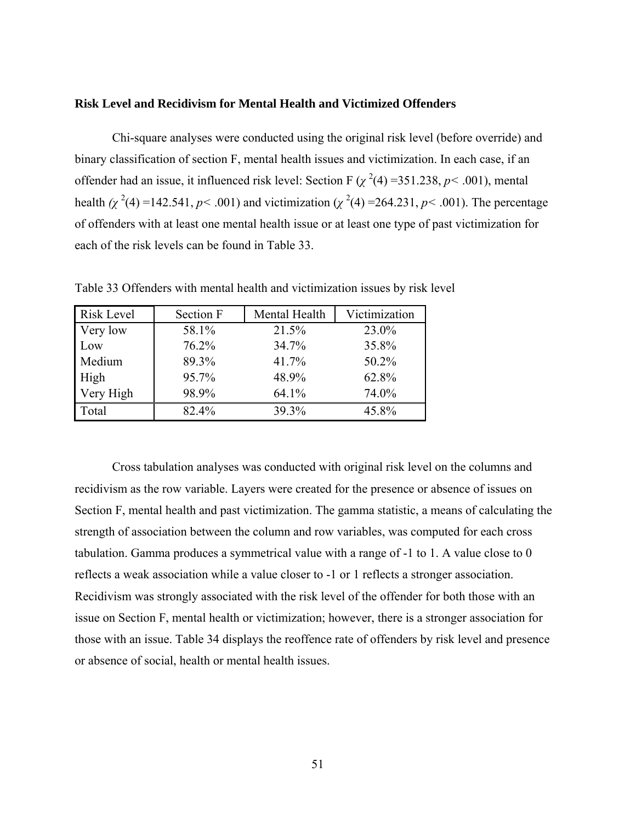## **Risk Level and Recidivism for Mental Health and Victimized Offenders**

Chi-square analyses were conducted using the original risk level (before override) and binary classification of section F, mental health issues and victimization. In each case, if an offender had an issue, it influenced risk level: Section F  $(\chi^2(4) = 351.238, p < .001)$ , mental health  $(\chi^2(4) = 142.541, p < .001)$  and victimization  $(\chi^2(4) = 264.231, p < .001)$ . The percentage of offenders with at least one mental health issue or at least one type of past victimization for each of the risk levels can be found in Table 33.

| Risk Level | <b>Section F</b> | Mental Health | Victimization |
|------------|------------------|---------------|---------------|
| Very low   | 58.1%            | 21.5%         | 23.0%         |
| Low        | 76.2%            | 34.7%         | 35.8%         |
| Medium     | 89.3%            | 41.7%         | 50.2%         |
| High       | 95.7%            | 48.9%         | 62.8%         |
| Very High  | 98.9%            | 64.1%         | 74.0%         |
| Total      | 82.4%            | 39.3%         | 45.8%         |

Table 33 Offenders with mental health and victimization issues by risk level

Cross tabulation analyses was conducted with original risk level on the columns and recidivism as the row variable. Layers were created for the presence or absence of issues on Section F, mental health and past victimization. The gamma statistic, a means of calculating the strength of association between the column and row variables, was computed for each cross tabulation. Gamma produces a symmetrical value with a range of -1 to 1. A value close to 0 reflects a weak association while a value closer to -1 or 1 reflects a stronger association. Recidivism was strongly associated with the risk level of the offender for both those with an issue on Section F, mental health or victimization; however, there is a stronger association for those with an issue. Table 34 displays the reoffence rate of offenders by risk level and presence or absence of social, health or mental health issues.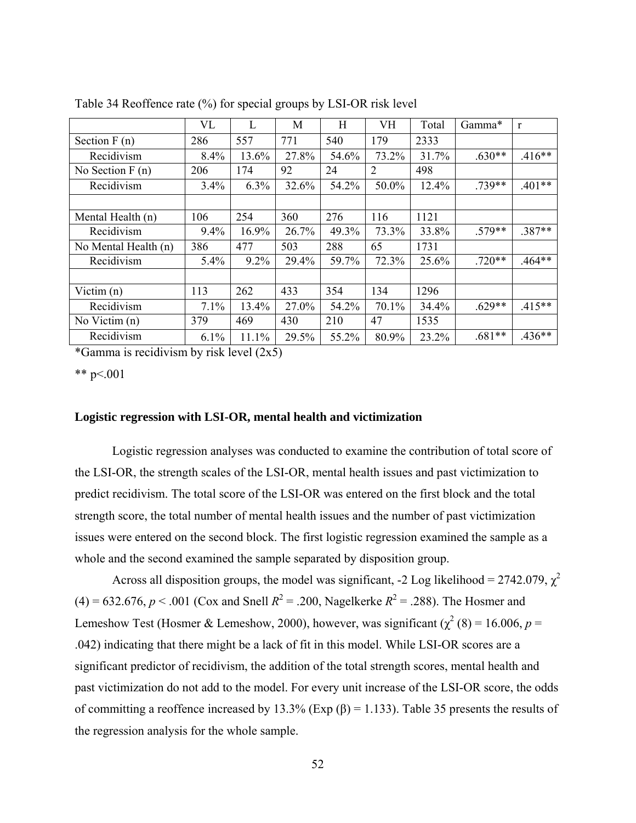|                      | VL   | L       | M     | H     | VH    | Total | Gamma*   | r        |
|----------------------|------|---------|-------|-------|-------|-------|----------|----------|
| Section $F(n)$       | 286  | 557     | 771   | 540   | 179   | 2333  |          |          |
| Recidivism           | 8.4% | 13.6%   | 27.8% | 54.6% | 73.2% | 31.7% | $.630**$ | $.416**$ |
| No Section $F(n)$    | 206  | 174     | 92    | 24    | 2     | 498   |          |          |
| Recidivism           | 3.4% | 6.3%    | 32.6% | 54.2% | 50.0% | 12.4% | .739**   | $.401**$ |
|                      |      |         |       |       |       |       |          |          |
| Mental Health (n)    | 106  | 254     | 360   | 276   | 116   | 1121  |          |          |
| Recidivism           | 9.4% | 16.9%   | 26.7% | 49.3% | 73.3% | 33.8% | $.579**$ | $.387**$ |
| No Mental Health (n) | 386  | 477     | 503   | 288   | 65    | 1731  |          |          |
| Recidivism           | 5.4% | $9.2\%$ | 29.4% | 59.7% | 72.3% | 25.6% | $.720**$ | $.464**$ |
|                      |      |         |       |       |       |       |          |          |
| Victim $(n)$         | 113  | 262     | 433   | 354   | 134   | 1296  |          |          |
| Recidivism           | 7.1% | 13.4%   | 27.0% | 54.2% | 70.1% | 34.4% | $.629**$ | $.415**$ |
| No Victim $(n)$      | 379  | 469     | 430   | 210   | 47    | 1535  |          |          |
| Recidivism           | 6.1% | 11.1%   | 29.5% | 55.2% | 80.9% | 23.2% | $.681**$ | $.436**$ |

Table 34 Reoffence rate (%) for special groups by LSI-OR risk level

\*Gamma is recidivism by risk level (2x5)

\*\*  $p < 001$ 

# **Logistic regression with LSI-OR, mental health and victimization**

Logistic regression analyses was conducted to examine the contribution of total score of the LSI-OR, the strength scales of the LSI-OR, mental health issues and past victimization to predict recidivism. The total score of the LSI-OR was entered on the first block and the total strength score, the total number of mental health issues and the number of past victimization issues were entered on the second block. The first logistic regression examined the sample as a whole and the second examined the sample separated by disposition group.

Across all disposition groups, the model was significant, -2 Log likelihood = 2742.079,  $\chi^2$  $(4) = 632.676, p < .001$  (Cox and Snell  $R^2 = .200$ , Nagelkerke  $R^2 = .288$ ). The Hosmer and Lemeshow Test (Hosmer & Lemeshow, 2000), however, was significant ( $\chi^2$  (8) = 16.006, *p* = .042) indicating that there might be a lack of fit in this model. While LSI-OR scores are a significant predictor of recidivism, the addition of the total strength scores, mental health and past victimization do not add to the model. For every unit increase of the LSI-OR score, the odds of committing a reoffence increased by 13.3% (Exp  $(\beta) = 1.133$ ). Table 35 presents the results of the regression analysis for the whole sample.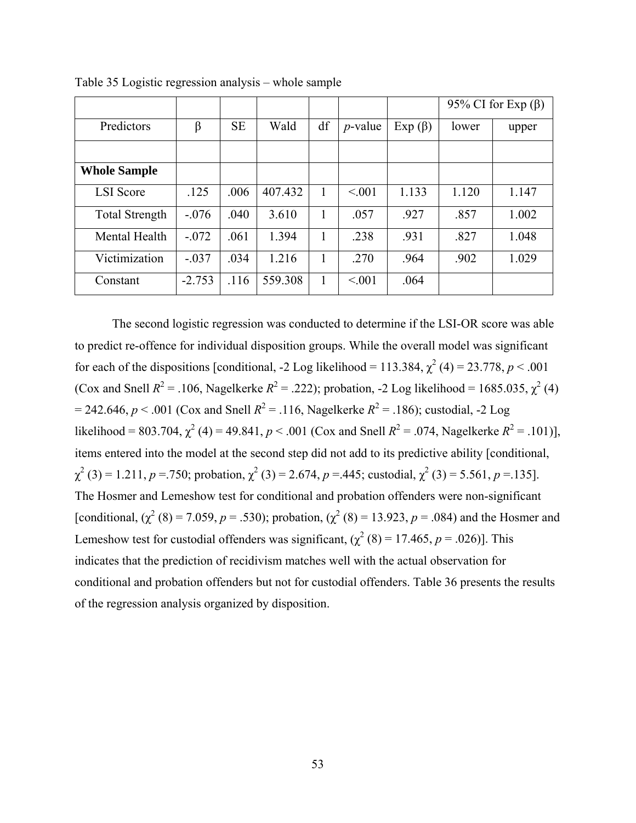|                       |          |           |         |    |            |              | 95% CI for Exp $(\beta)$ |       |
|-----------------------|----------|-----------|---------|----|------------|--------------|--------------------------|-------|
| Predictors            | β        | <b>SE</b> | Wald    | df | $p$ -value | $Exp(\beta)$ | lower                    | upper |
|                       |          |           |         |    |            |              |                          |       |
| <b>Whole Sample</b>   |          |           |         |    |            |              |                          |       |
| <b>LSI</b> Score      | .125     | .006      | 407.432 |    | < 0.01     | 1.133        | 1.120                    | 1.147 |
| <b>Total Strength</b> | $-.076$  | .040      | 3.610   |    | .057       | .927         | .857                     | 1.002 |
| Mental Health         | $-.072$  | .061      | 1.394   |    | .238       | .931         | .827                     | 1.048 |
| Victimization         | $-.037$  | .034      | 1.216   |    | .270       | .964         | .902                     | 1.029 |
| Constant              | $-2.753$ | .116      | 559.308 |    | < 0.01     | .064         |                          |       |

Table 35 Logistic regression analysis – whole sample

The second logistic regression was conducted to determine if the LSI-OR score was able to predict re-offence for individual disposition groups. While the overall model was significant for each of the dispositions [conditional, -2 Log likelihood = 113.384,  $\chi^2$  (4) = 23.778, *p* < .001 (Cox and Snell  $R^2 = .106$ , Nagelkerke  $R^2 = .222$ ); probation, -2 Log likelihood = 1685.035,  $\chi^2$  (4)  $= 242.646, p < .001$  (Cox and Snell  $R^2 = .116$ , Nagelkerke  $R^2 = .186$ ); custodial, -2 Log likelihood = 803.704,  $\chi^2$  (4) = 49.841, *p* < .001 (Cox and Snell *R*<sup>2</sup> = .074, Nagelkerke *R*<sup>2</sup> = .101)], items entered into the model at the second step did not add to its predictive ability [conditional,  $\chi^2$  (3) = 1.211, *p* = .750; probation,  $\chi^2$  (3) = 2.674, *p* = .445; custodial,  $\chi^2$  (3) = 5.561, *p* = .135]. The Hosmer and Lemeshow test for conditional and probation offenders were non-significant [conditional,  $(\chi^2 (8) = 7.059, p = .530)$ ; probation,  $(\chi^2 (8) = 13.923, p = .084)$  and the Hosmer and Lemeshow test for custodial offenders was significant,  $(\chi^2(8) = 17.465, p = .026)$ ]. This indicates that the prediction of recidivism matches well with the actual observation for conditional and probation offenders but not for custodial offenders. Table 36 presents the results of the regression analysis organized by disposition.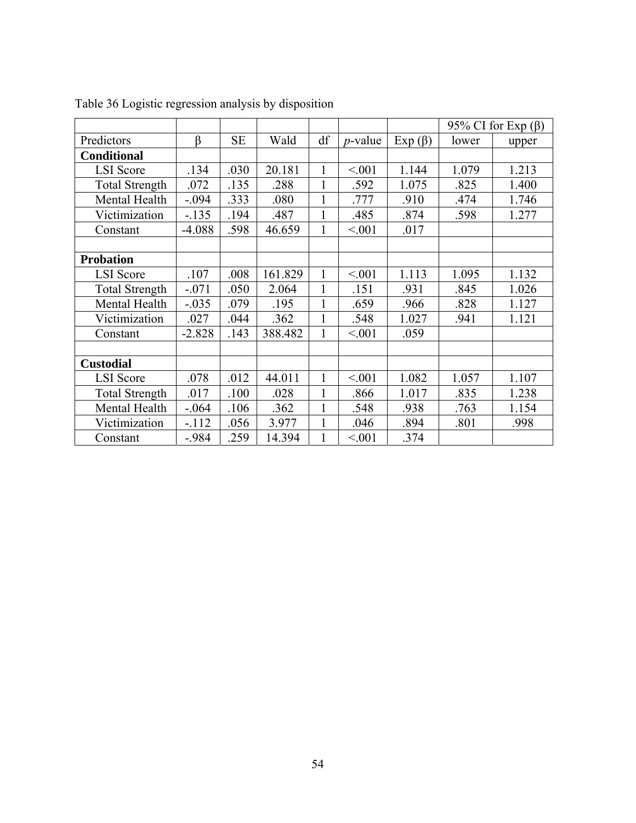|                       |          |           |         |              |            |               | 95% CI for Exp $(\beta)$ |       |
|-----------------------|----------|-----------|---------|--------------|------------|---------------|--------------------------|-------|
| Predictors            | $\beta$  | <b>SE</b> | Wald    | df           | $p$ -value | $Exp( \beta)$ | lower                    | upper |
| <b>Conditional</b>    |          |           |         |              |            |               |                          |       |
| <b>LSI</b> Score      | .134     | .030      | 20.181  |              | < 0.01     | 1.144         | 1.079                    | 1.213 |
| <b>Total Strength</b> | .072     | .135      | .288    | $\mathbf{1}$ | .592       | 1.075         | .825                     | 1.400 |
| Mental Health         | $-.094$  | .333      | .080    | 1            | .777       | .910          | .474                     | 1.746 |
| Victimization         | $-.135$  | .194      | .487    |              | .485       | .874          | .598                     | 1.277 |
| Constant              | $-4.088$ | .598      | 46.659  |              | < 0.01     | .017          |                          |       |
|                       |          |           |         |              |            |               |                          |       |
| <b>Probation</b>      |          |           |         |              |            |               |                          |       |
| <b>LSI</b> Score      | .107     | .008      | 161.829 | 1            | < 0.01     | 1.113         | 1.095                    | 1.132 |
| <b>Total Strength</b> | $-.071$  | .050      | 2.064   | $\mathbf{1}$ | .151       | .931          | .845                     | 1.026 |
| Mental Health         | $-.035$  | .079      | .195    | 1            | .659       | .966          | .828                     | 1.127 |
| Victimization         | .027     | .044      | .362    |              | .548       | 1.027         | .941                     | 1.121 |
| Constant              | $-2.828$ | .143      | 388.482 | $\mathbf{1}$ | < 001      | .059          |                          |       |
|                       |          |           |         |              |            |               |                          |       |
| <b>Custodial</b>      |          |           |         |              |            |               |                          |       |
| <b>LSI</b> Score      | .078     | .012      | 44.011  |              | < 0.01     | 1.082         | 1.057                    | 1.107 |
| <b>Total Strength</b> | .017     | .100      | .028    | $\mathbf{1}$ | .866       | 1.017         | .835                     | 1.238 |
| Mental Health         | $-.064$  | .106      | .362    |              | .548       | .938          | .763                     | 1.154 |
| Victimization         | $-112$   | .056      | 3.977   |              | .046       | .894          | .801                     | .998  |
| Constant              | $-984$   | .259      | 14.394  |              | < 0.01     | .374          |                          |       |

Table 36 Logistic regression analysis by disposition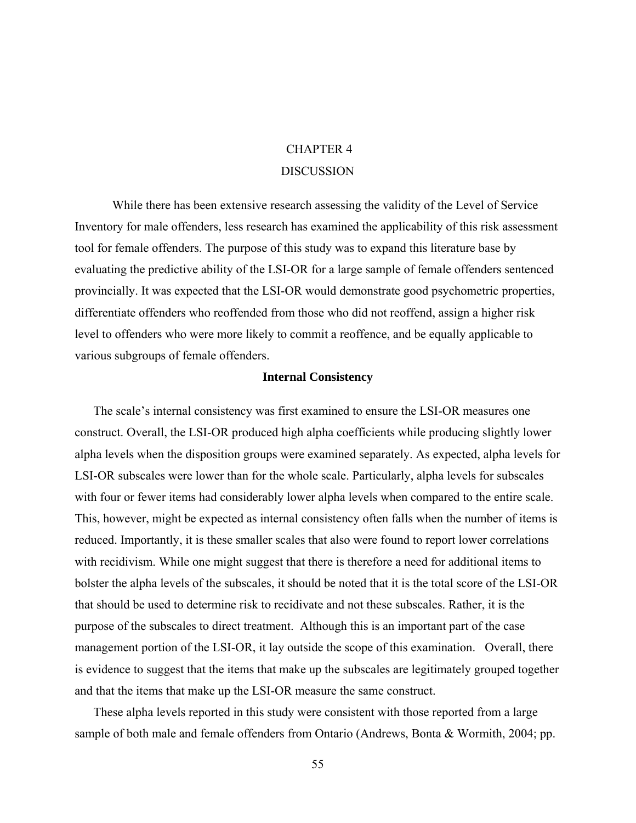# CHAPTER 4 DISCUSSION

While there has been extensive research assessing the validity of the Level of Service Inventory for male offenders, less research has examined the applicability of this risk assessment tool for female offenders. The purpose of this study was to expand this literature base by evaluating the predictive ability of the LSI-OR for a large sample of female offenders sentenced provincially. It was expected that the LSI-OR would demonstrate good psychometric properties, differentiate offenders who reoffended from those who did not reoffend, assign a higher risk level to offenders who were more likely to commit a reoffence, and be equally applicable to various subgroups of female offenders.

## **Internal Consistency**

 The scale's internal consistency was first examined to ensure the LSI-OR measures one construct. Overall, the LSI-OR produced high alpha coefficients while producing slightly lower alpha levels when the disposition groups were examined separately. As expected, alpha levels for LSI-OR subscales were lower than for the whole scale. Particularly, alpha levels for subscales with four or fewer items had considerably lower alpha levels when compared to the entire scale. This, however, might be expected as internal consistency often falls when the number of items is reduced. Importantly, it is these smaller scales that also were found to report lower correlations with recidivism. While one might suggest that there is therefore a need for additional items to bolster the alpha levels of the subscales, it should be noted that it is the total score of the LSI-OR that should be used to determine risk to recidivate and not these subscales. Rather, it is the purpose of the subscales to direct treatment. Although this is an important part of the case management portion of the LSI-OR, it lay outside the scope of this examination. Overall, there is evidence to suggest that the items that make up the subscales are legitimately grouped together and that the items that make up the LSI-OR measure the same construct.

 These alpha levels reported in this study were consistent with those reported from a large sample of both male and female offenders from Ontario (Andrews, Bonta & Wormith, 2004; pp.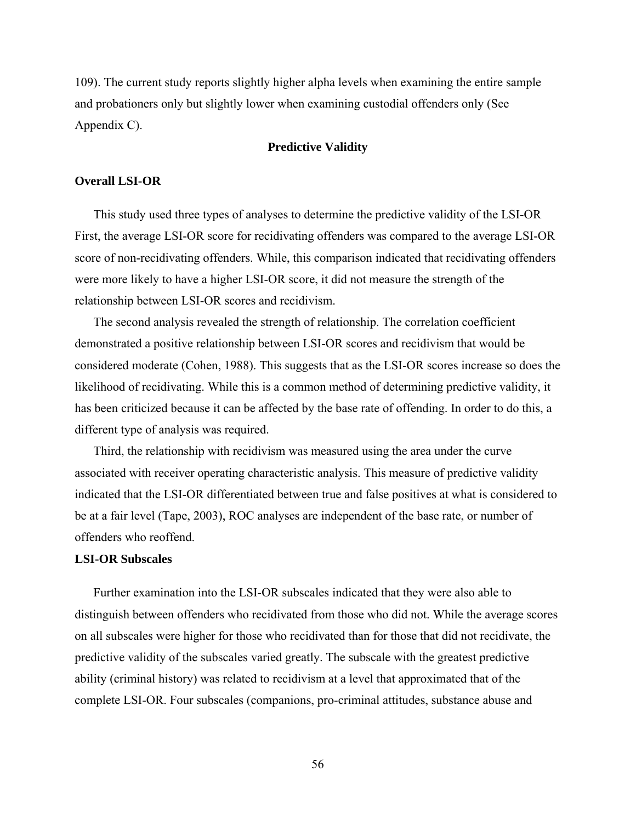109). The current study reports slightly higher alpha levels when examining the entire sample and probationers only but slightly lower when examining custodial offenders only (See Appendix C).

## **Predictive Validity**

### **Overall LSI-OR**

 This study used three types of analyses to determine the predictive validity of the LSI-OR First, the average LSI-OR score for recidivating offenders was compared to the average LSI-OR score of non-recidivating offenders. While, this comparison indicated that recidivating offenders were more likely to have a higher LSI-OR score, it did not measure the strength of the relationship between LSI-OR scores and recidivism.

 The second analysis revealed the strength of relationship. The correlation coefficient demonstrated a positive relationship between LSI-OR scores and recidivism that would be considered moderate (Cohen, 1988). This suggests that as the LSI-OR scores increase so does the likelihood of recidivating. While this is a common method of determining predictive validity, it has been criticized because it can be affected by the base rate of offending. In order to do this, a different type of analysis was required.

 Third, the relationship with recidivism was measured using the area under the curve associated with receiver operating characteristic analysis. This measure of predictive validity indicated that the LSI-OR differentiated between true and false positives at what is considered to be at a fair level (Tape, 2003), ROC analyses are independent of the base rate, or number of offenders who reoffend.

## **LSI-OR Subscales**

 Further examination into the LSI-OR subscales indicated that they were also able to distinguish between offenders who recidivated from those who did not. While the average scores on all subscales were higher for those who recidivated than for those that did not recidivate, the predictive validity of the subscales varied greatly. The subscale with the greatest predictive ability (criminal history) was related to recidivism at a level that approximated that of the complete LSI-OR. Four subscales (companions, pro-criminal attitudes, substance abuse and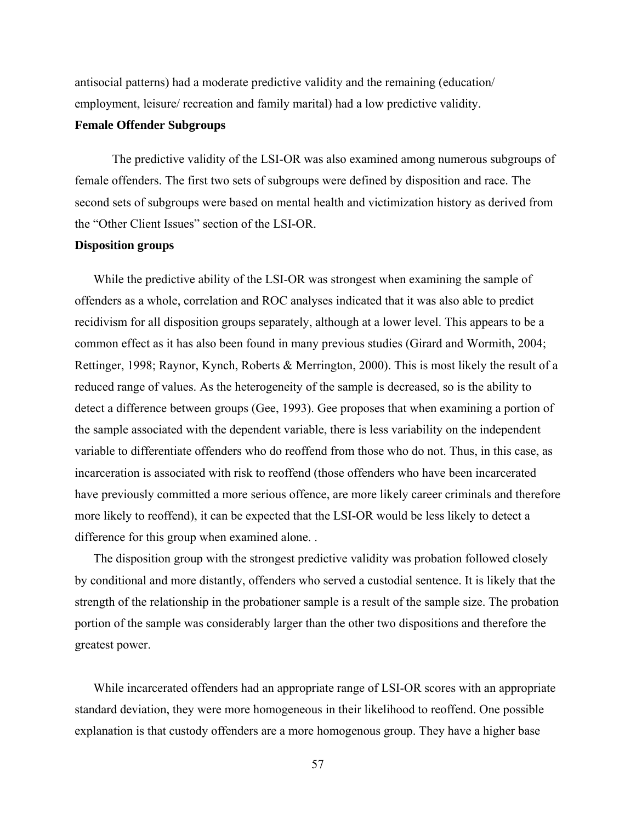antisocial patterns) had a moderate predictive validity and the remaining (education/ employment, leisure/ recreation and family marital) had a low predictive validity.

# **Female Offender Subgroups**

The predictive validity of the LSI-OR was also examined among numerous subgroups of female offenders. The first two sets of subgroups were defined by disposition and race. The second sets of subgroups were based on mental health and victimization history as derived from the "Other Client Issues" section of the LSI-OR.

## **Disposition groups**

 While the predictive ability of the LSI-OR was strongest when examining the sample of offenders as a whole, correlation and ROC analyses indicated that it was also able to predict recidivism for all disposition groups separately, although at a lower level. This appears to be a common effect as it has also been found in many previous studies (Girard and Wormith, 2004; Rettinger, 1998; Raynor, Kynch, Roberts & Merrington, 2000). This is most likely the result of a reduced range of values. As the heterogeneity of the sample is decreased, so is the ability to detect a difference between groups (Gee, 1993). Gee proposes that when examining a portion of the sample associated with the dependent variable, there is less variability on the independent variable to differentiate offenders who do reoffend from those who do not. Thus, in this case, as incarceration is associated with risk to reoffend (those offenders who have been incarcerated have previously committed a more serious offence, are more likely career criminals and therefore more likely to reoffend), it can be expected that the LSI-OR would be less likely to detect a difference for this group when examined alone. .

 The disposition group with the strongest predictive validity was probation followed closely by conditional and more distantly, offenders who served a custodial sentence. It is likely that the strength of the relationship in the probationer sample is a result of the sample size. The probation portion of the sample was considerably larger than the other two dispositions and therefore the greatest power.

 While incarcerated offenders had an appropriate range of LSI-OR scores with an appropriate standard deviation, they were more homogeneous in their likelihood to reoffend. One possible explanation is that custody offenders are a more homogenous group. They have a higher base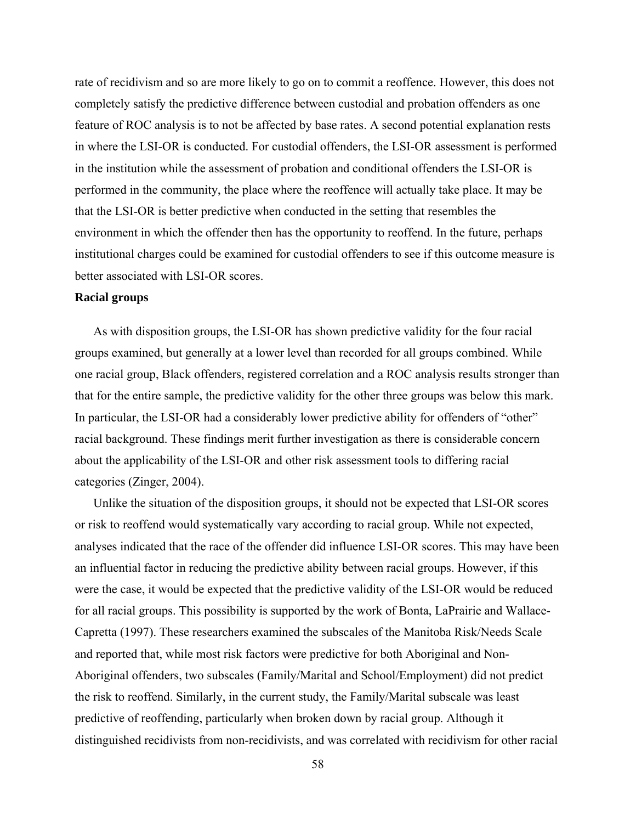rate of recidivism and so are more likely to go on to commit a reoffence. However, this does not completely satisfy the predictive difference between custodial and probation offenders as one feature of ROC analysis is to not be affected by base rates. A second potential explanation rests in where the LSI-OR is conducted. For custodial offenders, the LSI-OR assessment is performed in the institution while the assessment of probation and conditional offenders the LSI-OR is performed in the community, the place where the reoffence will actually take place. It may be that the LSI-OR is better predictive when conducted in the setting that resembles the environment in which the offender then has the opportunity to reoffend. In the future, perhaps institutional charges could be examined for custodial offenders to see if this outcome measure is better associated with LSI-OR scores.

## **Racial groups**

 As with disposition groups, the LSI-OR has shown predictive validity for the four racial groups examined, but generally at a lower level than recorded for all groups combined. While one racial group, Black offenders, registered correlation and a ROC analysis results stronger than that for the entire sample, the predictive validity for the other three groups was below this mark. In particular, the LSI-OR had a considerably lower predictive ability for offenders of "other" racial background. These findings merit further investigation as there is considerable concern about the applicability of the LSI-OR and other risk assessment tools to differing racial categories (Zinger, 2004).

 Unlike the situation of the disposition groups, it should not be expected that LSI-OR scores or risk to reoffend would systematically vary according to racial group. While not expected, analyses indicated that the race of the offender did influence LSI-OR scores. This may have been an influential factor in reducing the predictive ability between racial groups. However, if this were the case, it would be expected that the predictive validity of the LSI-OR would be reduced for all racial groups. This possibility is supported by the work of Bonta, LaPrairie and Wallace-Capretta (1997). These researchers examined the subscales of the Manitoba Risk/Needs Scale and reported that, while most risk factors were predictive for both Aboriginal and Non-Aboriginal offenders, two subscales (Family/Marital and School/Employment) did not predict the risk to reoffend. Similarly, in the current study, the Family/Marital subscale was least predictive of reoffending, particularly when broken down by racial group. Although it distinguished recidivists from non-recidivists, and was correlated with recidivism for other racial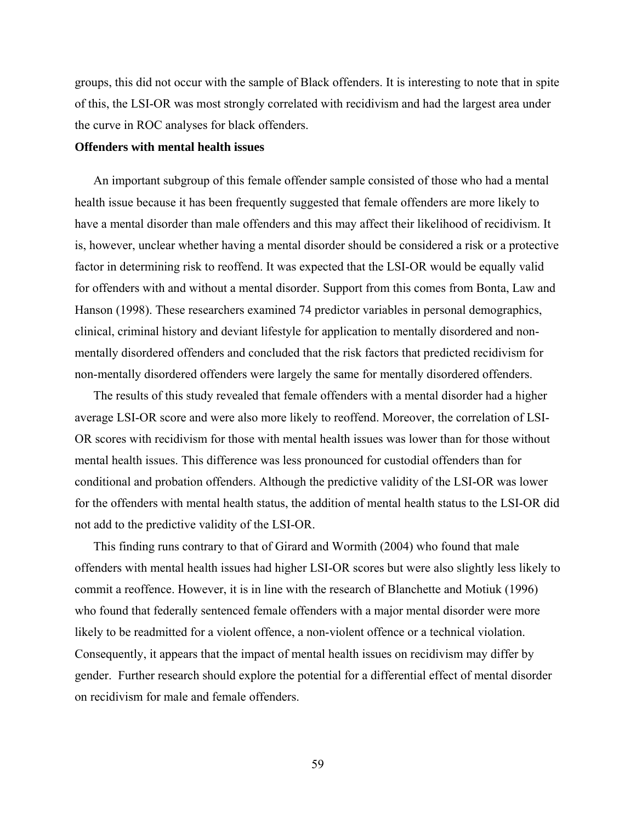groups, this did not occur with the sample of Black offenders. It is interesting to note that in spite of this, the LSI-OR was most strongly correlated with recidivism and had the largest area under the curve in ROC analyses for black offenders.

## **Offenders with mental health issues**

 An important subgroup of this female offender sample consisted of those who had a mental health issue because it has been frequently suggested that female offenders are more likely to have a mental disorder than male offenders and this may affect their likelihood of recidivism. It is, however, unclear whether having a mental disorder should be considered a risk or a protective factor in determining risk to reoffend. It was expected that the LSI-OR would be equally valid for offenders with and without a mental disorder. Support from this comes from Bonta, Law and Hanson (1998). These researchers examined 74 predictor variables in personal demographics, clinical, criminal history and deviant lifestyle for application to mentally disordered and nonmentally disordered offenders and concluded that the risk factors that predicted recidivism for non-mentally disordered offenders were largely the same for mentally disordered offenders.

 The results of this study revealed that female offenders with a mental disorder had a higher average LSI-OR score and were also more likely to reoffend. Moreover, the correlation of LSI-OR scores with recidivism for those with mental health issues was lower than for those without mental health issues. This difference was less pronounced for custodial offenders than for conditional and probation offenders. Although the predictive validity of the LSI-OR was lower for the offenders with mental health status, the addition of mental health status to the LSI-OR did not add to the predictive validity of the LSI-OR.

 This finding runs contrary to that of Girard and Wormith (2004) who found that male offenders with mental health issues had higher LSI-OR scores but were also slightly less likely to commit a reoffence. However, it is in line with the research of Blanchette and Motiuk (1996) who found that federally sentenced female offenders with a major mental disorder were more likely to be readmitted for a violent offence, a non-violent offence or a technical violation. Consequently, it appears that the impact of mental health issues on recidivism may differ by gender. Further research should explore the potential for a differential effect of mental disorder on recidivism for male and female offenders.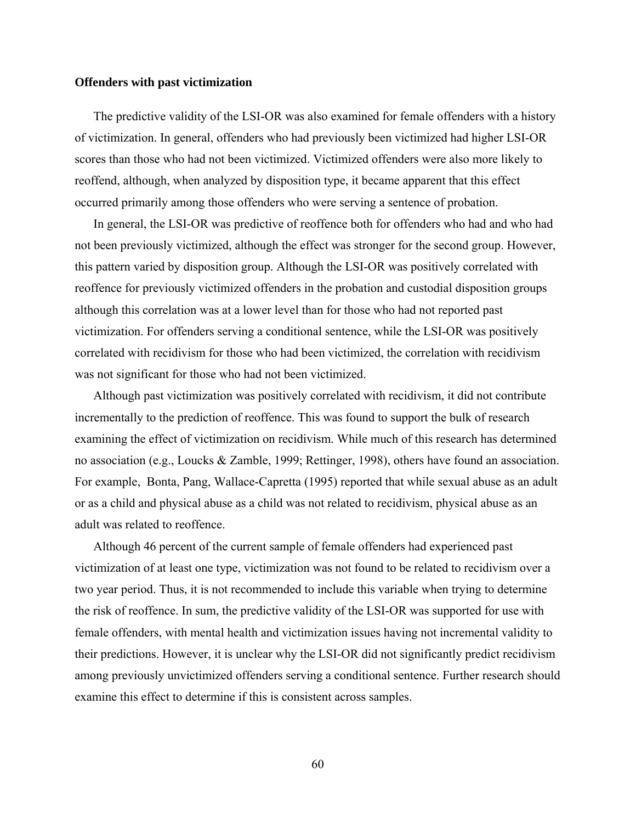#### **Offenders with past victimization**

 The predictive validity of the LSI-OR was also examined for female offenders with a history of victimization. In general, offenders who had previously been victimized had higher LSI-OR scores than those who had not been victimized. Victimized offenders were also more likely to reoffend, although, when analyzed by disposition type, it became apparent that this effect occurred primarily among those offenders who were serving a sentence of probation.

 In general, the LSI-OR was predictive of reoffence both for offenders who had and who had not been previously victimized, although the effect was stronger for the second group. However, this pattern varied by disposition group. Although the LSI-OR was positively correlated with reoffence for previously victimized offenders in the probation and custodial disposition groups although this correlation was at a lower level than for those who had not reported past victimization. For offenders serving a conditional sentence, while the LSI-OR was positively correlated with recidivism for those who had been victimized, the correlation with recidivism was not significant for those who had not been victimized.

 Although past victimization was positively correlated with recidivism, it did not contribute incrementally to the prediction of reoffence. This was found to support the bulk of research examining the effect of victimization on recidivism. While much of this research has determined no association (e.g., Loucks & Zamble, 1999; Rettinger, 1998), others have found an association. For example, Bonta, Pang, Wallace-Capretta (1995) reported that while sexual abuse as an adult or as a child and physical abuse as a child was not related to recidivism, physical abuse as an adult was related to reoffence.

 Although 46 percent of the current sample of female offenders had experienced past victimization of at least one type, victimization was not found to be related to recidivism over a two year period. Thus, it is not recommended to include this variable when trying to determine the risk of reoffence. In sum, the predictive validity of the LSI-OR was supported for use with female offenders, with mental health and victimization issues having not incremental validity to their predictions. However, it is unclear why the LSI-OR did not significantly predict recidivism among previously unvictimized offenders serving a conditional sentence. Further research should examine this effect to determine if this is consistent across samples.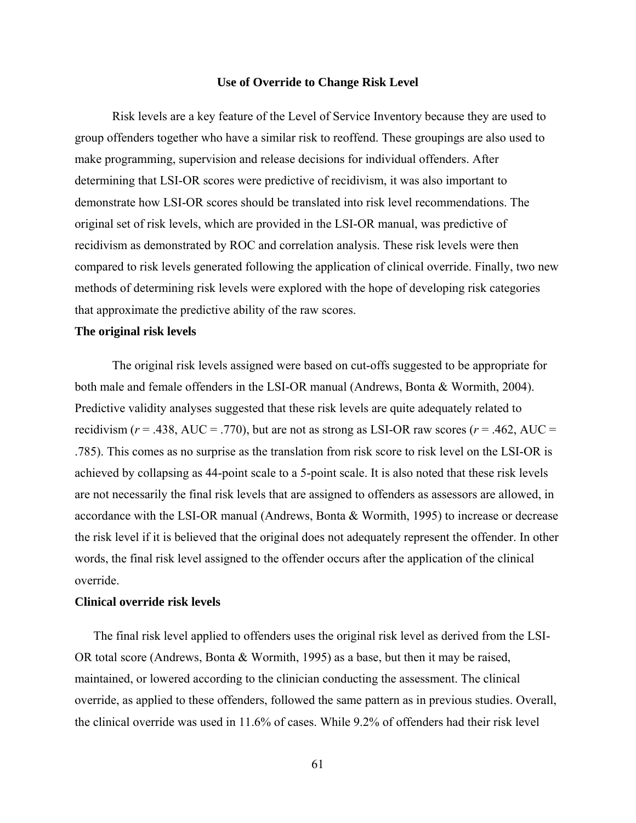## **Use of Override to Change Risk Level**

Risk levels are a key feature of the Level of Service Inventory because they are used to group offenders together who have a similar risk to reoffend. These groupings are also used to make programming, supervision and release decisions for individual offenders. After determining that LSI-OR scores were predictive of recidivism, it was also important to demonstrate how LSI-OR scores should be translated into risk level recommendations. The original set of risk levels, which are provided in the LSI-OR manual, was predictive of recidivism as demonstrated by ROC and correlation analysis. These risk levels were then compared to risk levels generated following the application of clinical override. Finally, two new methods of determining risk levels were explored with the hope of developing risk categories that approximate the predictive ability of the raw scores.

## **The original risk levels**

The original risk levels assigned were based on cut-offs suggested to be appropriate for both male and female offenders in the LSI-OR manual (Andrews, Bonta & Wormith, 2004). Predictive validity analyses suggested that these risk levels are quite adequately related to recidivism ( $r = .438$ , AUC = .770), but are not as strong as LSI-OR raw scores ( $r = .462$ , AUC = .785). This comes as no surprise as the translation from risk score to risk level on the LSI-OR is achieved by collapsing as 44-point scale to a 5-point scale. It is also noted that these risk levels are not necessarily the final risk levels that are assigned to offenders as assessors are allowed, in accordance with the LSI-OR manual (Andrews, Bonta & Wormith, 1995) to increase or decrease the risk level if it is believed that the original does not adequately represent the offender. In other words, the final risk level assigned to the offender occurs after the application of the clinical override.

## **Clinical override risk levels**

 The final risk level applied to offenders uses the original risk level as derived from the LSI-OR total score (Andrews, Bonta & Wormith, 1995) as a base, but then it may be raised, maintained, or lowered according to the clinician conducting the assessment. The clinical override, as applied to these offenders, followed the same pattern as in previous studies. Overall, the clinical override was used in 11.6% of cases. While 9.2% of offenders had their risk level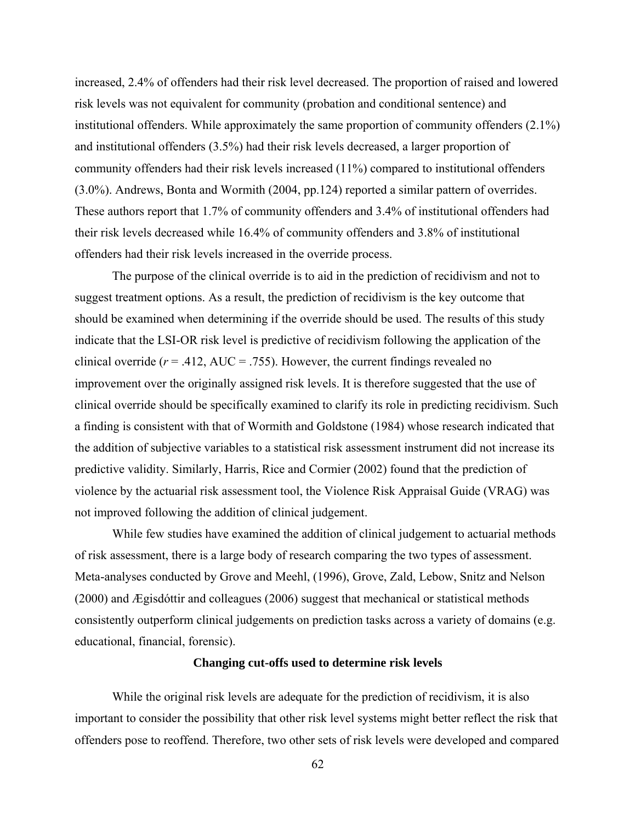increased, 2.4% of offenders had their risk level decreased. The proportion of raised and lowered risk levels was not equivalent for community (probation and conditional sentence) and institutional offenders. While approximately the same proportion of community offenders (2.1%) and institutional offenders (3.5%) had their risk levels decreased, a larger proportion of community offenders had their risk levels increased (11%) compared to institutional offenders (3.0%). Andrews, Bonta and Wormith (2004, pp.124) reported a similar pattern of overrides. These authors report that 1.7% of community offenders and 3.4% of institutional offenders had their risk levels decreased while 16.4% of community offenders and 3.8% of institutional offenders had their risk levels increased in the override process.

 The purpose of the clinical override is to aid in the prediction of recidivism and not to suggest treatment options. As a result, the prediction of recidivism is the key outcome that should be examined when determining if the override should be used. The results of this study indicate that the LSI-OR risk level is predictive of recidivism following the application of the clinical override  $(r = .412, \text{ AUC} = .755)$ . However, the current findings revealed no improvement over the originally assigned risk levels. It is therefore suggested that the use of clinical override should be specifically examined to clarify its role in predicting recidivism. Such a finding is consistent with that of Wormith and Goldstone (1984) whose research indicated that the addition of subjective variables to a statistical risk assessment instrument did not increase its predictive validity. Similarly, Harris, Rice and Cormier (2002) found that the prediction of violence by the actuarial risk assessment tool, the Violence Risk Appraisal Guide (VRAG) was not improved following the addition of clinical judgement.

While few studies have examined the addition of clinical judgement to actuarial methods of risk assessment, there is a large body of research comparing the two types of assessment. Meta-analyses conducted by Grove and Meehl, (1996), Grove, Zald, Lebow, Snitz and Nelson (2000) and Ægisdóttir and colleagues (2006) suggest that mechanical or statistical methods consistently outperform clinical judgements on prediction tasks across a variety of domains (e.g. educational, financial, forensic).

### **Changing cut-offs used to determine risk levels**

While the original risk levels are adequate for the prediction of recidivism, it is also important to consider the possibility that other risk level systems might better reflect the risk that offenders pose to reoffend. Therefore, two other sets of risk levels were developed and compared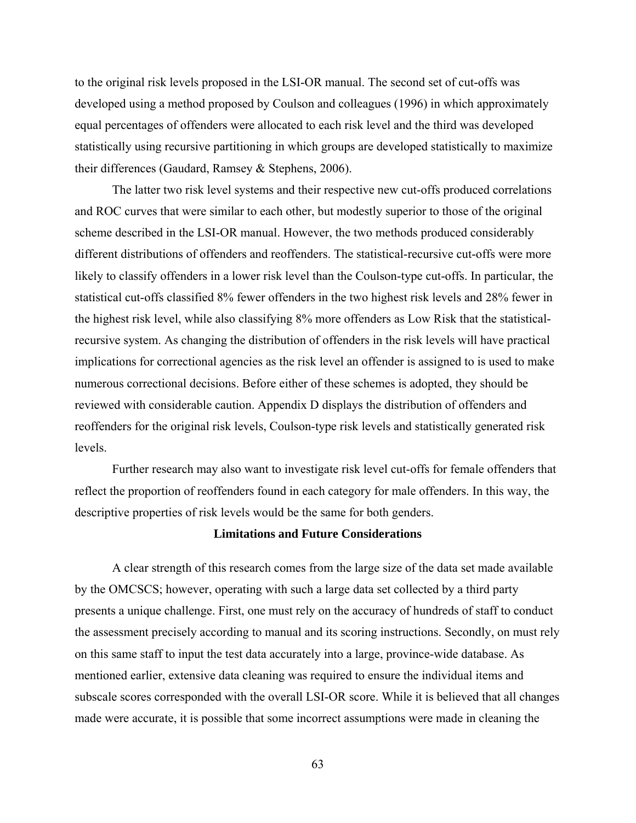to the original risk levels proposed in the LSI-OR manual. The second set of cut-offs was developed using a method proposed by Coulson and colleagues (1996) in which approximately equal percentages of offenders were allocated to each risk level and the third was developed statistically using recursive partitioning in which groups are developed statistically to maximize their differences (Gaudard, Ramsey & Stephens, 2006).

The latter two risk level systems and their respective new cut-offs produced correlations and ROC curves that were similar to each other, but modestly superior to those of the original scheme described in the LSI-OR manual. However, the two methods produced considerably different distributions of offenders and reoffenders. The statistical-recursive cut-offs were more likely to classify offenders in a lower risk level than the Coulson-type cut-offs. In particular, the statistical cut-offs classified 8% fewer offenders in the two highest risk levels and 28% fewer in the highest risk level, while also classifying 8% more offenders as Low Risk that the statisticalrecursive system. As changing the distribution of offenders in the risk levels will have practical implications for correctional agencies as the risk level an offender is assigned to is used to make numerous correctional decisions. Before either of these schemes is adopted, they should be reviewed with considerable caution. Appendix D displays the distribution of offenders and reoffenders for the original risk levels, Coulson-type risk levels and statistically generated risk levels.

 Further research may also want to investigate risk level cut-offs for female offenders that reflect the proportion of reoffenders found in each category for male offenders. In this way, the descriptive properties of risk levels would be the same for both genders.

### **Limitations and Future Considerations**

A clear strength of this research comes from the large size of the data set made available by the OMCSCS; however, operating with such a large data set collected by a third party presents a unique challenge. First, one must rely on the accuracy of hundreds of staff to conduct the assessment precisely according to manual and its scoring instructions. Secondly, on must rely on this same staff to input the test data accurately into a large, province-wide database. As mentioned earlier, extensive data cleaning was required to ensure the individual items and subscale scores corresponded with the overall LSI-OR score. While it is believed that all changes made were accurate, it is possible that some incorrect assumptions were made in cleaning the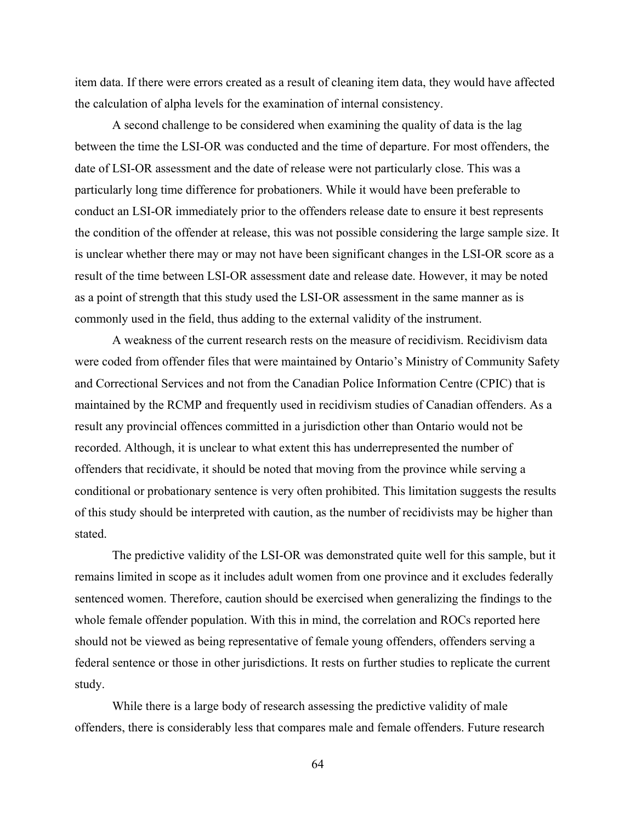item data. If there were errors created as a result of cleaning item data, they would have affected the calculation of alpha levels for the examination of internal consistency.

A second challenge to be considered when examining the quality of data is the lag between the time the LSI-OR was conducted and the time of departure. For most offenders, the date of LSI-OR assessment and the date of release were not particularly close. This was a particularly long time difference for probationers. While it would have been preferable to conduct an LSI-OR immediately prior to the offenders release date to ensure it best represents the condition of the offender at release, this was not possible considering the large sample size. It is unclear whether there may or may not have been significant changes in the LSI-OR score as a result of the time between LSI-OR assessment date and release date. However, it may be noted as a point of strength that this study used the LSI-OR assessment in the same manner as is commonly used in the field, thus adding to the external validity of the instrument.

A weakness of the current research rests on the measure of recidivism. Recidivism data were coded from offender files that were maintained by Ontario's Ministry of Community Safety and Correctional Services and not from the Canadian Police Information Centre (CPIC) that is maintained by the RCMP and frequently used in recidivism studies of Canadian offenders. As a result any provincial offences committed in a jurisdiction other than Ontario would not be recorded. Although, it is unclear to what extent this has underrepresented the number of offenders that recidivate, it should be noted that moving from the province while serving a conditional or probationary sentence is very often prohibited. This limitation suggests the results of this study should be interpreted with caution, as the number of recidivists may be higher than stated.

The predictive validity of the LSI-OR was demonstrated quite well for this sample, but it remains limited in scope as it includes adult women from one province and it excludes federally sentenced women. Therefore, caution should be exercised when generalizing the findings to the whole female offender population. With this in mind, the correlation and ROCs reported here should not be viewed as being representative of female young offenders, offenders serving a federal sentence or those in other jurisdictions. It rests on further studies to replicate the current study.

While there is a large body of research assessing the predictive validity of male offenders, there is considerably less that compares male and female offenders. Future research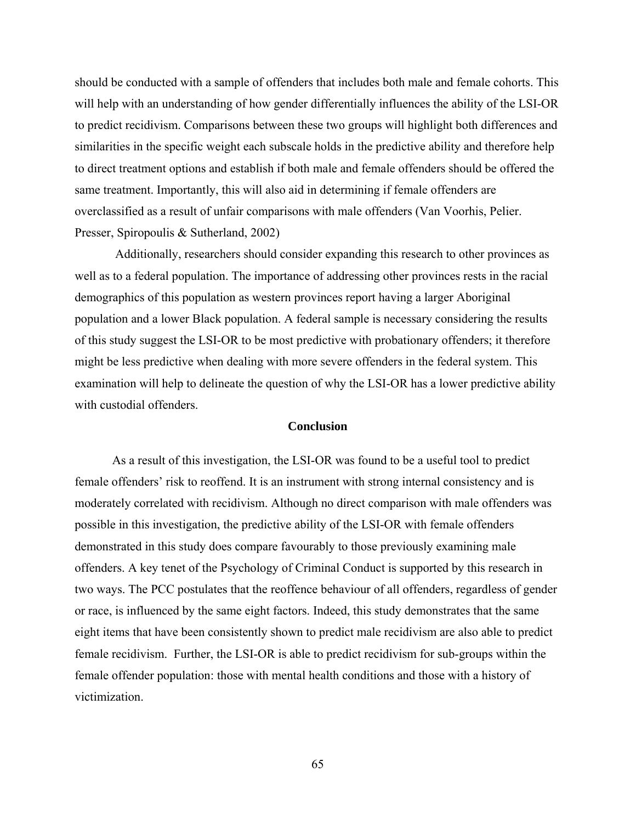should be conducted with a sample of offenders that includes both male and female cohorts. This will help with an understanding of how gender differentially influences the ability of the LSI-OR to predict recidivism. Comparisons between these two groups will highlight both differences and similarities in the specific weight each subscale holds in the predictive ability and therefore help to direct treatment options and establish if both male and female offenders should be offered the same treatment. Importantly, this will also aid in determining if female offenders are overclassified as a result of unfair comparisons with male offenders (Van Voorhis, Pelier. Presser, Spiropoulis & Sutherland, 2002)

 Additionally, researchers should consider expanding this research to other provinces as well as to a federal population. The importance of addressing other provinces rests in the racial demographics of this population as western provinces report having a larger Aboriginal population and a lower Black population. A federal sample is necessary considering the results of this study suggest the LSI-OR to be most predictive with probationary offenders; it therefore might be less predictive when dealing with more severe offenders in the federal system. This examination will help to delineate the question of why the LSI-OR has a lower predictive ability with custodial offenders.

#### **Conclusion**

As a result of this investigation, the LSI-OR was found to be a useful tool to predict female offenders' risk to reoffend. It is an instrument with strong internal consistency and is moderately correlated with recidivism. Although no direct comparison with male offenders was possible in this investigation, the predictive ability of the LSI-OR with female offenders demonstrated in this study does compare favourably to those previously examining male offenders. A key tenet of the Psychology of Criminal Conduct is supported by this research in two ways. The PCC postulates that the reoffence behaviour of all offenders, regardless of gender or race, is influenced by the same eight factors. Indeed, this study demonstrates that the same eight items that have been consistently shown to predict male recidivism are also able to predict female recidivism. Further, the LSI-OR is able to predict recidivism for sub-groups within the female offender population: those with mental health conditions and those with a history of victimization.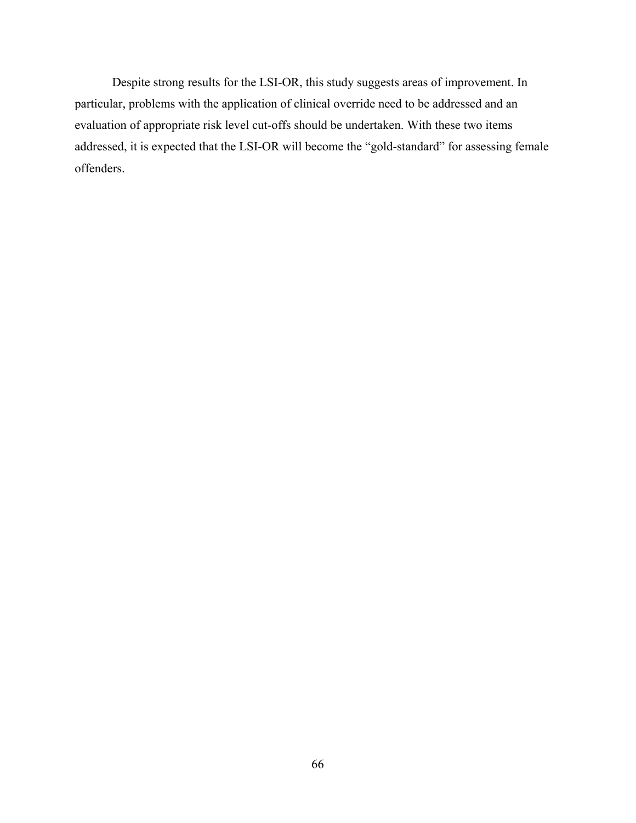Despite strong results for the LSI-OR, this study suggests areas of improvement. In particular, problems with the application of clinical override need to be addressed and an evaluation of appropriate risk level cut-offs should be undertaken. With these two items addressed, it is expected that the LSI-OR will become the "gold-standard" for assessing female offenders.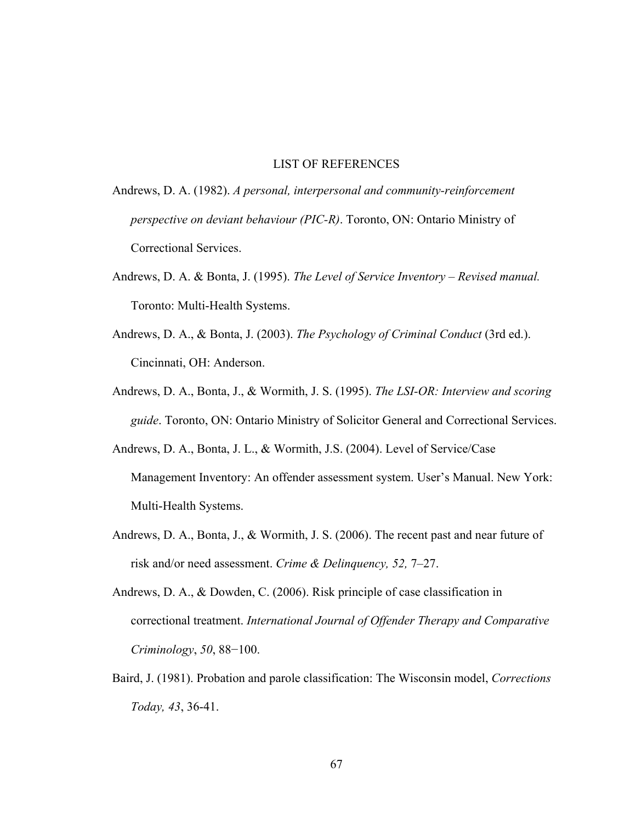### LIST OF REFERENCES

- Andrews, D. A. (1982). *A personal, interpersonal and community-reinforcement perspective on deviant behaviour (PIC-R)*. Toronto, ON: Ontario Ministry of Correctional Services.
- Andrews, D. A. & Bonta, J. (1995). *The Level of Service Inventory Revised manual.*  Toronto: Multi-Health Systems.
- Andrews, D. A., & Bonta, J. (2003). *The Psychology of Criminal Conduct* (3rd ed.). Cincinnati, OH: Anderson.
- Andrews, D. A., Bonta, J., & Wormith, J. S. (1995). *The LSI-OR: Interview and scoring guide*. Toronto, ON: Ontario Ministry of Solicitor General and Correctional Services.
- Andrews, D. A., Bonta, J. L., & Wormith, J.S. (2004). Level of Service/Case Management Inventory: An offender assessment system. User's Manual. New York: Multi-Health Systems.
- Andrews, D. A., Bonta, J., & Wormith, J. S. (2006). The recent past and near future of risk and/or need assessment. *Crime & Delinquency, 52,* 7–27.
- Andrews, D. A., & Dowden, C. (2006). Risk principle of case classification in correctional treatment. *International Journal of Offender Therapy and Comparative Criminology*, *50*, 88−100.
- Baird, J. (1981). Probation and parole classification: The Wisconsin model, *[Corrections](http://nainfo.nbs.bg.ac.yu/KoBSON/service/elecasdet.aspx?ISSN=0190-2563&Year=1981&Volume=43&Issue=&Page=&ArticleID=0354-87590203184Z1&service=sfoa)  [Today](http://nainfo.nbs.bg.ac.yu/KoBSON/service/elecasdet.aspx?ISSN=0190-2563&Year=1981&Volume=43&Issue=&Page=&ArticleID=0354-87590203184Z1&service=sfoa), 43*, 36-41.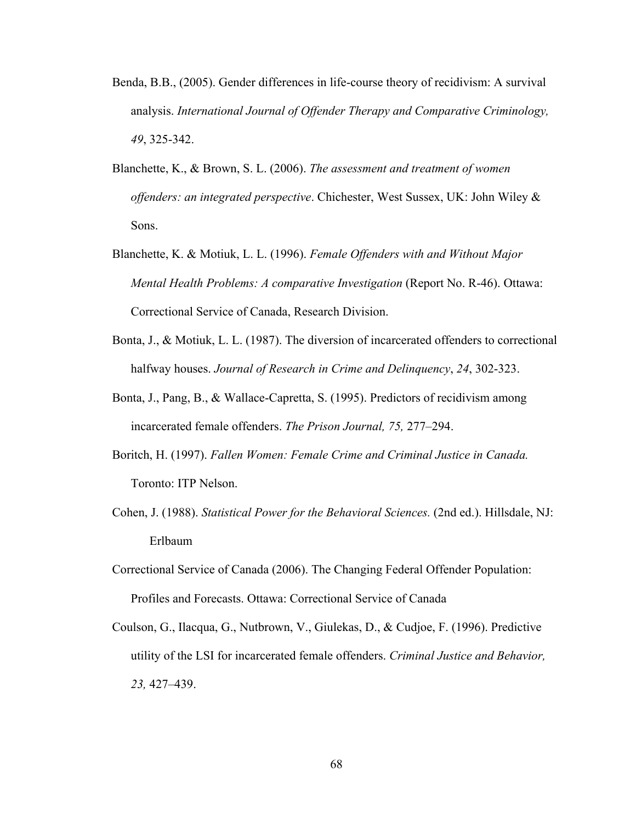- Benda, B.B., (2005). Gender differences in life-course theory of recidivism: A survival analysis. *International Journal of Offender Therapy and Comparative Criminology, 49*, 325-342.
- Blanchette, K., & Brown, S. L. (2006). *The assessment and treatment of women offenders: an integrated perspective*. Chichester, West Sussex, UK: John Wiley & Sons.
- Blanchette, K. & Motiuk, L. L. (1996). *Female Offenders with and Without Major Mental Health Problems: A comparative Investigation* (Report No. R-46). Ottawa: Correctional Service of Canada, Research Division.
- Bonta, J., & Motiuk, L. L. (1987). The diversion of incarcerated offenders to correctional halfway houses. *Journal of Research in Crime and Delinquency*, *24*, 302-323.
- Bonta, J., Pang, B., & Wallace-Capretta, S. (1995). Predictors of recidivism among incarcerated female offenders. *The Prison Journal, 75,* 277–294.
- Boritch, H. (1997). *Fallen Women: Female Crime and Criminal Justice in Canada.* Toronto: ITP Nelson.
- Cohen, J. (1988). *Statistical Power for the Behavioral Sciences.* (2nd ed.). Hillsdale, NJ: Erlbaum
- Correctional Service of Canada (2006). The Changing Federal Offender Population: Profiles and Forecasts. Ottawa: Correctional Service of Canada
- Coulson, G., Ilacqua, G., Nutbrown, V., Giulekas, D., & Cudjoe, F. (1996). Predictive utility of the LSI for incarcerated female offenders. *Criminal Justice and Behavior, 23,* 427–439.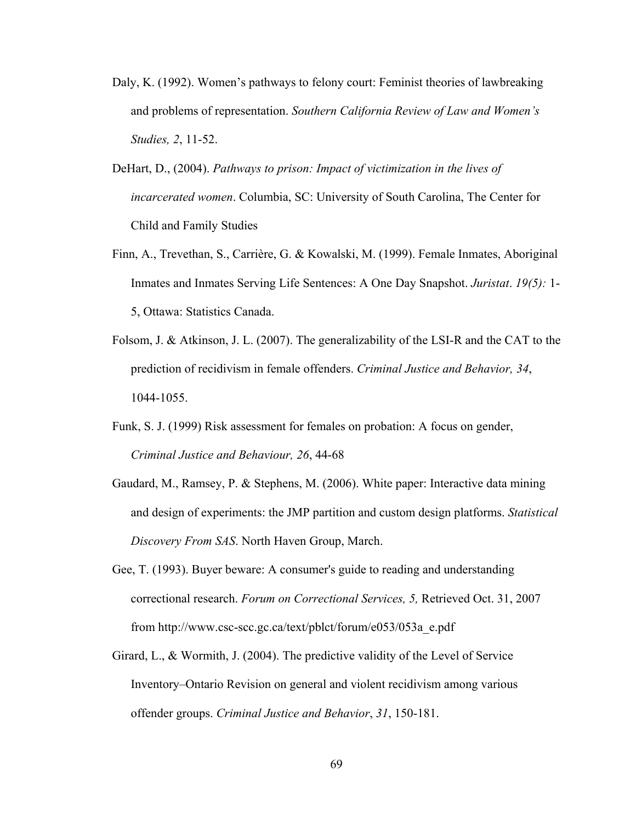- Daly, K. (1992). Women's pathways to felony court: Feminist theories of lawbreaking and problems of representation. *Southern California Review of Law and Women's Studies, 2*, 11-52.
- DeHart, D., (2004). *Pathways to prison: Impact of victimization in the lives of incarcerated women*. Columbia, SC: University of South Carolina, The Center for Child and Family Studies
- Finn, A., Trevethan, S., Carrière, G. & Kowalski, M. (1999). Female Inmates, Aboriginal Inmates and Inmates Serving Life Sentences: A One Day Snapshot. *Juristat*. *19(5):* 1- 5, Ottawa: Statistics Canada.
- Folsom, J. & Atkinson, J. L. (2007). The generalizability of the LSI-R and the CAT to the prediction of recidivism in female offenders. *Criminal Justice and Behavior, 34*, 1044-1055.
- Funk, S. J. (1999) Risk assessment for females on probation: A focus on gender, *Criminal Justice and Behaviour, 26*, 44-68
- Gaudard, M., Ramsey, P. & Stephens, M. (2006). White paper: Interactive data mining and design of experiments: the JMP partition and custom design platforms. *Statistical Discovery From SAS*. North Haven Group, March.
- Gee, T. (1993). Buyer beware: A consumer's guide to reading and understanding correctional research. *Forum on Correctional Services, 5,* Retrieved Oct. 31, 2007 from http://www.csc-scc.gc.ca/text/pblct/forum/e053/053a\_e.pdf
- Girard, L., & Wormith, J. (2004). The predictive validity of the Level of Service Inventory–Ontario Revision on general and violent recidivism among various offender groups. *Criminal Justice and Behavior*, *31*, 150-181.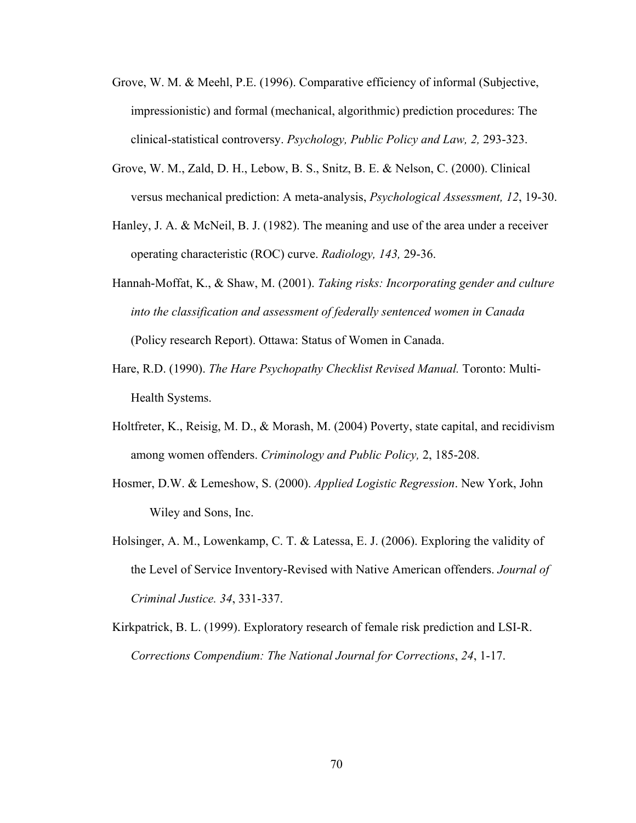- Grove, W. M. & Meehl, P.E. (1996). Comparative efficiency of informal (Subjective, impressionistic) and formal (mechanical, algorithmic) prediction procedures: The clinical-statistical controversy. *Psychology, Public Policy and Law, 2,* 293-323.
- Grove, W. M., Zald, D. H., Lebow, B. S., Snitz, B. E. & Nelson, C. (2000). Clinical versus mechanical prediction: A meta-analysis, *Psychological Assessment, 12*, 19-30.
- Hanley, J. A. & McNeil, B. J. (1982). The meaning and use of the area under a receiver operating characteristic (ROC) curve. *Radiology, 143,* 29-36.
- Hannah-Moffat, K., & Shaw, M. (2001). *Taking risks: Incorporating gender and culture into the classification and assessment of federally sentenced women in Canada*  (Policy research Report). Ottawa: Status of Women in Canada.
- Hare, R.D. (1990). *The Hare Psychopathy Checklist Revised Manual.* Toronto: Multi-Health Systems.
- Holtfreter, K., Reisig, M. D., & Morash, M. (2004) Poverty, state capital, and recidivism among women offenders. *Criminology and Public Policy,* 2, 185-208.
- Hosmer, D.W. & Lemeshow, S. (2000). *Applied Logistic Regression*. New York, John Wiley and Sons, Inc.
- Holsinger, A. M., Lowenkamp, C. T. & Latessa, E. J. (2006). Exploring the validity of the Level of Service Inventory-Revised with Native American offenders. *Journal of Criminal Justice. 34*, 331-337.
- Kirkpatrick, B. L. (1999). Exploratory research of female risk prediction and LSI-R. *Corrections Compendium: The National Journal for Corrections*, *24*, 1-17.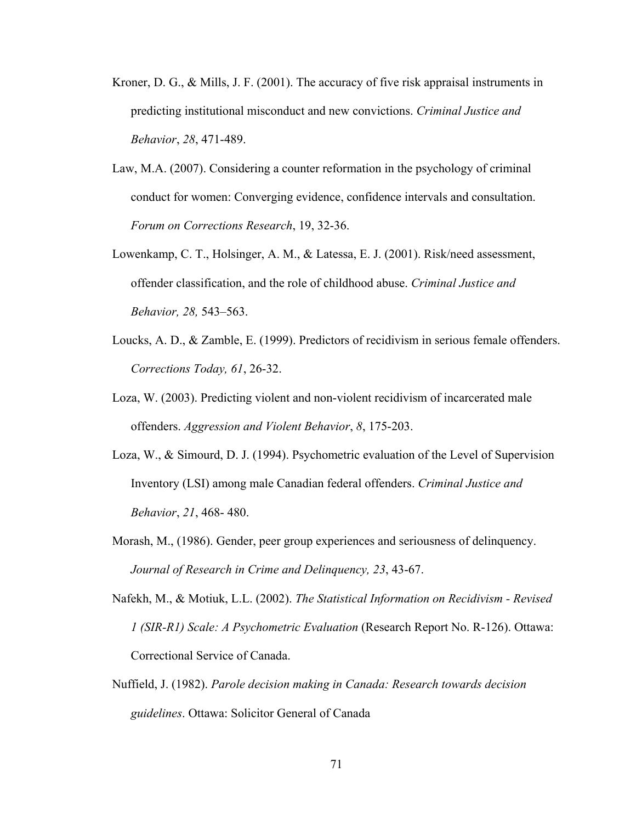- Kroner, D. G., & Mills, J. F. (2001). The accuracy of five risk appraisal instruments in predicting institutional misconduct and new convictions. *Criminal Justice and Behavior*, *28*, 471-489.
- Law, M.A. (2007). Considering a counter reformation in the psychology of criminal conduct for women: Converging evidence, confidence intervals and consultation. *Forum on Corrections Research*, 19, 32-36.
- Lowenkamp, C. T., Holsinger, A. M., & Latessa, E. J. (2001). Risk/need assessment, offender classification, and the role of childhood abuse. *Criminal Justice and Behavior, 28,* 543–563.
- Loucks, A. D., & Zamble, E. (1999). Predictors of recidivism in serious female offenders. *Corrections Today, 61*, 26-32.
- Loza, W. (2003). Predicting violent and non-violent recidivism of incarcerated male offenders. *Aggression and Violent Behavior*, *8*, 175-203.
- Loza, W., & Simourd, D. J. (1994). Psychometric evaluation of the Level of Supervision Inventory (LSI) among male Canadian federal offenders. *Criminal Justice and Behavior*, *21*, 468- 480.
- Morash, M., (1986). Gender, peer group experiences and seriousness of delinquency. *Journal of Research in Crime and Delinquency, 23*, 43-67.
- Nafekh, M., & Motiuk, L.L. (2002). *The Statistical Information on Recidivism Revised 1 (SIR-R1) Scale: A Psychometric Evaluation* (Research Report No. R-126). Ottawa: Correctional Service of Canada.
- Nuffield, J. (1982). *Parole decision making in Canada: Research towards decision guidelines*. Ottawa: Solicitor General of Canada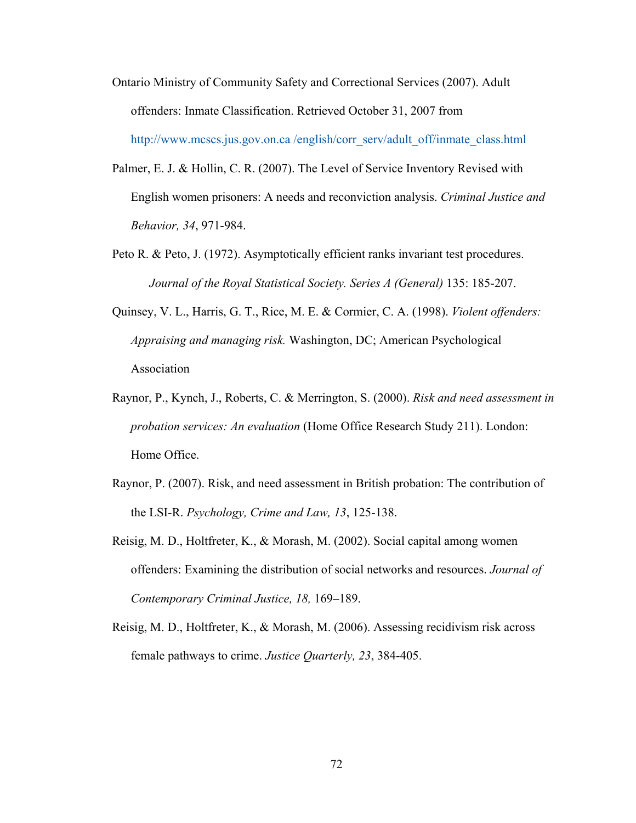- Ontario Ministry of Community Safety and Correctional Services (2007). Adult offenders: Inmate Classification. Retrieved October 31, 2007 from [http://www.mcscs.jus.gov.on.ca /english/corr\\_serv/adult\\_off/inmate\\_class.html](http://www.mcscs.jus.gov.on.ca/english/corr_serv/adult_off/inmate_class.html)
- Palmer, E. J. & Hollin, C. R. (2007). The Level of Service Inventory Revised with English women prisoners: A needs and reconviction analysis. *Criminal Justice and Behavior, 34*, 971-984.
- Peto R. & Peto, J. (1972). Asymptotically efficient ranks invariant test procedures. *Journal of the Royal Statistical Society. Series A (General)* 135: 185-207.
- Quinsey, V. L., Harris, G. T., Rice, M. E. & Cormier, C. A. (1998). *Violent offenders: Appraising and managing risk.* Washington, DC; American Psychological Association
- Raynor, P., Kynch, J., Roberts, C. & Merrington, S. (2000). *Risk and need assessment in probation services: An evaluation* (Home Office Research Study 211). London: Home Office.
- Raynor, P. (2007). Risk, and need assessment in British probation: The contribution of the LSI-R. *Psychology, Crime and Law, 13*, 125-138.
- Reisig, M. D., Holtfreter, K., & Morash, M. (2002). Social capital among women offenders: Examining the distribution of social networks and resources. *Journal of Contemporary Criminal Justice, 18,* 169–189.
- Reisig, M. D., Holtfreter, K., & Morash, M. (2006). Assessing recidivism risk across female pathways to crime. *Justice Quarterly, 23*, 384-405.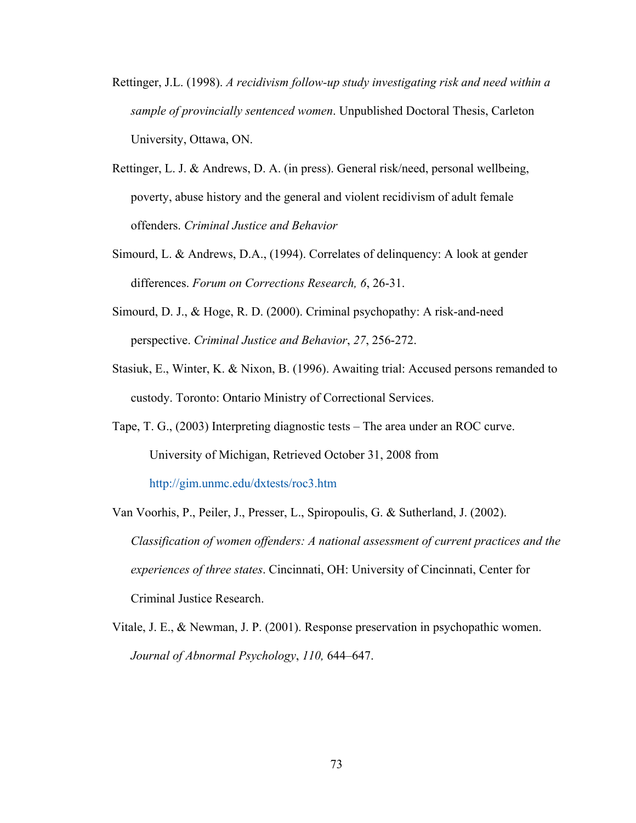- Rettinger, J.L. (1998). *A recidivism follow-up study investigating risk and need within a sample of provincially sentenced women*. Unpublished Doctoral Thesis, Carleton University, Ottawa, ON.
- Rettinger, L. J. & Andrews, D. A. (in press). General risk/need, personal wellbeing, poverty, abuse history and the general and violent recidivism of adult female offenders. *Criminal Justice and Behavior*
- Simourd, L. & Andrews, D.A., (1994). Correlates of delinquency: A look at gender differences. *Forum on Corrections Research, 6*, 26-31.
- Simourd, D. J., & Hoge, R. D. (2000). Criminal psychopathy: A risk-and-need perspective. *Criminal Justice and Behavior*, *27*, 256-272.
- Stasiuk, E., Winter, K. & Nixon, B. (1996). Awaiting trial: Accused persons remanded to custody. Toronto: Ontario Ministry of Correctional Services.
- Tape, T. G., (2003) Interpreting diagnostic tests The area under an ROC curve. University of Michigan, Retrieved October 31, 2008 from <http://gim.unmc.edu/dxtests/roc3.htm>
- Van Voorhis, P., Peiler, J., Presser, L., Spiropoulis, G. & Sutherland, J. (2002). *Classification of women offenders: A national assessment of current practices and the experiences of three states*. Cincinnati, OH: University of Cincinnati, Center for Criminal Justice Research.
- Vitale, J. E., & Newman, J. P. (2001). Response preservation in psychopathic women. *Journal of Abnormal Psychology*, *110,* 644–647.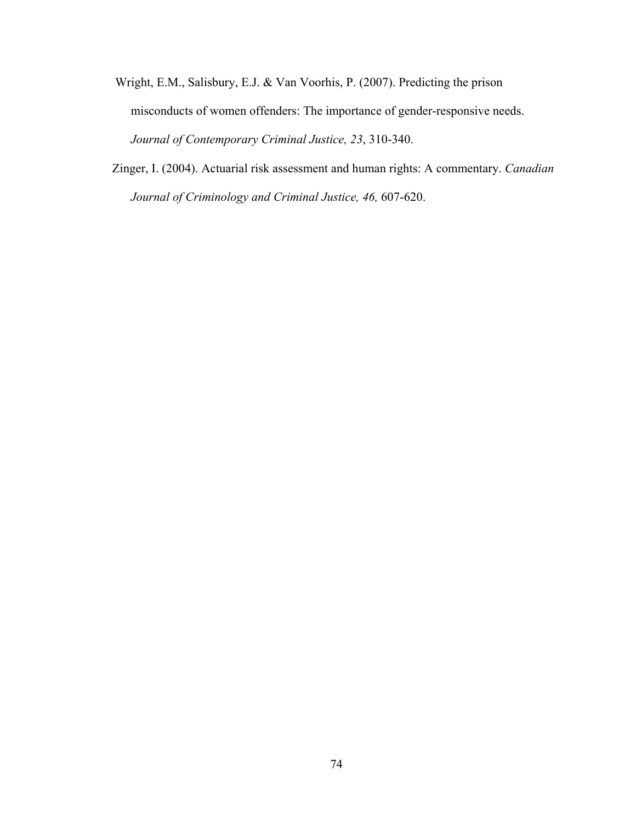- Wright, E.M., Salisbury, E.J. & Van Voorhis, P. (2007). Predicting the prison misconducts of women offenders: The importance of gender-responsive needs. *Journal of Contemporary Criminal Justice, 23*, 310-340.
- Zinger, I. (2004). Actuarial risk assessment and human rights: A commentary. *Canadian Journal of Criminology and Criminal Justice, 46,* 607-620.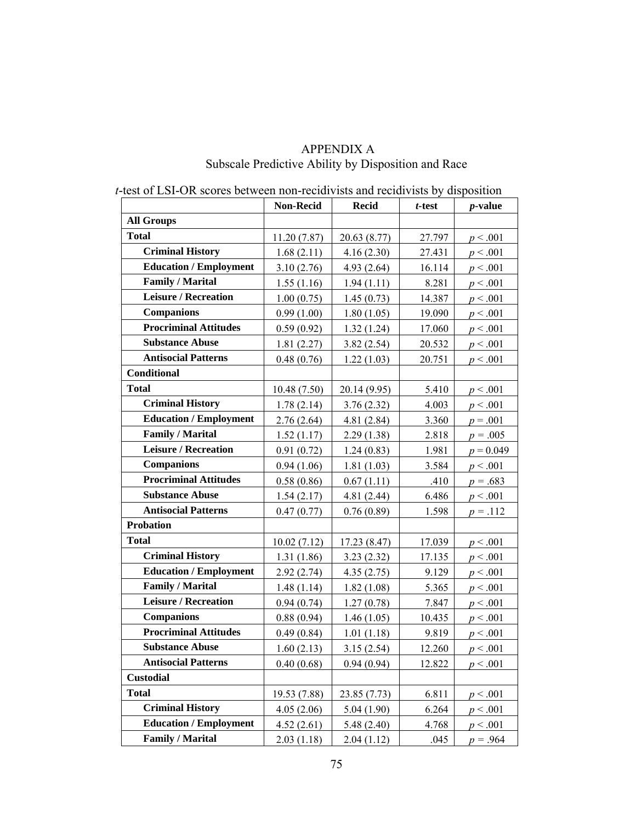|                               | <b>Non-Recid</b> | <b>Recid</b> | t-test | <i>p</i> -value |
|-------------------------------|------------------|--------------|--------|-----------------|
| <b>All Groups</b>             |                  |              |        |                 |
| <b>Total</b>                  | 11.20(7.87)      | 20.63 (8.77) | 27.797 | p < .001        |
| <b>Criminal History</b>       | 1.68(2.11)       | 4.16(2.30)   | 27.431 | p < .001        |
| <b>Education / Employment</b> | 3.10(2.76)       | 4.93(2.64)   | 16.114 | p < .001        |
| <b>Family / Marital</b>       | 1.55(1.16)       | 1.94(1.11)   | 8.281  | $p \le 0.001$   |
| <b>Leisure / Recreation</b>   | 1.00(0.75)       | 1.45(0.73)   | 14.387 | p < .001        |
| <b>Companions</b>             | 0.99(1.00)       | 1.80(1.05)   | 19.090 | p < .001        |
| <b>Procriminal Attitudes</b>  | 0.59(0.92)       | 1.32(1.24)   | 17.060 | p < .001        |
| <b>Substance Abuse</b>        | 1.81(2.27)       | 3.82(2.54)   | 20.532 | p < .001        |
| <b>Antisocial Patterns</b>    | 0.48(0.76)       | 1.22(1.03)   | 20.751 | p < .001        |
| <b>Conditional</b>            |                  |              |        |                 |
| <b>Total</b>                  | 10.48(7.50)      | 20.14 (9.95) | 5.410  | p < .001        |
| <b>Criminal History</b>       | 1.78(2.14)       | 3.76(2.32)   | 4.003  | p < .001        |
| <b>Education / Employment</b> | 2.76(2.64)       | 4.81(2.84)   | 3.360  | $p = .001$      |
| <b>Family / Marital</b>       | 1.52(1.17)       | 2.29(1.38)   | 2.818  | $p = .005$      |
| <b>Leisure / Recreation</b>   | 0.91(0.72)       | 1.24(0.83)   | 1.981  | $p = 0.049$     |
| <b>Companions</b>             | 0.94(1.06)       | 1.81(1.03)   | 3.584  | p < .001        |
| <b>Procriminal Attitudes</b>  | 0.58(0.86)       | 0.67(1.11)   | .410   | $p = .683$      |
| <b>Substance Abuse</b>        | 1.54(2.17)       | 4.81(2.44)   | 6.486  | p < .001        |
| <b>Antisocial Patterns</b>    | 0.47(0.77)       | 0.76(0.89)   | 1.598  | $p = .112$      |
| <b>Probation</b>              |                  |              |        |                 |
| <b>Total</b>                  | 10.02(7.12)      | 17.23 (8.47) | 17.039 | p < .001        |
| <b>Criminal History</b>       | 1.31(1.86)       | 3.23(2.32)   | 17.135 | p < .001        |
| <b>Education / Employment</b> | 2.92(2.74)       | 4.35(2.75)   | 9.129  | p < .001        |
| Family / Marital              | 1.48(1.14)       | 1.82(1.08)   | 5.365  | p < .001        |
| <b>Leisure / Recreation</b>   | 0.94(0.74)       | 1.27(0.78)   | 7.847  | p < .001        |
| <b>Companions</b>             | 0.88(0.94)       | 1.46(1.05)   | 10.435 | p < .001        |
| <b>Procriminal Attitudes</b>  | 0.49(0.84)       | 1.01(1.18)   | 9.819  | p < .001        |
| <b>Substance Abuse</b>        | 1.60(2.13)       | 3.15(2.54)   | 12.260 | $p \le 0.001$   |
| <b>Antisocial Patterns</b>    | 0.40(0.68)       | 0.94(0.94)   | 12.822 | p < .001        |
| <b>Custodial</b>              |                  |              |        |                 |
| <b>Total</b>                  | 19.53 (7.88)     | 23.85 (7.73) | 6.811  | p < .001        |
| <b>Criminal History</b>       | 4.05(2.06)       | 5.04(1.90)   | 6.264  | p < .001        |
| <b>Education / Employment</b> | 4.52(2.61)       | 5.48(2.40)   | 4.768  | p < .001        |
| <b>Family / Marital</b>       | 2.03(1.18)       | 2.04(1.12)   | .045   | $p = .964$      |

# APPENDIX A Subscale Predictive Ability by Disposition and Race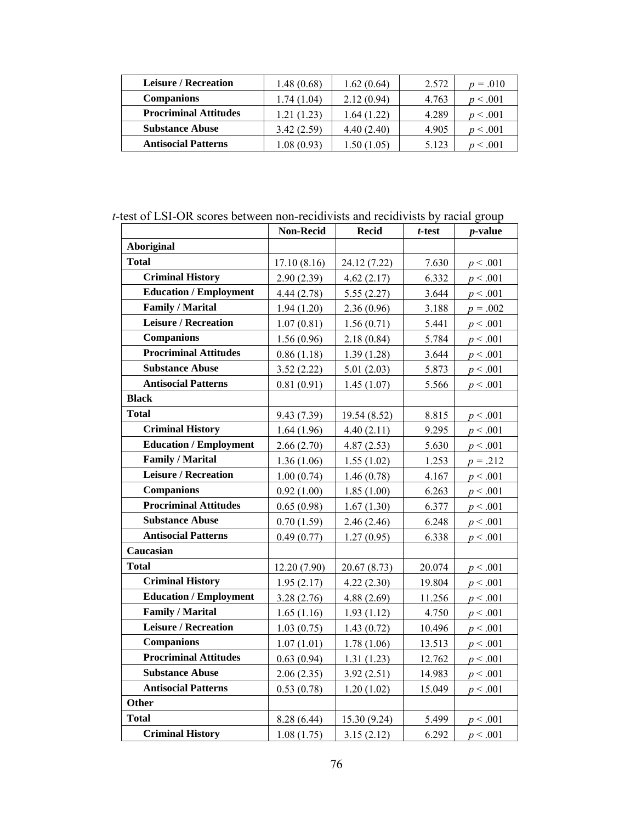| <b>Leisure / Recreation</b>  | 1.48(0.68)  | 1.62(0.64) | 2.572 | $p = .010$   |
|------------------------------|-------------|------------|-------|--------------|
| <b>Companions</b>            | 1.74 (1.04) | 2.12(0.94) | 4.763 | p < .001     |
| <b>Procriminal Attitudes</b> | 1.21 (1.23) | 1.64(1.22) | 4.289 | p < .001     |
| <b>Substance Abuse</b>       | 3.42(2.59)  | 4.40(2.40) | 4.905 | p < .001     |
| <b>Antisocial Patterns</b>   | 0.08(0.93)  | .50(1.05)  | 5.123 | $\leq 0.001$ |

*t*-test of LSI-OR scores between non-recidivists and recidivists by racial group

|                               | Non-Recid    | <b>Recid</b> | t-test | $p$ -value |
|-------------------------------|--------------|--------------|--------|------------|
| <b>Aboriginal</b>             |              |              |        |            |
| <b>Total</b>                  | 17.10(8.16)  | 24.12 (7.22) | 7.630  | p < .001   |
| <b>Criminal History</b>       | 2.90(2.39)   | 4.62(2.17)   | 6.332  | p < .001   |
| <b>Education / Employment</b> | 4.44 (2.78)  | 5.55(2.27)   | 3.644  | p < .001   |
| <b>Family / Marital</b>       | 1.94(1.20)   | 2.36(0.96)   | 3.188  | $p = .002$ |
| <b>Leisure / Recreation</b>   | 1.07(0.81)   | 1.56(0.71)   | 5.441  | p < .001   |
| <b>Companions</b>             | 1.56(0.96)   | 2.18(0.84)   | 5.784  | p < .001   |
| <b>Procriminal Attitudes</b>  | 0.86(1.18)   | 1.39(1.28)   | 3.644  | p < .001   |
| <b>Substance Abuse</b>        | 3.52(2.22)   | 5.01(2.03)   | 5.873  | p < .001   |
| <b>Antisocial Patterns</b>    | 0.81(0.91)   | 1.45(1.07)   | 5.566  | p < .001   |
| <b>Black</b>                  |              |              |        |            |
| <b>Total</b>                  | 9.43 (7.39)  | 19.54 (8.52) | 8.815  | p < .001   |
| <b>Criminal History</b>       | 1.64(1.96)   | 4.40(2.11)   | 9.295  | p < .001   |
| <b>Education / Employment</b> | 2.66(2.70)   | 4.87(2.53)   | 5.630  | p < .001   |
| <b>Family / Marital</b>       | 1.36(1.06)   | 1.55(1.02)   | 1.253  | $p = .212$ |
| <b>Leisure / Recreation</b>   | 1.00(0.74)   | 1.46(0.78)   | 4.167  | p < .001   |
| <b>Companions</b>             | 0.92(1.00)   | 1.85(1.00)   | 6.263  | p < .001   |
| <b>Procriminal Attitudes</b>  | 0.65(0.98)   | 1.67(1.30)   | 6.377  | p < .001   |
| <b>Substance Abuse</b>        | 0.70(1.59)   | 2.46(2.46)   | 6.248  | p < .001   |
| <b>Antisocial Patterns</b>    | 0.49(0.77)   | 1.27(0.95)   | 6.338  | p < .001   |
| Caucasian                     |              |              |        |            |
| <b>Total</b>                  | 12.20 (7.90) | 20.67 (8.73) | 20.074 | p < .001   |
| <b>Criminal History</b>       | 1.95(2.17)   | 4.22(2.30)   | 19.804 | p < .001   |
| <b>Education / Employment</b> | 3.28(2.76)   | 4.88(2.69)   | 11.256 | p < .001   |
| <b>Family / Marital</b>       | 1.65(1.16)   | 1.93(1.12)   | 4.750  | p < .001   |
| <b>Leisure / Recreation</b>   | 1.03(0.75)   | 1.43(0.72)   | 10.496 | p < .001   |
| <b>Companions</b>             | 1.07(1.01)   | 1.78(1.06)   | 13.513 | p < .001   |
| <b>Procriminal Attitudes</b>  | 0.63(0.94)   | 1.31(1.23)   | 12.762 | p < .001   |
| <b>Substance Abuse</b>        | 2.06(2.35)   | 3.92(2.51)   | 14.983 | p < .001   |
| <b>Antisocial Patterns</b>    | 0.53(0.78)   | 1.20(1.02)   | 15.049 | p < .001   |
| <b>Other</b>                  |              |              |        |            |
| <b>Total</b>                  | 8.28 (6.44)  | 15.30 (9.24) | 5.499  | p < .001   |
| <b>Criminal History</b>       | 1.08(1.75)   | 3.15(2.12)   | 6.292  | p < .001   |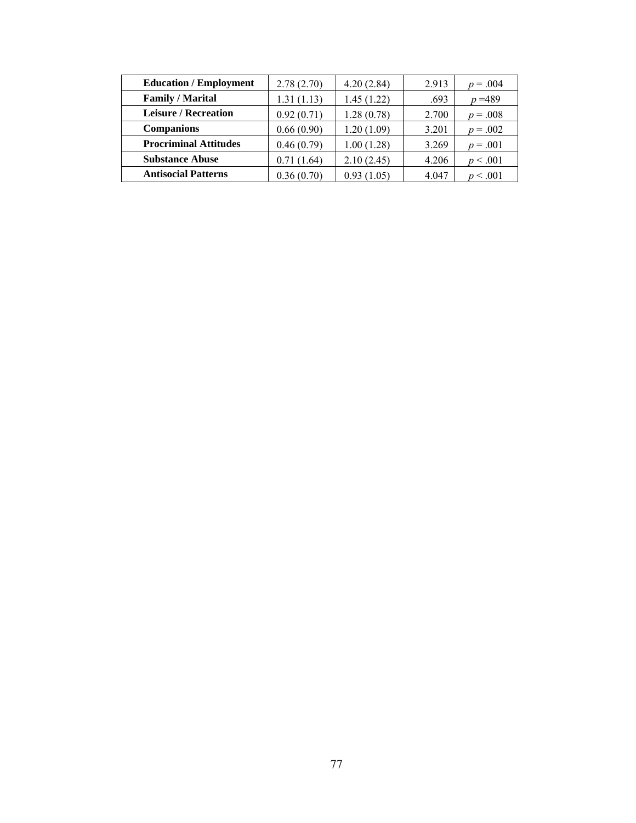| <b>Education / Employment</b> | 2.78(2.70) | 4.20(2.84) | 2.913 | $p = .004$ |
|-------------------------------|------------|------------|-------|------------|
| <b>Family / Marital</b>       | 1.31(1.13) | 1.45(1.22) | .693  | $p = 489$  |
| <b>Leisure / Recreation</b>   | 0.92(0.71) | 1.28(0.78) | 2.700 | $p = .008$ |
| <b>Companions</b>             | 0.66(0.90) | 1.20(1.09) | 3.201 | $p = .002$ |
| <b>Procriminal Attitudes</b>  | 0.46(0.79) | 1.00(1.28) | 3.269 | $p = .001$ |
| <b>Substance Abuse</b>        | 0.71(1.64) | 2.10(2.45) | 4.206 | p < .001   |
| <b>Antisocial Patterns</b>    | 0.36(0.70) | 0.93(1.05) | 4.047 | p < .001   |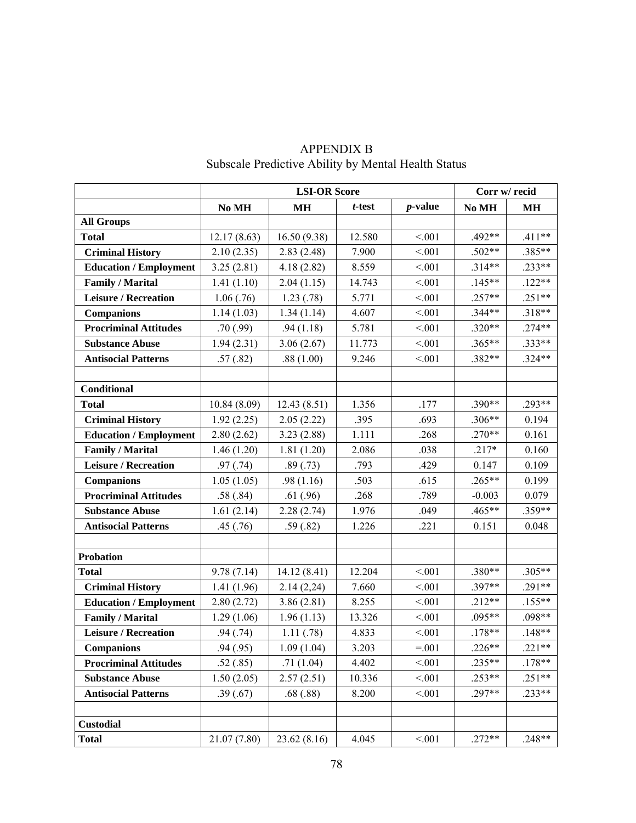|                               |              | <b>LSI-OR Score</b> |           |            | Corr w/ recid |           |  |
|-------------------------------|--------------|---------------------|-----------|------------|---------------|-----------|--|
|                               | No MH        | <b>MH</b>           | $t$ -test | $p$ -value | No MH         | <b>MH</b> |  |
| <b>All Groups</b>             |              |                     |           |            |               |           |  |
| <b>Total</b>                  | 12.17(8.63)  | 16.50(9.38)         | 12.580    | < 0.01     | .492**        | $.411**$  |  |
| <b>Criminal History</b>       | 2.10(2.35)   | 2.83(2.48)          | 7.900     | < 0.01     | $.502**$      | .385**    |  |
| <b>Education / Employment</b> | 3.25(2.81)   | 4.18(2.82)          | 8.559     | < 0.01     | $.314**$      | $.233**$  |  |
| <b>Family / Marital</b>       | 1.41(1.10)   | 2.04(1.15)          | 14.743    | < 0.01     | $.145**$      | $.122**$  |  |
| <b>Leisure / Recreation</b>   | 1.06(.76)    | 1.23(.78)           | 5.771     | < 0.01     | $.257**$      | $.251**$  |  |
| <b>Companions</b>             | 1.14(1.03)   | 1.34(1.14)          | 4.607     | < 0.01     | $.344**$      | $.318**$  |  |
| <b>Procriminal Attitudes</b>  | .70(.99)     | .94(1.18)           | 5.781     | < 0.01     | $.320**$      | $.274**$  |  |
| <b>Substance Abuse</b>        | 1.94(2.31)   | 3.06(2.67)          | 11.773    | < 0.01     | .365**        | .333**    |  |
| <b>Antisocial Patterns</b>    | .57(.82)     | .88(1.00)           | 9.246     | < 0.01     | .382**        | $.324**$  |  |
|                               |              |                     |           |            |               |           |  |
| Conditional                   |              |                     |           |            |               |           |  |
| <b>Total</b>                  | 10.84(8.09)  | 12.43(8.51)         | 1.356     | .177       | .390**        | .293**    |  |
| <b>Criminal History</b>       | 1.92(2.25)   | 2.05(2.22)          | .395      | .693       | $.306**$      | 0.194     |  |
| <b>Education / Employment</b> | 2.80(2.62)   | 3.23(2.88)          | 1.111     | .268       | $.270**$      | 0.161     |  |
| <b>Family / Marital</b>       | 1.46(1.20)   | 1.81(1.20)          | 2.086     |            | $.217*$       | 0.160     |  |
| <b>Leisure / Recreation</b>   | .97(.74)     | .89(.73)            | .793      | .429       | 0.147         | 0.109     |  |
| <b>Companions</b>             | 1.05(1.05)   | .98(1.16)           | .503      | .615       | .265**        | 0.199     |  |
| <b>Procriminal Attitudes</b>  | .58(.84)     | .61(.96)            | .268      | .789       | $-0.003$      | 0.079     |  |
| <b>Substance Abuse</b>        | 1.61(2.14)   | 2.28(2.74)          | 1.976     | .049       | .465**        | .359**    |  |
| <b>Antisocial Patterns</b>    | .45(.76)     | .59(.82)            | 1.226     | .221       | 0.151         | 0.048     |  |
|                               |              |                     |           |            |               |           |  |
| <b>Probation</b>              |              |                     |           |            |               |           |  |
| <b>Total</b>                  | 9.78(7.14)   | 14.12(8.41)         | 12.204    | < 0.01     | .380**        | .305**    |  |
| <b>Criminal History</b>       | 1.41(1.96)   | 2.14(2,24)          | 7.660     | < 0.01     | .397**        | $.291**$  |  |
| <b>Education / Employment</b> | 2.80(2.72)   | 3.86(2.81)          | 8.255     | < 0.01     | $.212**$      | $.155**$  |  |
| <b>Family / Marital</b>       | 1.29(1.06)   | 1.96(1.13)          | 13.326    | < 0.01     | $.095**$      | .098**    |  |
| <b>Leisure / Recreation</b>   | .94(.74)     | 1.11(.78)           | 4.833     | < 0.01     | $.178**$      | $.148**$  |  |
| <b>Companions</b>             | .94(.95)     | 1.09(1.04)          | 3.203     | $=.001$    | $.226**$      | $.221**$  |  |
| <b>Procriminal Attitudes</b>  | .52(.85)     | .71(1.04)           | 4.402     | < 0.01     | $.235**$      | $.178**$  |  |
| <b>Substance Abuse</b>        | 1.50(2.05)   | 2.57(2.51)          | 10.336    | < 0.01     | $.253**$      | $.251**$  |  |
| <b>Antisocial Patterns</b>    | .39(.67)     | .68(.88)            | 8.200     | < 0.01     | .297**        | $.233**$  |  |
|                               |              |                     |           |            |               |           |  |
| <b>Custodial</b>              |              |                     |           |            |               |           |  |
| <b>Total</b>                  | 21.07 (7.80) | 23.62(8.16)         | 4.045     | < 0.01     | $.272**$      | $.248**$  |  |

# APPENDIX B Subscale Predictive Ability by Mental Health Status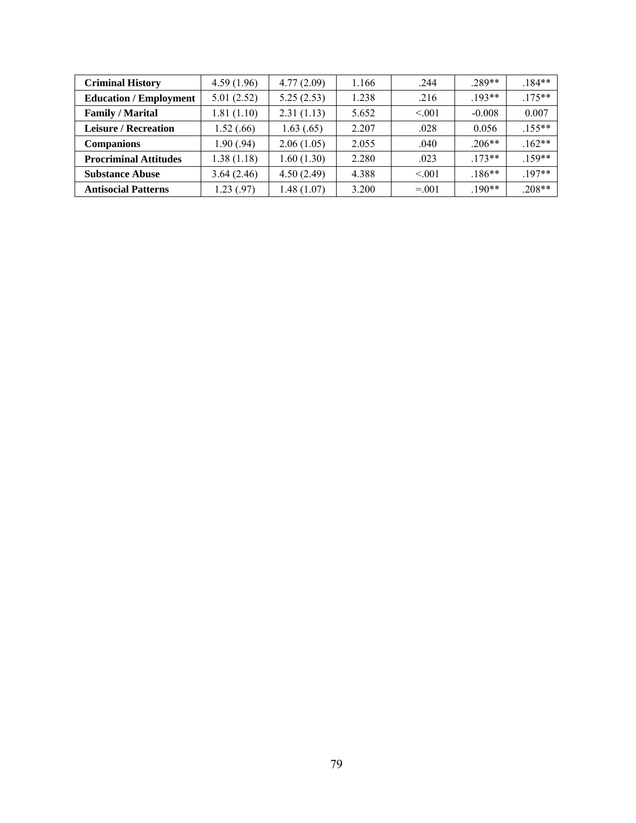| <b>Criminal History</b>       | 4.59(1.96) | 4.77(2.09) | 1.166 | .244     | 289**    | $184**$   |
|-------------------------------|------------|------------|-------|----------|----------|-----------|
| <b>Education / Employment</b> | 5.01(2.52) | 5.25(2.53) | 1.238 | .216     | $193**$  | $.175***$ |
| <b>Family / Marital</b>       | 1.81(1.10) | 2.31(1.13) | 5.652 | < 0.01   | $-0.008$ | 0.007     |
| <b>Leisure / Recreation</b>   | 1.52(0.66) | 1.63(0.65) | 2.207 | .028     | 0.056    | $155**$   |
| <b>Companions</b>             | 1.90(.94)  | 2.06(1.05) | 2.055 | .040     | $.206**$ | $.162**$  |
| <b>Procriminal Attitudes</b>  | 1.38(1.18) | 1.60(1.30) | 2.280 | .023     | $173**$  | $159**$   |
| <b>Substance Abuse</b>        | 3.64(2.46) | 4.50(2.49) | 4.388 | < 0.01   | $186**$  | $197**$   |
| <b>Antisocial Patterns</b>    | 1.23(0.97) | 1.48(1.07) | 3.200 | $= 0.01$ | $.190**$ | $208**$   |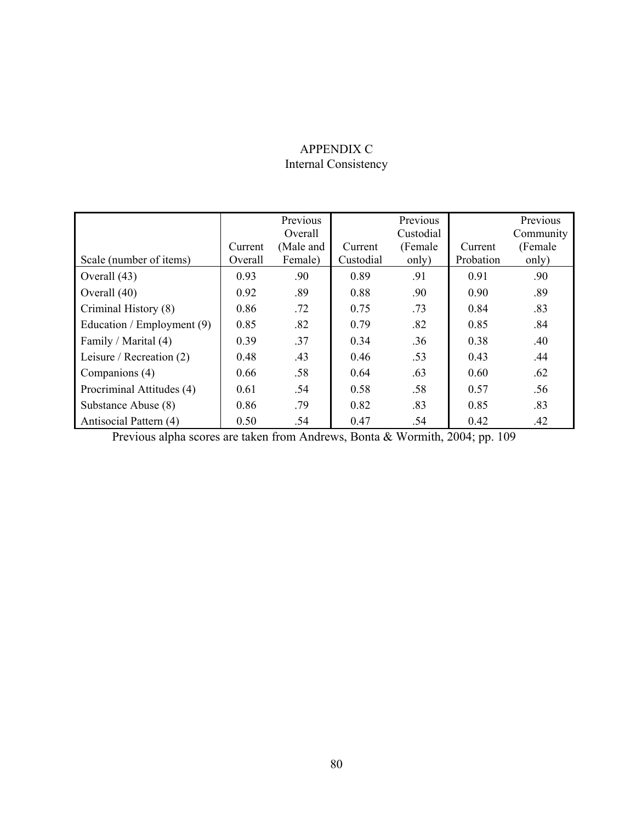## APPENDIX C Internal Consistency

|                            |                    | Previous<br>Overall  |                      | Previous<br>Custodial |                      | Previous<br>Community |
|----------------------------|--------------------|----------------------|----------------------|-----------------------|----------------------|-----------------------|
|                            | Current<br>Overall | (Male and<br>Female) | Current<br>Custodial | (Female)              | Current<br>Probation | (Female)              |
| Scale (number of items)    |                    |                      |                      | only)                 |                      | only)                 |
| Overall (43)               | 0.93               | .90                  | 0.89                 | .91                   | 0.91                 | .90                   |
| Overall (40)               | 0.92               | .89                  | 0.88                 | .90                   | 0.90                 | .89                   |
| Criminal History (8)       | 0.86               | .72                  | 0.75                 | .73                   | 0.84                 | .83                   |
| Education / Employment (9) | 0.85               | .82                  | 0.79                 | .82                   | 0.85                 | .84                   |
| Family / Marital (4)       | 0.39               | .37                  | 0.34                 | .36                   | 0.38                 | .40                   |
| Leisure / Recreation (2)   | 0.48               | .43                  | 0.46                 | .53                   | 0.43                 | .44                   |
| Companions (4)             | 0.66               | .58                  | 0.64                 | .63                   | 0.60                 | .62                   |
| Procriminal Attitudes (4)  | 0.61               | .54                  | 0.58                 | .58                   | 0.57                 | .56                   |
| Substance Abuse (8)        | 0.86               | .79                  | 0.82                 | .83                   | 0.85                 | .83                   |
| Antisocial Pattern (4)     | 0.50               | .54                  | 0.47                 | .54                   | 0.42                 | .42                   |

Previous alpha scores are taken from Andrews, Bonta & Wormith, 2004; pp. 109